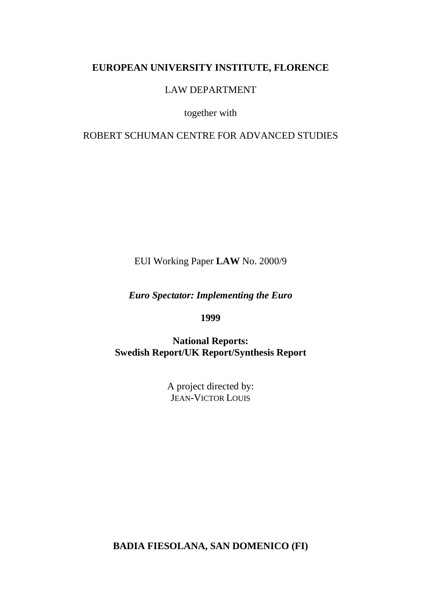## **EUROPEAN UNIVERSITY INSTITUTE, FLORENCE**

LAW DEPARTMENT

together with

ROBERT SCHUMAN CENTRE FOR ADVANCED STUDIES

EUI Working Paper **LAW** No. 2000/9

*Euro Spectator: Implementing the Euro*

**1999**

**National Reports: Swedish Report/UK Report/Synthesis Report**

> A project directed by: JEAN-VICTOR LOUIS

**BADIA FIESOLANA, SAN DOMENICO (FI)**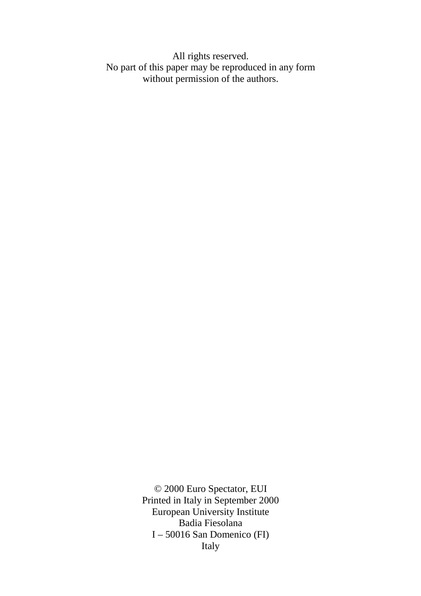All rights reserved. No part of this paper may be reproduced in any form without permission of the authors.

> © 2000 Euro Spectator, EUI Printed in Italy in September 2000 European University Institute Badia Fiesolana I – 50016 San Domenico (FI) Italy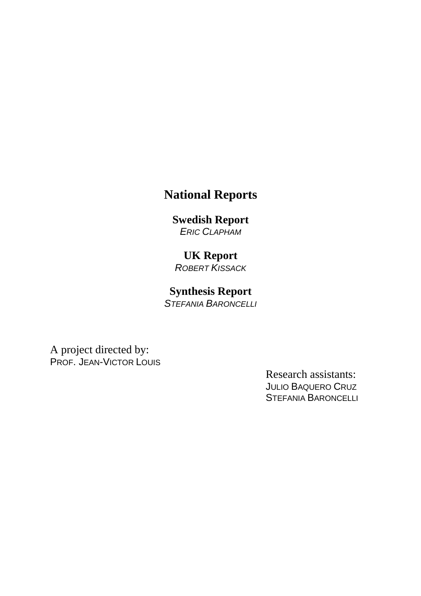# **National Reports**

# **Swedish Report**

*ERIC CLAPHAM*

# **UK Report**

*ROBERT KISSACK*

# **Synthesis Report**

*STEFANIA BARONCELLI*

A project directed by: PROF. JEAN-VICTOR LOUIS

> Research assistants: JULIO BAQUERO CRUZ STEFANIA BARONCELLI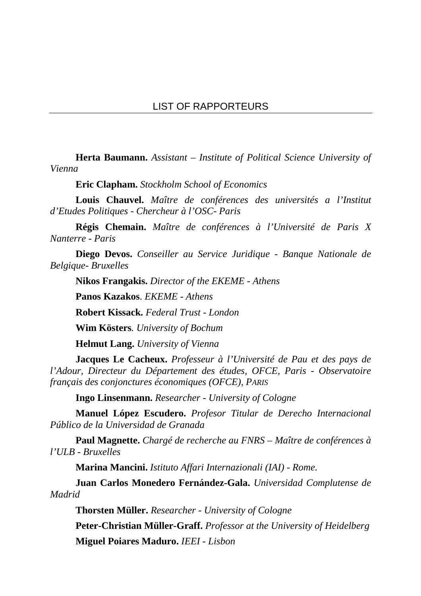**Herta Baumann.** *Assistant – Institute of Political Science University of Vienna*

**Eric Clapham.** *Stockholm School of Economics*

**Louis Chauvel.** *Maître de conférences des universités a l'Institut d'Etudes Politiques - Chercheur à l'OSC- Paris*

**Régis Chemain.** *Maître de conférences à l'Université de Paris X Nanterre - Paris*

**Diego Devos.** *Conseiller au Service Juridique - Banque Nationale de Belgique- Bruxelles*

**Nikos Frangakis.** *Director of the EKEME - Athens*

**Panos Kazakos**. *EKEME - Athens*

**Robert Kissack.** *Federal Trust - London*

**Wim Kösters***. University of Bochum*

**Helmut Lang.** *University of Vienna*

**Jacques Le Cacheux.** *Professeur à l'Université de Pau et des pays de l'Adour, Directeur du Département des études, OFCE, Paris - Observatoire français des conjonctures économiques (OFCE), PARIS*

**Ingo Linsenmann.** *Researcher - University of Cologne*

**Manuel López Escudero.** *Profesor Titular de Derecho Internacional Público de la Universidad de Granada*

**Paul Magnette.** *Chargé de recherche au FNRS – Maître de conférences à l'ULB - Bruxelles*

**Marina Mancini.** *Istituto Affari Internazionali (IAI) - Rome.*

**Juan Carlos Monedero Fernández-Gala.** *Universidad Complutense de Madrid*

**Thorsten Müller.** *Researcher - University of Cologne*

**Peter-Christian Müller-Graff.** *Professor at the University of Heidelberg*

**Miguel Poiares Maduro.** *IEEI - Lisbon*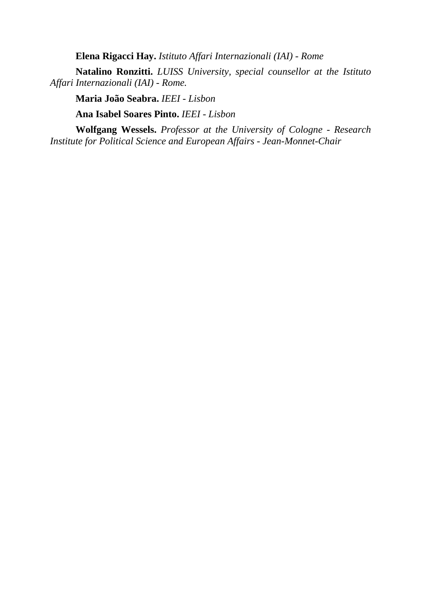**Elena Rigacci Hay.** *Istituto Affari Internazionali (IAI) - Rome*

**Natalino Ronzitti.** *LUISS University, special counsellor at the Istituto Affari Internazionali (IAI) - Rome.*

**Maria João Seabra.** *IEEI - Lisbon*

**Ana Isabel Soares Pinto.** *IEEI - Lisbon*

**Wolfgang Wessels.** *Professor at the University of Cologne - Research Institute for Political Science and European Affairs - Jean-Monnet-Chair*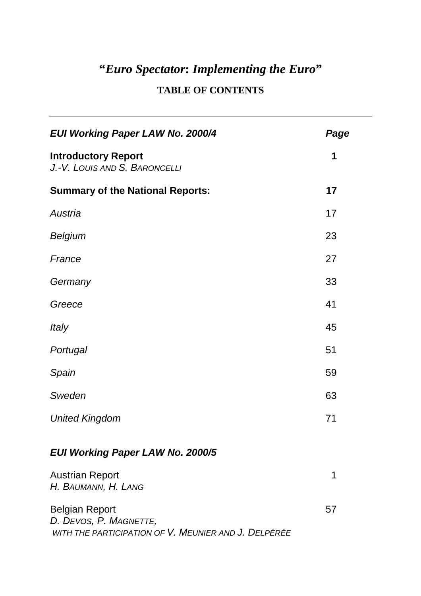# **"***Euro Spectator***:** *Implementing the Euro***"**

# **TABLE OF CONTENTS**

| <b>EUI Working Paper LAW No. 2000/4</b>                                                                 | Page |
|---------------------------------------------------------------------------------------------------------|------|
| <b>Introductory Report</b><br>J.-V. LOUIS AND S. BARONCELLI                                             | 1    |
| <b>Summary of the National Reports:</b>                                                                 | 17   |
| Austria                                                                                                 | 17   |
| <b>Belgium</b>                                                                                          | 23   |
| France                                                                                                  | 27   |
| Germany                                                                                                 | 33   |
| Greece                                                                                                  | 41   |
| <i>Italy</i>                                                                                            | 45   |
| Portugal                                                                                                | 51   |
| Spain                                                                                                   | 59   |
| Sweden                                                                                                  | 63   |
| <b>United Kingdom</b>                                                                                   | 71   |
| <b>EUI Working Paper LAW No. 2000/5</b>                                                                 |      |
| <b>Austrian Report</b><br>H. BAUMANN, H. LANG                                                           | 1    |
| <b>Belgian Report</b><br>D. DEVOS, P. MAGNETTE,<br>WITH THE PARTICIPATION OF V. MEUNIER AND J. DELPÉRÉE | 57   |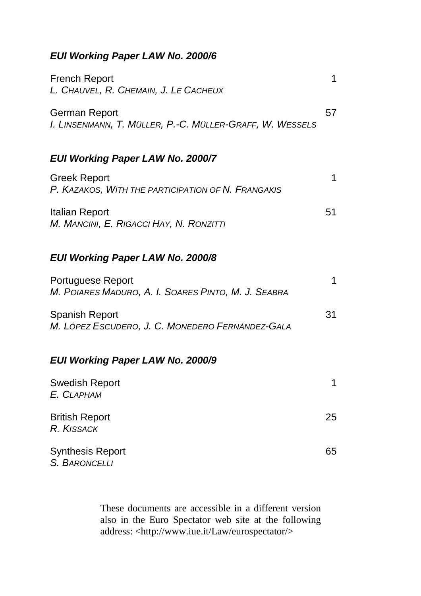## *EUI Working Paper LAW No. 2000/6*

| French Report<br>L. CHAUVEL, R. CHEMAIN, J. LE CACHEUX                    |    |
|---------------------------------------------------------------------------|----|
| German Report<br>I. Linsenmann, T. Müller, P.-C. Müller-Graff, W. Wessels | 57 |

# *EUI Working Paper LAW No. 2000/7*

| <b>Greek Report</b>                                |    |
|----------------------------------------------------|----|
| P. KAZAKOS, WITH THE PARTICIPATION OF N. FRANGAKIS |    |
|                                                    |    |
| Italian Report                                     | 51 |
| M. MANCINI, E. RIGACCI HAY, N. RONZITTI            |    |

## *EUI Working Paper LAW No. 2000/8*

| <b>Portuguese Report</b>                            |     |
|-----------------------------------------------------|-----|
| M. POIARES MADURO, A. I. SOARES PINTO, M. J. SEABRA |     |
|                                                     |     |
| <b>Spanish Report</b>                               | .31 |
| M. LÓPEZ ESCUDERO, J. C. MONEDERO FERNÁNDEZ-GALA    |     |

## *EUI Working Paper LAW No. 2000/9*

| <b>Swedish Report</b><br>E. CLAPHAM      |    |
|------------------------------------------|----|
| <b>British Report</b><br>R. KISSACK      | 25 |
| <b>Synthesis Report</b><br>S. BARONCELLI | 65 |

These documents are accessible in a different version also in the Euro Spectator web site at the following address: <http://www.iue.it/Law/eurospectator/>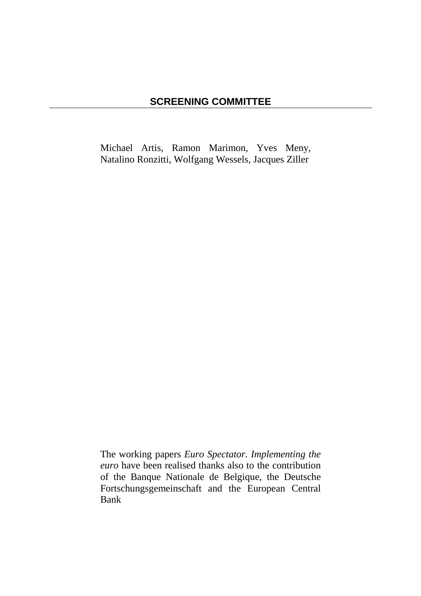Michael Artis, Ramon Marimon, Yves Meny, Natalino Ronzitti, Wolfgang Wessels, Jacques Ziller

The working papers *Euro Spectator. Implementing the euro* have been realised thanks also to the contribution of the Banque Nationale de Belgique, the Deutsche Fortschungsgemeinschaft and the European Central Bank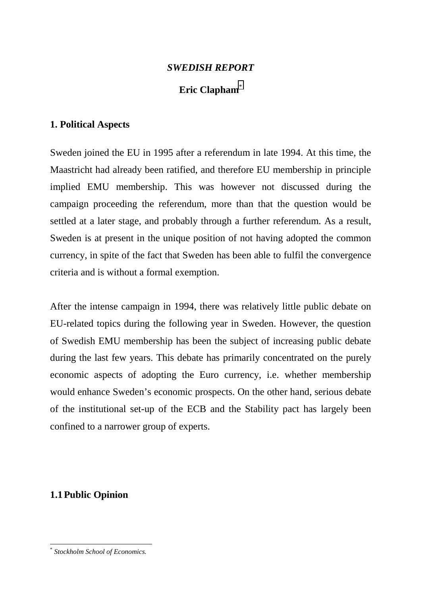### *SWEDISH REPORT*

## **Eric Clapham**\*

### **1. Political Aspects**

Sweden joined the EU in 1995 after a referendum in late 1994. At this time, the Maastricht had already been ratified, and therefore EU membership in principle implied EMU membership. This was however not discussed during the campaign proceeding the referendum, more than that the question would be settled at a later stage, and probably through a further referendum. As a result, Sweden is at present in the unique position of not having adopted the common currency, in spite of the fact that Sweden has been able to fulfil the convergence criteria and is without a formal exemption.

After the intense campaign in 1994, there was relatively little public debate on EU-related topics during the following year in Sweden. However, the question of Swedish EMU membership has been the subject of increasing public debate during the last few years. This debate has primarily concentrated on the purely economic aspects of adopting the Euro currency, i.e. whether membership would enhance Sweden's economic prospects. On the other hand, serious debate of the institutional set-up of the ECB and the Stability pact has largely been confined to a narrower group of experts.

## **1.1Public Opinion**

l

<sup>\*</sup> *Stockholm School of Economics.*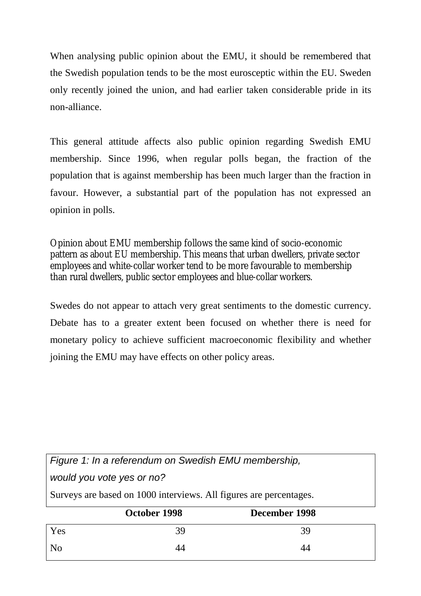When analysing public opinion about the EMU, it should be remembered that the Swedish population tends to be the most eurosceptic within the EU. Sweden only recently joined the union, and had earlier taken considerable pride in its non-alliance.

This general attitude affects also public opinion regarding Swedish EMU membership. Since 1996, when regular polls began, the fraction of the population that is against membership has been much larger than the fraction in favour. However, a substantial part of the population has not expressed an opinion in polls.

Opinion about EMU membership follows the same kind of socio-economic pattern as about EU membership. This means that urban dwellers, private sector employees and white-collar worker tend to be more favourable to membership than rural dwellers, public sector employees and blue-collar workers.

Swedes do not appear to attach very great sentiments to the domestic currency. Debate has to a greater extent been focused on whether there is need for monetary policy to achieve sufficient macroeconomic flexibility and whether joining the EMU may have effects on other policy areas.

| Figure 1: In a referendum on Swedish EMU membership,               |              |               |  |
|--------------------------------------------------------------------|--------------|---------------|--|
| would you vote yes or no?                                          |              |               |  |
| Surveys are based on 1000 interviews. All figures are percentages. |              |               |  |
|                                                                    |              |               |  |
|                                                                    | October 1998 | December 1998 |  |
| Yes                                                                | 39           | 39            |  |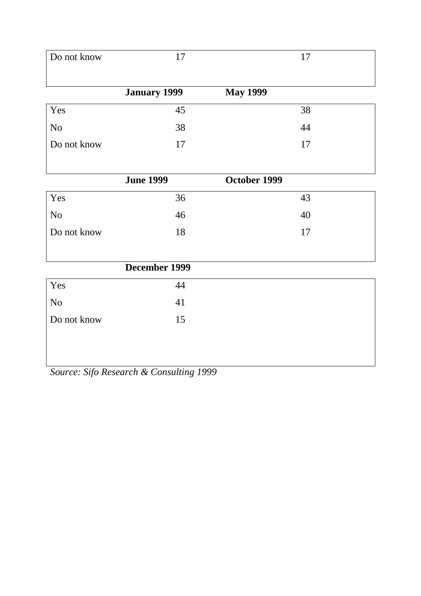| Do not know    | 17               | 17              |
|----------------|------------------|-----------------|
|                | January 1999     | <b>May 1999</b> |
| Yes            | 45               | 38              |
| N <sub>o</sub> | 38               | 44              |
| Do not know    | 17               | 17              |
|                |                  |                 |
|                | <b>June 1999</b> | October 1999    |
| Yes            | 36               | 43              |
| N <sub>o</sub> | 46               | 40              |
| Do not know    | 18               | 17              |
|                |                  |                 |
|                | December 1999    |                 |
| Yes            | 44               |                 |
| No             | 41               |                 |
| Do not know    | 15               |                 |
|                |                  |                 |
|                |                  |                 |

*Source: Sifo Research & Consulting 1999*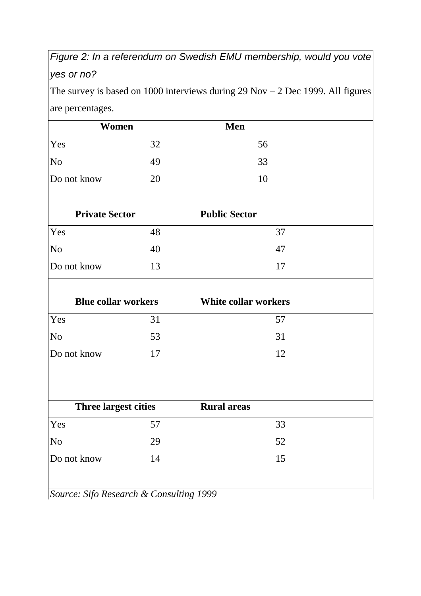# *Figure 2: In a referendum on Swedish EMU membership, would you vote yes or no?*

The survey is based on 1000 interviews during  $29$  Nov  $- 2$  Dec 1999. All figures are percentages.

| Women                                   |    | Men                         |
|-----------------------------------------|----|-----------------------------|
| Yes                                     | 32 | 56                          |
| N <sub>0</sub>                          | 49 | 33                          |
| Do not know                             | 20 | 10                          |
| <b>Private Sector</b>                   |    | <b>Public Sector</b>        |
| Yes                                     | 48 | 37                          |
| N <sub>0</sub>                          | 40 | 47                          |
| Do not know                             | 13 | 17                          |
| <b>Blue collar workers</b>              |    | <b>White collar workers</b> |
| Yes                                     | 31 | 57                          |
| N <sub>o</sub>                          | 53 | 31                          |
| Do not know                             | 17 | 12                          |
| <b>Three largest cities</b>             |    | <b>Rural areas</b>          |
| Yes                                     | 57 | 33                          |
| No                                      | 29 | 52                          |
| Do not know                             | 14 | 15                          |
| Source: Sifo Research & Consulting 1999 |    |                             |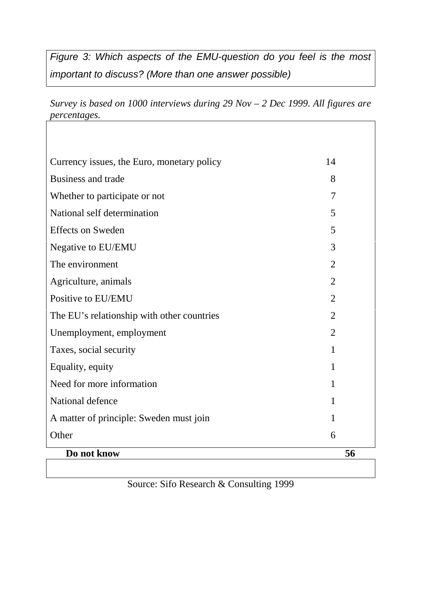*Figure 3: Which aspects of the EMU-question do you feel is the most important to discuss? (More than one answer possible)*

*Survey is based on 1000 interviews during 29 Nov – 2 Dec 1999. All figures are percentages.*

| Currency issues, the Euro, monetary policy | 14             |
|--------------------------------------------|----------------|
| <b>Business and trade</b>                  | 8              |
| Whether to participate or not              | 7              |
| National self determination                | 5              |
| <b>Effects on Sweden</b>                   | 5              |
| Negative to EU/EMU                         | 3              |
| The environment                            | $\overline{2}$ |
| Agriculture, animals                       | $\overline{2}$ |
| Positive to EU/EMU                         | $\overline{2}$ |
| The EU's relationship with other countries | $\overline{2}$ |
| Unemployment, employment                   | $\overline{2}$ |
| Taxes, social security                     | 1              |
| Equality, equity                           | $\mathbf{1}$   |
| Need for more information                  | 1              |
| National defence                           | 1              |
| A matter of principle: Sweden must join    | 1              |
| Other                                      | 6              |
| Do not know                                | 56             |

Source: Sifo Research & Consulting 1999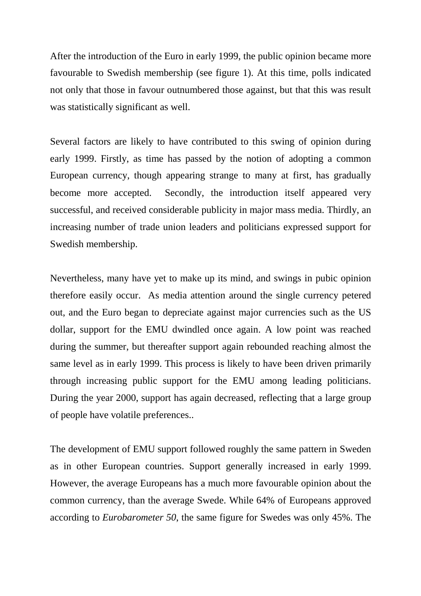After the introduction of the Euro in early 1999, the public opinion became more favourable to Swedish membership (see figure 1). At this time, polls indicated not only that those in favour outnumbered those against, but that this was result was statistically significant as well.

Several factors are likely to have contributed to this swing of opinion during early 1999. Firstly, as time has passed by the notion of adopting a common European currency, though appearing strange to many at first, has gradually become more accepted. Secondly, the introduction itself appeared very successful, and received considerable publicity in major mass media. Thirdly, an increasing number of trade union leaders and politicians expressed support for Swedish membership.

Nevertheless, many have yet to make up its mind, and swings in pubic opinion therefore easily occur. As media attention around the single currency petered out, and the Euro began to depreciate against major currencies such as the US dollar, support for the EMU dwindled once again. A low point was reached during the summer, but thereafter support again rebounded reaching almost the same level as in early 1999. This process is likely to have been driven primarily through increasing public support for the EMU among leading politicians. During the year 2000, support has again decreased, reflecting that a large group of people have volatile preferences..

The development of EMU support followed roughly the same pattern in Sweden as in other European countries. Support generally increased in early 1999. However, the average Europeans has a much more favourable opinion about the common currency, than the average Swede. While 64% of Europeans approved according to *Eurobarometer 50*, the same figure for Swedes was only 45%. The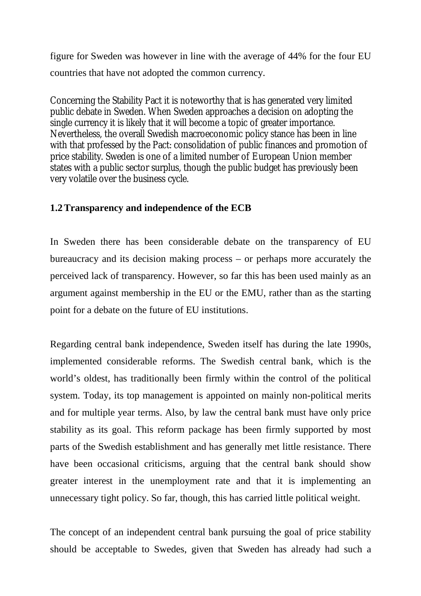figure for Sweden was however in line with the average of 44% for the four EU countries that have not adopted the common currency.

Concerning the Stability Pact it is noteworthy that is has generated very limited public debate in Sweden. When Sweden approaches a decision on adopting the single currency it is likely that it will become a topic of greater importance. Nevertheless, the overall Swedish macroeconomic policy stance has been in line with that professed by the Pact: consolidation of public finances and promotion of price stability. Sweden is one of a limited number of European Union member states with a public sector surplus, though the public budget has previously been very volatile over the business cycle.

## **1.2Transparency and independence of the ECB**

In Sweden there has been considerable debate on the transparency of EU bureaucracy and its decision making process – or perhaps more accurately the perceived lack of transparency. However, so far this has been used mainly as an argument against membership in the EU or the EMU, rather than as the starting point for a debate on the future of EU institutions.

Regarding central bank independence, Sweden itself has during the late 1990s, implemented considerable reforms. The Swedish central bank, which is the world's oldest, has traditionally been firmly within the control of the political system. Today, its top management is appointed on mainly non-political merits and for multiple year terms. Also, by law the central bank must have only price stability as its goal. This reform package has been firmly supported by most parts of the Swedish establishment and has generally met little resistance. There have been occasional criticisms, arguing that the central bank should show greater interest in the unemployment rate and that it is implementing an unnecessary tight policy. So far, though, this has carried little political weight.

The concept of an independent central bank pursuing the goal of price stability should be acceptable to Swedes, given that Sweden has already had such a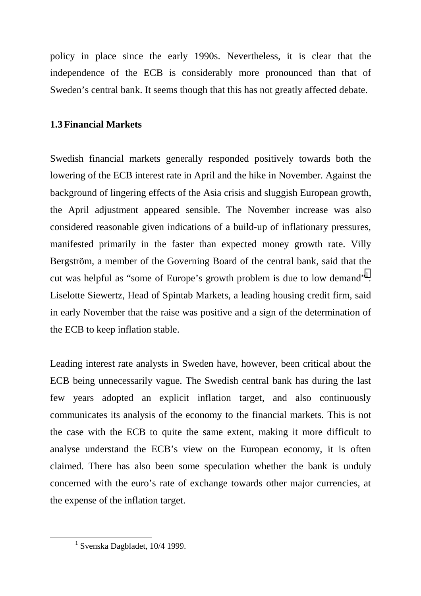policy in place since the early 1990s. Nevertheless, it is clear that the independence of the ECB is considerably more pronounced than that of Sweden's central bank. It seems though that this has not greatly affected debate.

## **1.3Financial Markets**

Swedish financial markets generally responded positively towards both the lowering of the ECB interest rate in April and the hike in November. Against the background of lingering effects of the Asia crisis and sluggish European growth, the April adjustment appeared sensible. The November increase was also considered reasonable given indications of a build-up of inflationary pressures, manifested primarily in the faster than expected money growth rate. Villy Bergström, a member of the Governing Board of the central bank, said that the cut was helpful as "some of Europe's growth problem is due to low demand"<sup>1</sup>. Liselotte Siewertz, Head of Spintab Markets, a leading housing credit firm, said in early November that the raise was positive and a sign of the determination of the ECB to keep inflation stable.

Leading interest rate analysts in Sweden have, however, been critical about the ECB being unnecessarily vague. The Swedish central bank has during the last few years adopted an explicit inflation target, and also continuously communicates its analysis of the economy to the financial markets. This is not the case with the ECB to quite the same extent, making it more difficult to analyse understand the ECB's view on the European economy, it is often claimed. There has also been some speculation whether the bank is unduly concerned with the euro's rate of exchange towards other major currencies, at the expense of the inflation target.

<sup>&</sup>lt;u>1</u>  $1$  Svenska Dagbladet, 10/4 1999.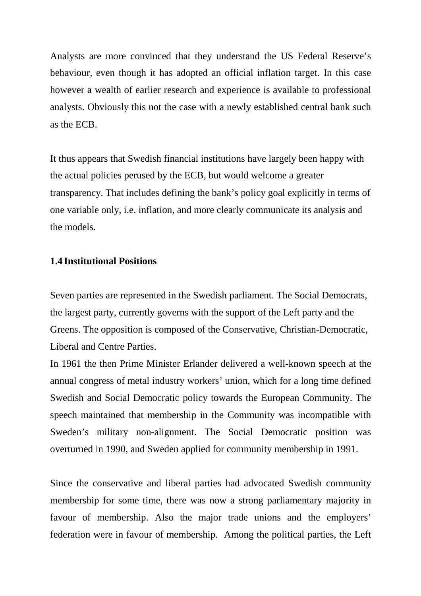Analysts are more convinced that they understand the US Federal Reserve's behaviour, even though it has adopted an official inflation target. In this case however a wealth of earlier research and experience is available to professional analysts. Obviously this not the case with a newly established central bank such as the ECB.

It thus appears that Swedish financial institutions have largely been happy with the actual policies perused by the ECB, but would welcome a greater transparency. That includes defining the bank's policy goal explicitly in terms of one variable only, i.e. inflation, and more clearly communicate its analysis and the models.

### **1.4 Institutional Positions**

Seven parties are represented in the Swedish parliament. The Social Democrats, the largest party, currently governs with the support of the Left party and the Greens. The opposition is composed of the Conservative, Christian-Democratic, Liberal and Centre Parties.

In 1961 the then Prime Minister Erlander delivered a well-known speech at the annual congress of metal industry workers' union, which for a long time defined Swedish and Social Democratic policy towards the European Community. The speech maintained that membership in the Community was incompatible with Sweden's military non-alignment. The Social Democratic position was overturned in 1990, and Sweden applied for community membership in 1991.

Since the conservative and liberal parties had advocated Swedish community membership for some time, there was now a strong parliamentary majority in favour of membership. Also the major trade unions and the employers' federation were in favour of membership. Among the political parties, the Left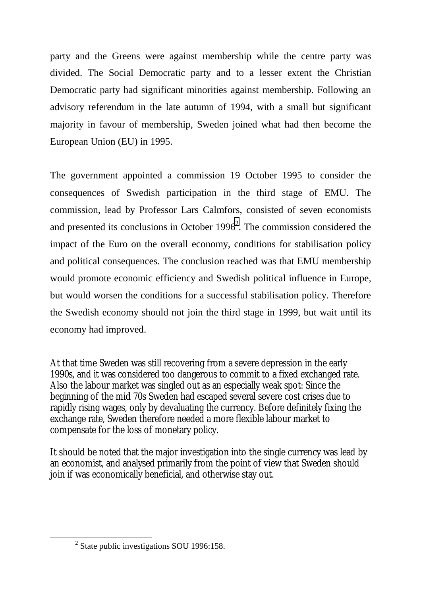party and the Greens were against membership while the centre party was divided. The Social Democratic party and to a lesser extent the Christian Democratic party had significant minorities against membership. Following an advisory referendum in the late autumn of 1994, with a small but significant majority in favour of membership, Sweden joined what had then become the European Union (EU) in 1995.

The government appointed a commission 19 October 1995 to consider the consequences of Swedish participation in the third stage of EMU. The commission, lead by Professor Lars Calmfors, consisted of seven economists and presented its conclusions in October  $1996<sup>2</sup>$ . The commission considered the impact of the Euro on the overall economy, conditions for stabilisation policy and political consequences. The conclusion reached was that EMU membership would promote economic efficiency and Swedish political influence in Europe, but would worsen the conditions for a successful stabilisation policy. Therefore the Swedish economy should not join the third stage in 1999, but wait until its economy had improved.

At that time Sweden was still recovering from a severe depression in the early 1990s, and it was considered too dangerous to commit to a fixed exchanged rate. Also the labour market was singled out as an especially weak spot: Since the beginning of the mid 70s Sweden had escaped several severe cost crises due to rapidly rising wages, only by devaluating the currency. Before definitely fixing the exchange rate, Sweden therefore needed a more flexible labour market to compensate for the loss of monetary policy.

It should be noted that the major investigation into the single currency was lead by an economist, and analysed primarily from the point of view that Sweden should join if was economically beneficial, and otherwise stay out.

 $\overline{\qquad \qquad }$  $2$  State public investigations SOU 1996:158.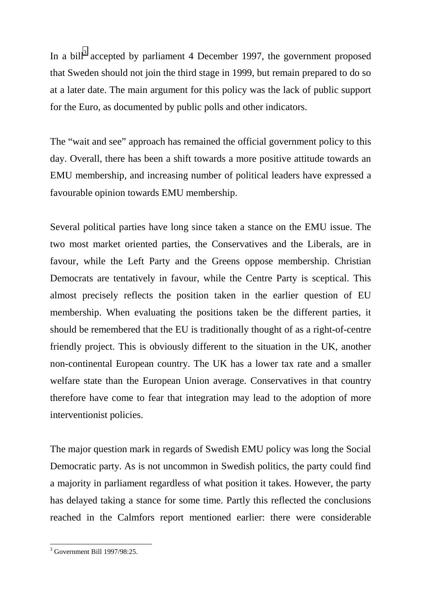In a bill<sup>3</sup> accepted by parliament 4 December 1997, the government proposed that Sweden should not join the third stage in 1999, but remain prepared to do so at a later date. The main argument for this policy was the lack of public support for the Euro, as documented by public polls and other indicators.

The "wait and see" approach has remained the official government policy to this day. Overall, there has been a shift towards a more positive attitude towards an EMU membership, and increasing number of political leaders have expressed a favourable opinion towards EMU membership.

Several political parties have long since taken a stance on the EMU issue. The two most market oriented parties, the Conservatives and the Liberals, are in favour, while the Left Party and the Greens oppose membership. Christian Democrats are tentatively in favour, while the Centre Party is sceptical. This almost precisely reflects the position taken in the earlier question of EU membership. When evaluating the positions taken be the different parties, it should be remembered that the EU is traditionally thought of as a right-of-centre friendly project. This is obviously different to the situation in the UK, another non-continental European country. The UK has a lower tax rate and a smaller welfare state than the European Union average. Conservatives in that country therefore have come to fear that integration may lead to the adoption of more interventionist policies.

The major question mark in regards of Swedish EMU policy was long the Social Democratic party. As is not uncommon in Swedish politics, the party could find a majority in parliament regardless of what position it takes. However, the party has delayed taking a stance for some time. Partly this reflected the conclusions reached in the Calmfors report mentioned earlier: there were considerable

 3 Government Bill 1997/98:25.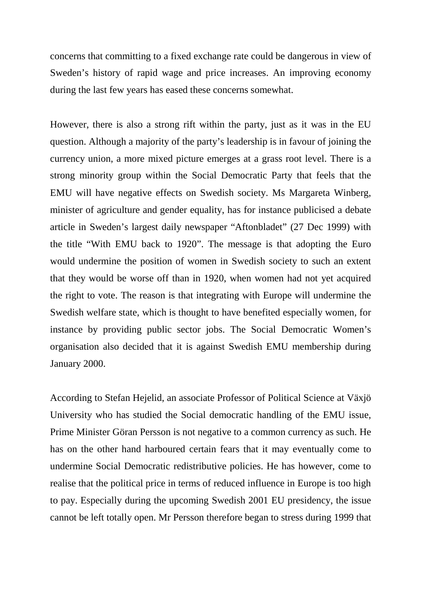concerns that committing to a fixed exchange rate could be dangerous in view of Sweden's history of rapid wage and price increases. An improving economy during the last few years has eased these concerns somewhat.

However, there is also a strong rift within the party, just as it was in the EU question. Although a majority of the party's leadership is in favour of joining the currency union, a more mixed picture emerges at a grass root level. There is a strong minority group within the Social Democratic Party that feels that the EMU will have negative effects on Swedish society. Ms Margareta Winberg, minister of agriculture and gender equality, has for instance publicised a debate article in Sweden's largest daily newspaper "Aftonbladet" (27 Dec 1999) with the title "With EMU back to 1920". The message is that adopting the Euro would undermine the position of women in Swedish society to such an extent that they would be worse off than in 1920, when women had not yet acquired the right to vote. The reason is that integrating with Europe will undermine the Swedish welfare state, which is thought to have benefited especially women, for instance by providing public sector jobs. The Social Democratic Women's organisation also decided that it is against Swedish EMU membership during January 2000.

According to Stefan Hejelid, an associate Professor of Political Science at Växjö University who has studied the Social democratic handling of the EMU issue, Prime Minister Göran Persson is not negative to a common currency as such. He has on the other hand harboured certain fears that it may eventually come to undermine Social Democratic redistributive policies. He has however, come to realise that the political price in terms of reduced influence in Europe is too high to pay. Especially during the upcoming Swedish 2001 EU presidency, the issue cannot be left totally open. Mr Persson therefore began to stress during 1999 that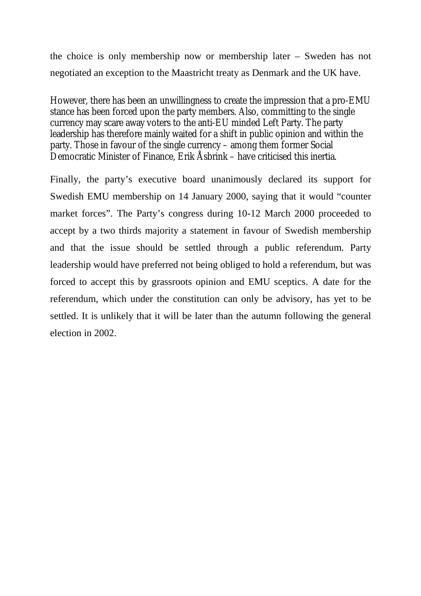the choice is only membership now or membership later – Sweden has not negotiated an exception to the Maastricht treaty as Denmark and the UK have.

However, there has been an unwillingness to create the impression that a pro-EMU stance has been forced upon the party members. Also, committing to the single currency may scare away voters to the anti-EU minded Left Party. The party leadership has therefore mainly waited for a shift in public opinion and within the party. Those in favour of the single currency – among them former Social Democratic Minister of Finance, Erik Åsbrink – have criticised this inertia.

Finally, the party's executive board unanimously declared its support for Swedish EMU membership on 14 January 2000, saying that it would "counter market forces". The Party's congress during 10-12 March 2000 proceeded to accept by a two thirds majority a statement in favour of Swedish membership and that the issue should be settled through a public referendum. Party leadership would have preferred not being obliged to hold a referendum, but was forced to accept this by grassroots opinion and EMU sceptics. A date for the referendum, which under the constitution can only be advisory, has yet to be settled. It is unlikely that it will be later than the autumn following the general election in 2002.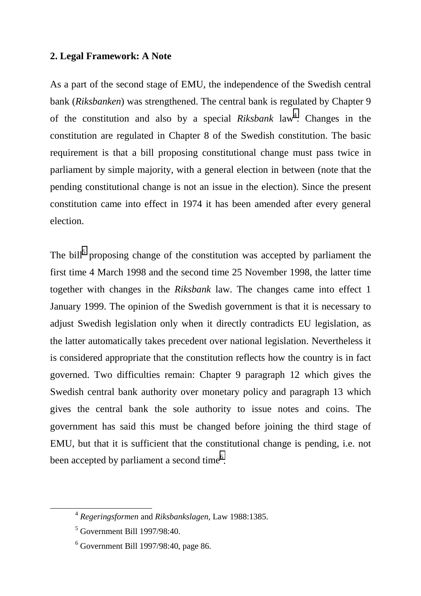### **2. Legal Framework: A Note**

As a part of the second stage of EMU, the independence of the Swedish central bank (*Riksbanken*) was strengthened. The central bank is regulated by Chapter 9 of the constitution and also by a special *Riksbank* law<sup>4</sup>. Changes in the constitution are regulated in Chapter 8 of the Swedish constitution. The basic requirement is that a bill proposing constitutional change must pass twice in parliament by simple majority, with a general election in between (note that the pending constitutional change is not an issue in the election). Since the present constitution came into effect in 1974 it has been amended after every general election.

The bill<sup>5</sup> proposing change of the constitution was accepted by parliament the first time 4 March 1998 and the second time 25 November 1998, the latter time together with changes in the *Riksbank* law. The changes came into effect 1 January 1999. The opinion of the Swedish government is that it is necessary to adjust Swedish legislation only when it directly contradicts EU legislation, as the latter automatically takes precedent over national legislation. Nevertheless it is considered appropriate that the constitution reflects how the country is in fact governed. Two difficulties remain: Chapter 9 paragraph 12 which gives the Swedish central bank authority over monetary policy and paragraph 13 which gives the central bank the sole authority to issue notes and coins. The government has said this must be changed before joining the third stage of EMU, but that it is sufficient that the constitutional change is pending, i.e. not been accepted by parliament a second time<sup>6</sup>.

 <sup>4</sup> *Regeringsformen* and *Riksbankslagen*, Law 1988:1385.

<sup>5</sup> Government Bill 1997/98:40.

<sup>6</sup> Government Bill 1997/98:40, page 86.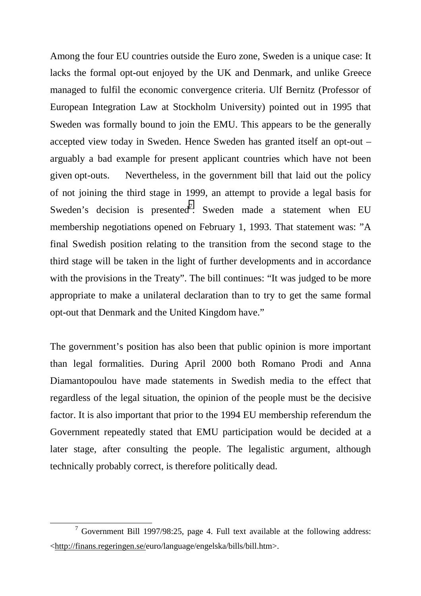Among the four EU countries outside the Euro zone, Sweden is a unique case: It lacks the formal opt-out enjoyed by the UK and Denmark, and unlike Greece managed to fulfil the economic convergence criteria. Ulf Bernitz (Professor of European Integration Law at Stockholm University) pointed out in 1995 that Sweden was formally bound to join the EMU. This appears to be the generally accepted view today in Sweden. Hence Sweden has granted itself an opt-out – arguably a bad example for present applicant countries which have not been given opt-outs. Nevertheless, in the government bill that laid out the policy of not joining the third stage in 1999, an attempt to provide a legal basis for Sweden's decision is presented<sup>7</sup>. Sweden made a statement when EU membership negotiations opened on February 1, 1993. That statement was: "A final Swedish position relating to the transition from the second stage to the third stage will be taken in the light of further developments and in accordance with the provisions in the Treaty". The bill continues: "It was judged to be more appropriate to make a unilateral declaration than to try to get the same formal opt-out that Denmark and the United Kingdom have."

The government's position has also been that public opinion is more important than legal formalities. During April 2000 both Romano Prodi and Anna Diamantopoulou have made statements in Swedish media to the effect that regardless of the legal situation, the opinion of the people must be the decisive factor. It is also important that prior to the 1994 EU membership referendum the Government repeatedly stated that EMU participation would be decided at a later stage, after consulting the people. The legalistic argument, although technically probably correct, is therefore politically dead.

 <sup>7</sup>  $\frac{7}{1}$  Government Bill 1997/98:25, page 4. Full text available at the following address: <http://finans.regeringen.se/euro/language/engelska/bills/bill.htm>.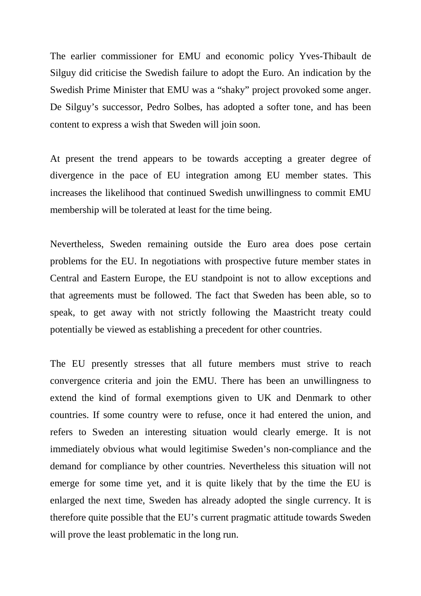The earlier commissioner for EMU and economic policy Yves-Thibault de Silguy did criticise the Swedish failure to adopt the Euro. An indication by the Swedish Prime Minister that EMU was a "shaky" project provoked some anger. De Silguy's successor, Pedro Solbes, has adopted a softer tone, and has been content to express a wish that Sweden will join soon.

At present the trend appears to be towards accepting a greater degree of divergence in the pace of EU integration among EU member states. This increases the likelihood that continued Swedish unwillingness to commit EMU membership will be tolerated at least for the time being.

Nevertheless, Sweden remaining outside the Euro area does pose certain problems for the EU. In negotiations with prospective future member states in Central and Eastern Europe, the EU standpoint is not to allow exceptions and that agreements must be followed. The fact that Sweden has been able, so to speak, to get away with not strictly following the Maastricht treaty could potentially be viewed as establishing a precedent for other countries.

The EU presently stresses that all future members must strive to reach convergence criteria and join the EMU. There has been an unwillingness to extend the kind of formal exemptions given to UK and Denmark to other countries. If some country were to refuse, once it had entered the union, and refers to Sweden an interesting situation would clearly emerge. It is not immediately obvious what would legitimise Sweden's non-compliance and the demand for compliance by other countries. Nevertheless this situation will not emerge for some time yet, and it is quite likely that by the time the EU is enlarged the next time, Sweden has already adopted the single currency. It is therefore quite possible that the EU's current pragmatic attitude towards Sweden will prove the least problematic in the long run.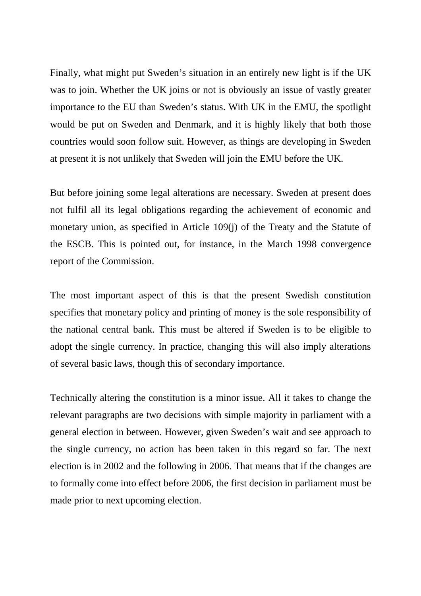Finally, what might put Sweden's situation in an entirely new light is if the UK was to join. Whether the UK joins or not is obviously an issue of vastly greater importance to the EU than Sweden's status. With UK in the EMU, the spotlight would be put on Sweden and Denmark, and it is highly likely that both those countries would soon follow suit. However, as things are developing in Sweden at present it is not unlikely that Sweden will join the EMU before the UK.

But before joining some legal alterations are necessary. Sweden at present does not fulfil all its legal obligations regarding the achievement of economic and monetary union, as specified in Article 109(j) of the Treaty and the Statute of the ESCB. This is pointed out, for instance, in the March 1998 convergence report of the Commission.

The most important aspect of this is that the present Swedish constitution specifies that monetary policy and printing of money is the sole responsibility of the national central bank. This must be altered if Sweden is to be eligible to adopt the single currency. In practice, changing this will also imply alterations of several basic laws, though this of secondary importance.

Technically altering the constitution is a minor issue. All it takes to change the relevant paragraphs are two decisions with simple majority in parliament with a general election in between. However, given Sweden's wait and see approach to the single currency, no action has been taken in this regard so far. The next election is in 2002 and the following in 2006. That means that if the changes are to formally come into effect before 2006, the first decision in parliament must be made prior to next upcoming election.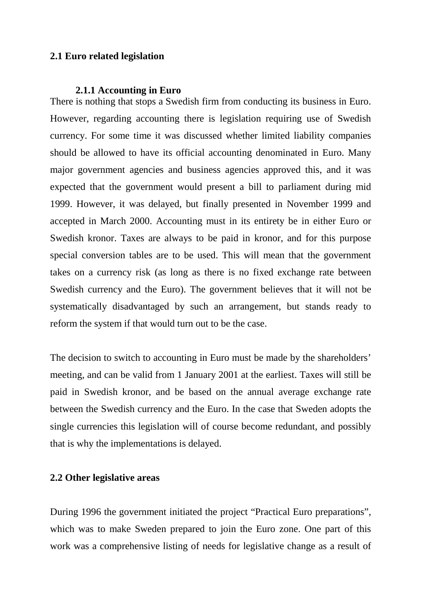## **2.1 Euro related legislation**

#### **2.1.1 Accounting in Euro**

There is nothing that stops a Swedish firm from conducting its business in Euro. However, regarding accounting there is legislation requiring use of Swedish currency. For some time it was discussed whether limited liability companies should be allowed to have its official accounting denominated in Euro. Many major government agencies and business agencies approved this, and it was expected that the government would present a bill to parliament during mid 1999. However, it was delayed, but finally presented in November 1999 and accepted in March 2000. Accounting must in its entirety be in either Euro or Swedish kronor. Taxes are always to be paid in kronor, and for this purpose special conversion tables are to be used. This will mean that the government takes on a currency risk (as long as there is no fixed exchange rate between Swedish currency and the Euro). The government believes that it will not be systematically disadvantaged by such an arrangement, but stands ready to reform the system if that would turn out to be the case.

The decision to switch to accounting in Euro must be made by the shareholders' meeting, and can be valid from 1 January 2001 at the earliest. Taxes will still be paid in Swedish kronor, and be based on the annual average exchange rate between the Swedish currency and the Euro. In the case that Sweden adopts the single currencies this legislation will of course become redundant, and possibly that is why the implementations is delayed.

### **2.2 Other legislative areas**

During 1996 the government initiated the project "Practical Euro preparations", which was to make Sweden prepared to join the Euro zone. One part of this work was a comprehensive listing of needs for legislative change as a result of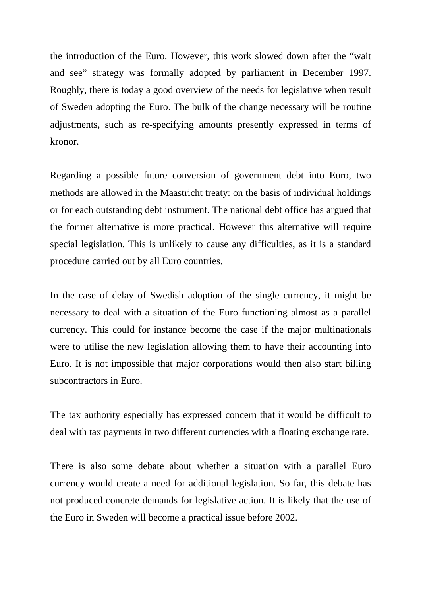the introduction of the Euro. However, this work slowed down after the "wait and see" strategy was formally adopted by parliament in December 1997. Roughly, there is today a good overview of the needs for legislative when result of Sweden adopting the Euro. The bulk of the change necessary will be routine adjustments, such as re-specifying amounts presently expressed in terms of kronor.

Regarding a possible future conversion of government debt into Euro, two methods are allowed in the Maastricht treaty: on the basis of individual holdings or for each outstanding debt instrument. The national debt office has argued that the former alternative is more practical. However this alternative will require special legislation. This is unlikely to cause any difficulties, as it is a standard procedure carried out by all Euro countries.

In the case of delay of Swedish adoption of the single currency, it might be necessary to deal with a situation of the Euro functioning almost as a parallel currency. This could for instance become the case if the major multinationals were to utilise the new legislation allowing them to have their accounting into Euro. It is not impossible that major corporations would then also start billing subcontractors in Euro.

The tax authority especially has expressed concern that it would be difficult to deal with tax payments in two different currencies with a floating exchange rate.

There is also some debate about whether a situation with a parallel Euro currency would create a need for additional legislation. So far, this debate has not produced concrete demands for legislative action. It is likely that the use of the Euro in Sweden will become a practical issue before 2002.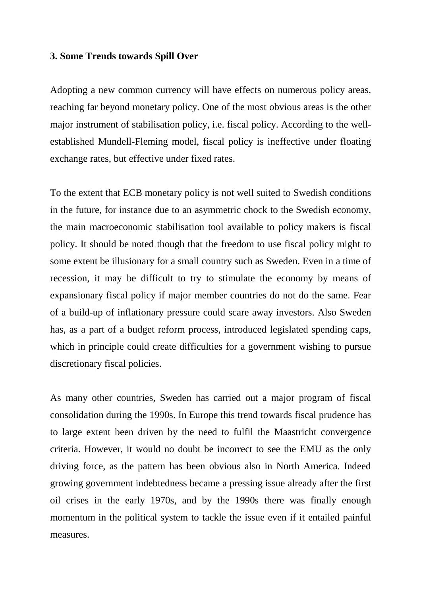#### **3. Some Trends towards Spill Over**

Adopting a new common currency will have effects on numerous policy areas, reaching far beyond monetary policy. One of the most obvious areas is the other major instrument of stabilisation policy, i.e. fiscal policy. According to the wellestablished Mundell-Fleming model, fiscal policy is ineffective under floating exchange rates, but effective under fixed rates.

To the extent that ECB monetary policy is not well suited to Swedish conditions in the future, for instance due to an asymmetric chock to the Swedish economy, the main macroeconomic stabilisation tool available to policy makers is fiscal policy. It should be noted though that the freedom to use fiscal policy might to some extent be illusionary for a small country such as Sweden. Even in a time of recession, it may be difficult to try to stimulate the economy by means of expansionary fiscal policy if major member countries do not do the same. Fear of a build-up of inflationary pressure could scare away investors. Also Sweden has, as a part of a budget reform process, introduced legislated spending caps, which in principle could create difficulties for a government wishing to pursue discretionary fiscal policies.

As many other countries, Sweden has carried out a major program of fiscal consolidation during the 1990s. In Europe this trend towards fiscal prudence has to large extent been driven by the need to fulfil the Maastricht convergence criteria. However, it would no doubt be incorrect to see the EMU as the only driving force, as the pattern has been obvious also in North America. Indeed growing government indebtedness became a pressing issue already after the first oil crises in the early 1970s, and by the 1990s there was finally enough momentum in the political system to tackle the issue even if it entailed painful measures.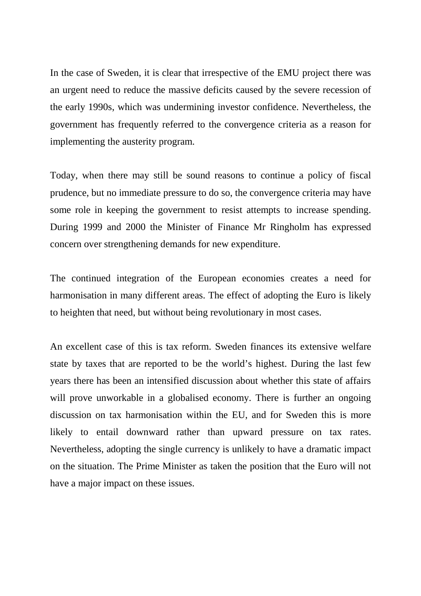In the case of Sweden, it is clear that irrespective of the EMU project there was an urgent need to reduce the massive deficits caused by the severe recession of the early 1990s, which was undermining investor confidence. Nevertheless, the government has frequently referred to the convergence criteria as a reason for implementing the austerity program.

Today, when there may still be sound reasons to continue a policy of fiscal prudence, but no immediate pressure to do so, the convergence criteria may have some role in keeping the government to resist attempts to increase spending. During 1999 and 2000 the Minister of Finance Mr Ringholm has expressed concern over strengthening demands for new expenditure.

The continued integration of the European economies creates a need for harmonisation in many different areas. The effect of adopting the Euro is likely to heighten that need, but without being revolutionary in most cases.

An excellent case of this is tax reform. Sweden finances its extensive welfare state by taxes that are reported to be the world's highest. During the last few years there has been an intensified discussion about whether this state of affairs will prove unworkable in a globalised economy. There is further an ongoing discussion on tax harmonisation within the EU, and for Sweden this is more likely to entail downward rather than upward pressure on tax rates. Nevertheless, adopting the single currency is unlikely to have a dramatic impact on the situation. The Prime Minister as taken the position that the Euro will not have a major impact on these issues.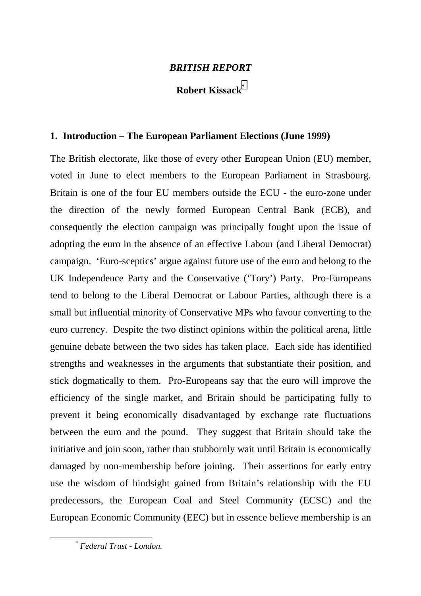### *BRITISH REPORT*

## **Robert Kissack\***

#### **1. Introduction – The European Parliament Elections (June 1999)**

The British electorate, like those of every other European Union (EU) member, voted in June to elect members to the European Parliament in Strasbourg. Britain is one of the four EU members outside the ECU - the euro-zone under the direction of the newly formed European Central Bank (ECB), and consequently the election campaign was principally fought upon the issue of adopting the euro in the absence of an effective Labour (and Liberal Democrat) campaign. 'Euro-sceptics' argue against future use of the euro and belong to the UK Independence Party and the Conservative ('Tory') Party. Pro-Europeans tend to belong to the Liberal Democrat or Labour Parties, although there is a small but influential minority of Conservative MPs who favour converting to the euro currency. Despite the two distinct opinions within the political arena, little genuine debate between the two sides has taken place. Each side has identified strengths and weaknesses in the arguments that substantiate their position, and stick dogmatically to them. Pro-Europeans say that the euro will improve the efficiency of the single market, and Britain should be participating fully to prevent it being economically disadvantaged by exchange rate fluctuations between the euro and the pound. They suggest that Britain should take the initiative and join soon, rather than stubbornly wait until Britain is economically damaged by non-membership before joining. Their assertions for early entry use the wisdom of hindsight gained from Britain's relationship with the EU predecessors, the European Coal and Steel Community (ECSC) and the European Economic Community (EEC) but in essence believe membership is an

*\* Federal Trust - London.*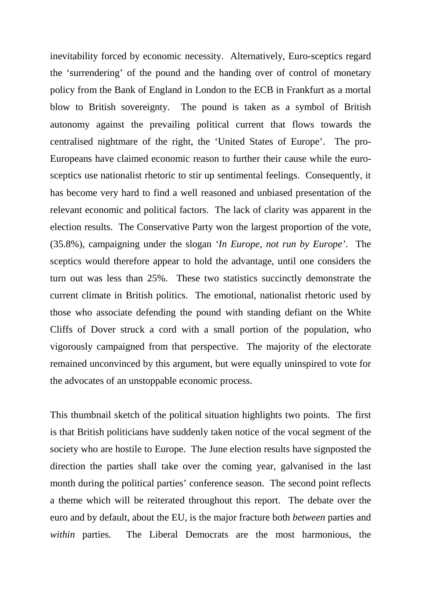inevitability forced by economic necessity. Alternatively, Euro-sceptics regard the 'surrendering' of the pound and the handing over of control of monetary policy from the Bank of England in London to the ECB in Frankfurt as a mortal blow to British sovereignty. The pound is taken as a symbol of British autonomy against the prevailing political current that flows towards the centralised nightmare of the right, the 'United States of Europe'. The pro-Europeans have claimed economic reason to further their cause while the eurosceptics use nationalist rhetoric to stir up sentimental feelings. Consequently, it has become very hard to find a well reasoned and unbiased presentation of the relevant economic and political factors. The lack of clarity was apparent in the election results. The Conservative Party won the largest proportion of the vote, (35.8%), campaigning under the slogan *'In Europe, not run by Europe'*. The sceptics would therefore appear to hold the advantage, until one considers the turn out was less than 25%. These two statistics succinctly demonstrate the current climate in British politics. The emotional, nationalist rhetoric used by those who associate defending the pound with standing defiant on the White Cliffs of Dover struck a cord with a small portion of the population, who vigorously campaigned from that perspective. The majority of the electorate remained unconvinced by this argument, but were equally uninspired to vote for the advocates of an unstoppable economic process.

This thumbnail sketch of the political situation highlights two points. The first is that British politicians have suddenly taken notice of the vocal segment of the society who are hostile to Europe. The June election results have signposted the direction the parties shall take over the coming year, galvanised in the last month during the political parties' conference season. The second point reflects a theme which will be reiterated throughout this report. The debate over the euro and by default, about the EU, is the major fracture both *between* parties and *within* parties. The Liberal Democrats are the most harmonious, the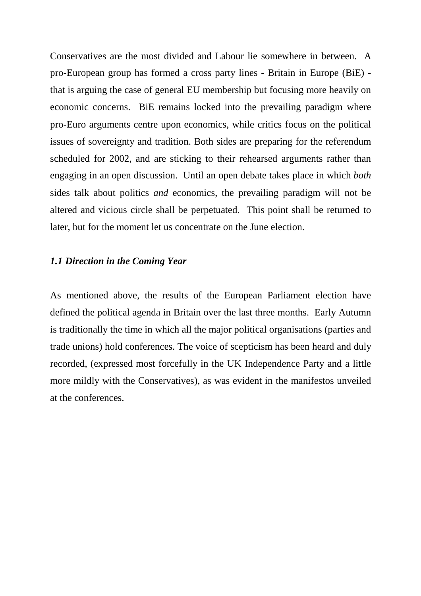Conservatives are the most divided and Labour lie somewhere in between. A pro-European group has formed a cross party lines - Britain in Europe (BiE) that is arguing the case of general EU membership but focusing more heavily on economic concerns. BiE remains locked into the prevailing paradigm where pro-Euro arguments centre upon economics, while critics focus on the political issues of sovereignty and tradition. Both sides are preparing for the referendum scheduled for 2002, and are sticking to their rehearsed arguments rather than engaging in an open discussion. Until an open debate takes place in which *both* sides talk about politics *and* economics, the prevailing paradigm will not be altered and vicious circle shall be perpetuated. This point shall be returned to later, but for the moment let us concentrate on the June election.

#### *1.1 Direction in the Coming Year*

As mentioned above, the results of the European Parliament election have defined the political agenda in Britain over the last three months. Early Autumn is traditionally the time in which all the major political organisations (parties and trade unions) hold conferences. The voice of scepticism has been heard and duly recorded, (expressed most forcefully in the UK Independence Party and a little more mildly with the Conservatives), as was evident in the manifestos unveiled at the conferences.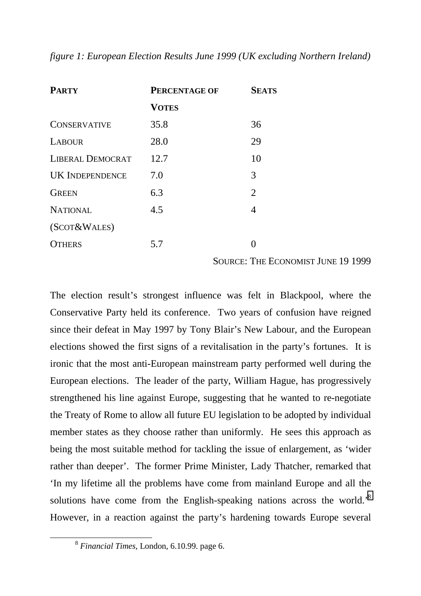*figure 1: European Election Results June 1999 (UK excluding Northern Ireland)*

| <b>PARTY</b>            | <b>PERCENTAGE OF</b> | <b>SEATS</b>   |
|-------------------------|----------------------|----------------|
|                         | <b>VOTES</b>         |                |
| <b>CONSERVATIVE</b>     | 35.8                 | 36             |
| <b>LABOUR</b>           | 28.0                 | 29             |
| <b>LIBERAL DEMOCRAT</b> | 12.7                 | 10             |
| <b>UK INDEPENDENCE</b>  | 7.0                  | 3              |
| <b>GREEN</b>            | 6.3                  | $\overline{2}$ |
| <b>NATIONAL</b>         | 4.5                  | 4              |
| (SCOT& WALES)           |                      |                |
| <b>OTHERS</b>           | 5.7                  |                |

SOURCE: THE ECONOMIST JUNE 19 1999

The election result's strongest influence was felt in Blackpool, where the Conservative Party held its conference. Two years of confusion have reigned since their defeat in May 1997 by Tony Blair's New Labour, and the European elections showed the first signs of a revitalisation in the party's fortunes. It is ironic that the most anti-European mainstream party performed well during the European elections. The leader of the party, William Hague, has progressively strengthened his line against Europe, suggesting that he wanted to re-negotiate the Treaty of Rome to allow all future EU legislation to be adopted by individual member states as they choose rather than uniformly. He sees this approach as being the most suitable method for tackling the issue of enlargement, as 'wider rather than deeper'. The former Prime Minister, Lady Thatcher, remarked that 'In my lifetime all the problems have come from mainland Europe and all the solutions have come from the English-speaking nations across the world.'8 However, in a reaction against the party's hardening towards Europe several

 <sup>8</sup> *Financial Times*, London, 6.10.99. page 6.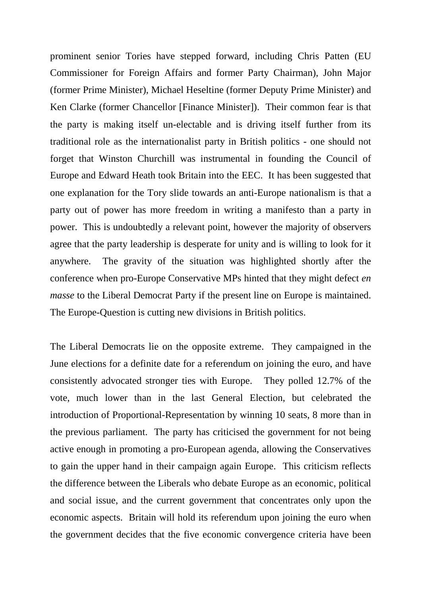prominent senior Tories have stepped forward, including Chris Patten (EU Commissioner for Foreign Affairs and former Party Chairman), John Major (former Prime Minister), Michael Heseltine (former Deputy Prime Minister) and Ken Clarke (former Chancellor [Finance Minister]). Their common fear is that the party is making itself un-electable and is driving itself further from its traditional role as the internationalist party in British politics - one should not forget that Winston Churchill was instrumental in founding the Council of Europe and Edward Heath took Britain into the EEC. It has been suggested that one explanation for the Tory slide towards an anti-Europe nationalism is that a party out of power has more freedom in writing a manifesto than a party in power. This is undoubtedly a relevant point, however the majority of observers agree that the party leadership is desperate for unity and is willing to look for it anywhere. The gravity of the situation was highlighted shortly after the conference when pro-Europe Conservative MPs hinted that they might defect *en masse* to the Liberal Democrat Party if the present line on Europe is maintained. The Europe-Question is cutting new divisions in British politics.

The Liberal Democrats lie on the opposite extreme. They campaigned in the June elections for a definite date for a referendum on joining the euro, and have consistently advocated stronger ties with Europe. They polled 12.7% of the vote, much lower than in the last General Election, but celebrated the introduction of Proportional-Representation by winning 10 seats, 8 more than in the previous parliament. The party has criticised the government for not being active enough in promoting a pro-European agenda, allowing the Conservatives to gain the upper hand in their campaign again Europe. This criticism reflects the difference between the Liberals who debate Europe as an economic, political and social issue, and the current government that concentrates only upon the economic aspects. Britain will hold its referendum upon joining the euro when the government decides that the five economic convergence criteria have been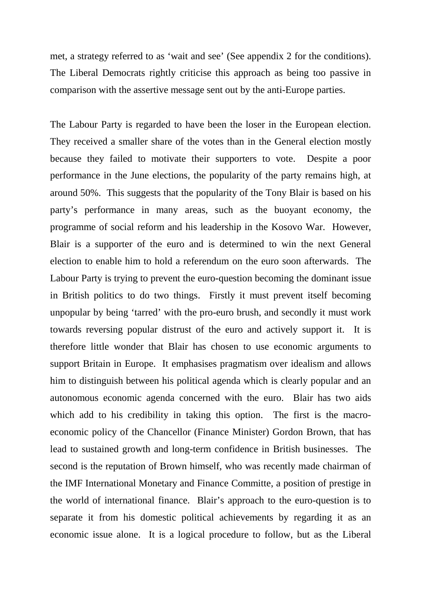met, a strategy referred to as 'wait and see' (See appendix 2 for the conditions). The Liberal Democrats rightly criticise this approach as being too passive in comparison with the assertive message sent out by the anti-Europe parties.

The Labour Party is regarded to have been the loser in the European election. They received a smaller share of the votes than in the General election mostly because they failed to motivate their supporters to vote. Despite a poor performance in the June elections, the popularity of the party remains high, at around 50%. This suggests that the popularity of the Tony Blair is based on his party's performance in many areas, such as the buoyant economy, the programme of social reform and his leadership in the Kosovo War. However, Blair is a supporter of the euro and is determined to win the next General election to enable him to hold a referendum on the euro soon afterwards. The Labour Party is trying to prevent the euro-question becoming the dominant issue in British politics to do two things. Firstly it must prevent itself becoming unpopular by being 'tarred' with the pro-euro brush, and secondly it must work towards reversing popular distrust of the euro and actively support it. It is therefore little wonder that Blair has chosen to use economic arguments to support Britain in Europe. It emphasises pragmatism over idealism and allows him to distinguish between his political agenda which is clearly popular and an autonomous economic agenda concerned with the euro. Blair has two aids which add to his credibility in taking this option. The first is the macroeconomic policy of the Chancellor (Finance Minister) Gordon Brown, that has lead to sustained growth and long-term confidence in British businesses. The second is the reputation of Brown himself, who was recently made chairman of the IMF International Monetary and Finance Committe, a position of prestige in the world of international finance. Blair's approach to the euro-question is to separate it from his domestic political achievements by regarding it as an economic issue alone. It is a logical procedure to follow, but as the Liberal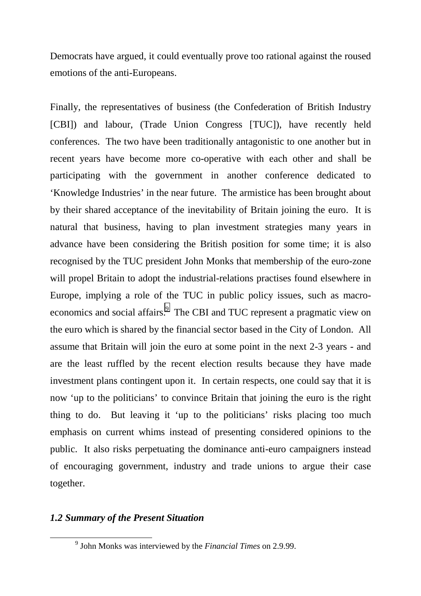Democrats have argued, it could eventually prove too rational against the roused emotions of the anti-Europeans.

Finally, the representatives of business (the Confederation of British Industry [CBI]) and labour, (Trade Union Congress [TUC]), have recently held conferences. The two have been traditionally antagonistic to one another but in recent years have become more co-operative with each other and shall be participating with the government in another conference dedicated to 'Knowledge Industries' in the near future. The armistice has been brought about by their shared acceptance of the inevitability of Britain joining the euro. It is natural that business, having to plan investment strategies many years in advance have been considering the British position for some time; it is also recognised by the TUC president John Monks that membership of the euro-zone will propel Britain to adopt the industrial-relations practises found elsewhere in Europe, implying a role of the TUC in public policy issues, such as macroeconomics and social affairs.<sup>9</sup> The CBI and TUC represent a pragmatic view on the euro which is shared by the financial sector based in the City of London. All assume that Britain will join the euro at some point in the next 2-3 years - and are the least ruffled by the recent election results because they have made investment plans contingent upon it. In certain respects, one could say that it is now 'up to the politicians' to convince Britain that joining the euro is the right thing to do. But leaving it 'up to the politicians' risks placing too much emphasis on current whims instead of presenting considered opinions to the public. It also risks perpetuating the dominance anti-euro campaigners instead of encouraging government, industry and trade unions to argue their case together.

### *1.2 Summary of the Present Situation*

 <sup>9</sup> <sup>9</sup> John Monks was interviewed by the *Financial Times* on 2.9.99.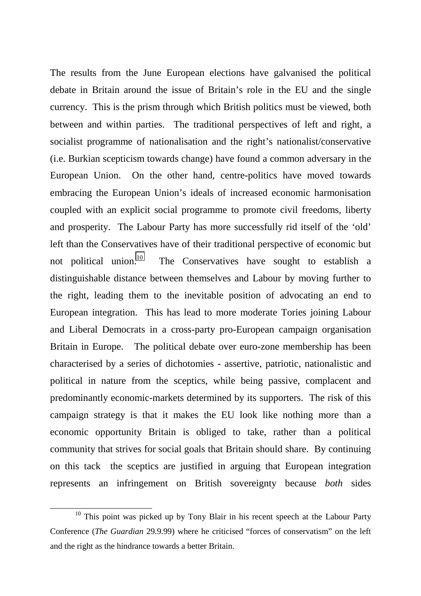The results from the June European elections have galvanised the political debate in Britain around the issue of Britain's role in the EU and the single currency. This is the prism through which British politics must be viewed, both between and within parties. The traditional perspectives of left and right, a socialist programme of nationalisation and the right's nationalist/conservative (i.e. Burkian scepticism towards change) have found a common adversary in the European Union. On the other hand, centre-politics have moved towards embracing the European Union's ideals of increased economic harmonisation coupled with an explicit social programme to promote civil freedoms, liberty and prosperity. The Labour Party has more successfully rid itself of the 'old' left than the Conservatives have of their traditional perspective of economic but not political union.10 The Conservatives have sought to establish a distinguishable distance between themselves and Labour by moving further to the right, leading them to the inevitable position of advocating an end to European integration. This has lead to more moderate Tories joining Labour and Liberal Democrats in a cross-party pro-European campaign organisation Britain in Europe. The political debate over euro-zone membership has been characterised by a series of dichotomies - assertive, patriotic, nationalistic and political in nature from the sceptics, while being passive, complacent and predominantly economic-markets determined by its supporters. The risk of this campaign strategy is that it makes the EU look like nothing more than a economic opportunity Britain is obliged to take, rather than a political community that strives for social goals that Britain should share. By continuing on this tack the sceptics are justified in arguing that European integration represents an infringement on British sovereignty because *both* sides

<sup>&</sup>lt;sup>10</sup> This point was picked up by Tony Blair in his recent speech at the Labour Party Conference (*The Guardian* 29.9.99) where he criticised "forces of conservatism" on the left and the right as the hindrance towards a better Britain.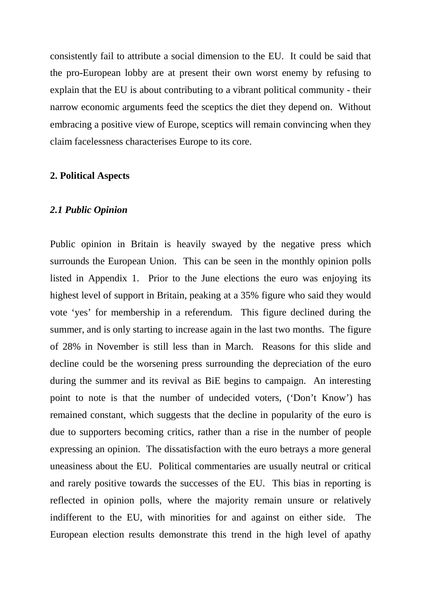consistently fail to attribute a social dimension to the EU. It could be said that the pro-European lobby are at present their own worst enemy by refusing to explain that the EU is about contributing to a vibrant political community - their narrow economic arguments feed the sceptics the diet they depend on. Without embracing a positive view of Europe, sceptics will remain convincing when they claim facelessness characterises Europe to its core.

### **2. Political Aspects**

#### *2.1 Public Opinion*

Public opinion in Britain is heavily swayed by the negative press which surrounds the European Union. This can be seen in the monthly opinion polls listed in Appendix 1. Prior to the June elections the euro was enjoying its highest level of support in Britain, peaking at a 35% figure who said they would vote 'yes' for membership in a referendum. This figure declined during the summer, and is only starting to increase again in the last two months. The figure of 28% in November is still less than in March. Reasons for this slide and decline could be the worsening press surrounding the depreciation of the euro during the summer and its revival as BiE begins to campaign. An interesting point to note is that the number of undecided voters, ('Don't Know') has remained constant, which suggests that the decline in popularity of the euro is due to supporters becoming critics, rather than a rise in the number of people expressing an opinion. The dissatisfaction with the euro betrays a more general uneasiness about the EU. Political commentaries are usually neutral or critical and rarely positive towards the successes of the EU. This bias in reporting is reflected in opinion polls, where the majority remain unsure or relatively indifferent to the EU, with minorities for and against on either side. The European election results demonstrate this trend in the high level of apathy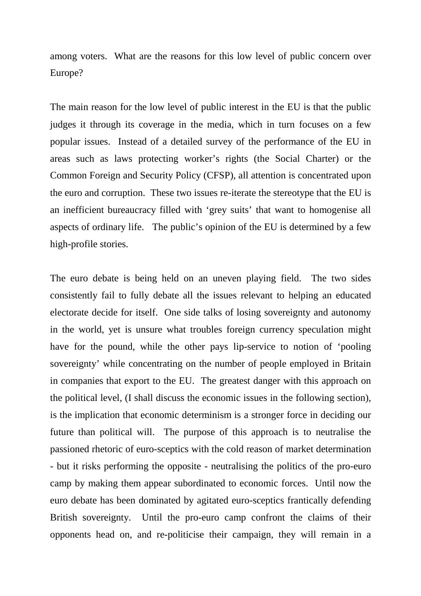among voters. What are the reasons for this low level of public concern over Europe?

The main reason for the low level of public interest in the EU is that the public judges it through its coverage in the media, which in turn focuses on a few popular issues. Instead of a detailed survey of the performance of the EU in areas such as laws protecting worker's rights (the Social Charter) or the Common Foreign and Security Policy (CFSP), all attention is concentrated upon the euro and corruption. These two issues re-iterate the stereotype that the EU is an inefficient bureaucracy filled with 'grey suits' that want to homogenise all aspects of ordinary life. The public's opinion of the EU is determined by a few high-profile stories.

The euro debate is being held on an uneven playing field. The two sides consistently fail to fully debate all the issues relevant to helping an educated electorate decide for itself. One side talks of losing sovereignty and autonomy in the world, yet is unsure what troubles foreign currency speculation might have for the pound, while the other pays lip-service to notion of 'pooling sovereignty' while concentrating on the number of people employed in Britain in companies that export to the EU. The greatest danger with this approach on the political level, (I shall discuss the economic issues in the following section), is the implication that economic determinism is a stronger force in deciding our future than political will. The purpose of this approach is to neutralise the passioned rhetoric of euro-sceptics with the cold reason of market determination - but it risks performing the opposite - neutralising the politics of the pro-euro camp by making them appear subordinated to economic forces. Until now the euro debate has been dominated by agitated euro-sceptics frantically defending British sovereignty. Until the pro-euro camp confront the claims of their opponents head on, and re-politicise their campaign, they will remain in a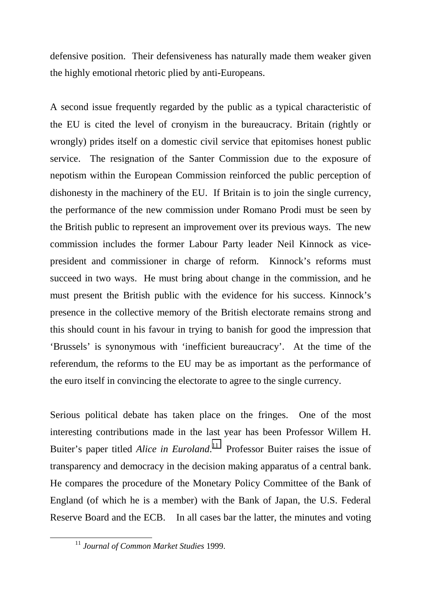defensive position. Their defensiveness has naturally made them weaker given the highly emotional rhetoric plied by anti-Europeans.

A second issue frequently regarded by the public as a typical characteristic of the EU is cited the level of cronyism in the bureaucracy. Britain (rightly or wrongly) prides itself on a domestic civil service that epitomises honest public service. The resignation of the Santer Commission due to the exposure of nepotism within the European Commission reinforced the public perception of dishonesty in the machinery of the EU. If Britain is to join the single currency, the performance of the new commission under Romano Prodi must be seen by the British public to represent an improvement over its previous ways. The new commission includes the former Labour Party leader Neil Kinnock as vicepresident and commissioner in charge of reform. Kinnock's reforms must succeed in two ways. He must bring about change in the commission, and he must present the British public with the evidence for his success. Kinnock's presence in the collective memory of the British electorate remains strong and this should count in his favour in trying to banish for good the impression that 'Brussels' is synonymous with 'inefficient bureaucracy'. At the time of the referendum, the reforms to the EU may be as important as the performance of the euro itself in convincing the electorate to agree to the single currency.

Serious political debate has taken place on the fringes. One of the most interesting contributions made in the last year has been Professor Willem H. Buiter's paper titled *Alice in Euroland*.<sup>11</sup> Professor Buiter raises the issue of transparency and democracy in the decision making apparatus of a central bank. He compares the procedure of the Monetary Policy Committee of the Bank of England (of which he is a member) with the Bank of Japan, the U.S. Federal Reserve Board and the ECB. In all cases bar the latter, the minutes and voting

 <sup>11</sup> *Journal of Common Market Studies* 1999.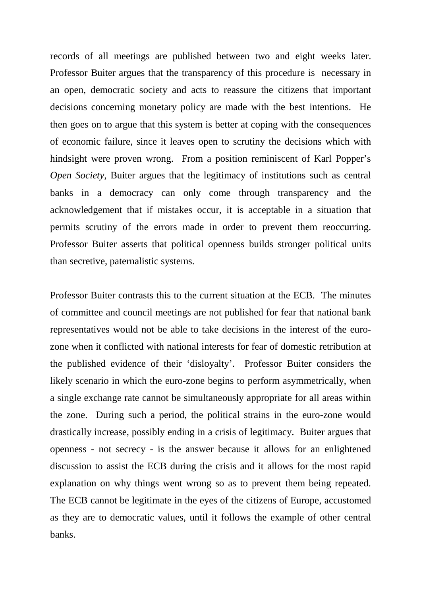records of all meetings are published between two and eight weeks later. Professor Buiter argues that the transparency of this procedure is necessary in an open, democratic society and acts to reassure the citizens that important decisions concerning monetary policy are made with the best intentions. He then goes on to argue that this system is better at coping with the consequences of economic failure, since it leaves open to scrutiny the decisions which with hindsight were proven wrong. From a position reminiscent of Karl Popper's *Open Society*, Buiter argues that the legitimacy of institutions such as central banks in a democracy can only come through transparency and the acknowledgement that if mistakes occur, it is acceptable in a situation that permits scrutiny of the errors made in order to prevent them reoccurring. Professor Buiter asserts that political openness builds stronger political units than secretive, paternalistic systems.

Professor Buiter contrasts this to the current situation at the ECB. The minutes of committee and council meetings are not published for fear that national bank representatives would not be able to take decisions in the interest of the eurozone when it conflicted with national interests for fear of domestic retribution at the published evidence of their 'disloyalty'. Professor Buiter considers the likely scenario in which the euro-zone begins to perform asymmetrically, when a single exchange rate cannot be simultaneously appropriate for all areas within the zone. During such a period, the political strains in the euro-zone would drastically increase, possibly ending in a crisis of legitimacy. Buiter argues that openness - not secrecy - is the answer because it allows for an enlightened discussion to assist the ECB during the crisis and it allows for the most rapid explanation on why things went wrong so as to prevent them being repeated. The ECB cannot be legitimate in the eyes of the citizens of Europe, accustomed as they are to democratic values, until it follows the example of other central banks.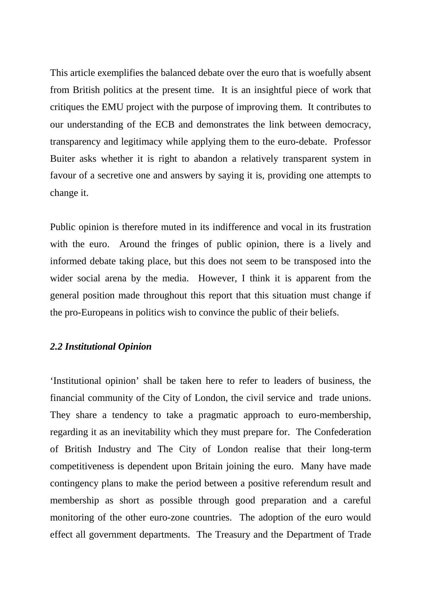This article exemplifies the balanced debate over the euro that is woefully absent from British politics at the present time. It is an insightful piece of work that critiques the EMU project with the purpose of improving them. It contributes to our understanding of the ECB and demonstrates the link between democracy, transparency and legitimacy while applying them to the euro-debate. Professor Buiter asks whether it is right to abandon a relatively transparent system in favour of a secretive one and answers by saying it is, providing one attempts to change it.

Public opinion is therefore muted in its indifference and vocal in its frustration with the euro. Around the fringes of public opinion, there is a lively and informed debate taking place, but this does not seem to be transposed into the wider social arena by the media. However, I think it is apparent from the general position made throughout this report that this situation must change if the pro-Europeans in politics wish to convince the public of their beliefs.

### *2.2 Institutional Opinion*

'Institutional opinion' shall be taken here to refer to leaders of business, the financial community of the City of London, the civil service and trade unions. They share a tendency to take a pragmatic approach to euro-membership, regarding it as an inevitability which they must prepare for. The Confederation of British Industry and The City of London realise that their long-term competitiveness is dependent upon Britain joining the euro. Many have made contingency plans to make the period between a positive referendum result and membership as short as possible through good preparation and a careful monitoring of the other euro-zone countries. The adoption of the euro would effect all government departments. The Treasury and the Department of Trade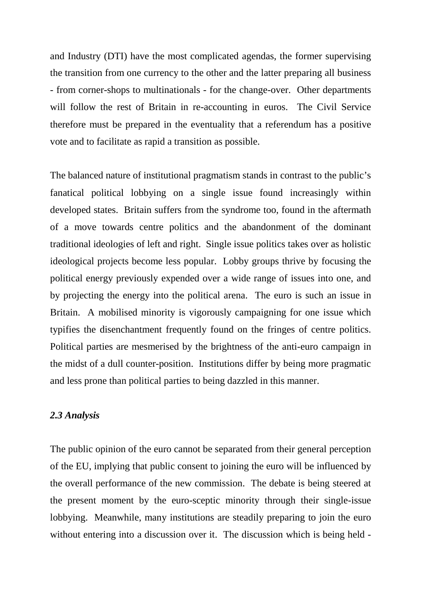and Industry (DTI) have the most complicated agendas, the former supervising the transition from one currency to the other and the latter preparing all business - from corner-shops to multinationals - for the change-over. Other departments will follow the rest of Britain in re-accounting in euros. The Civil Service therefore must be prepared in the eventuality that a referendum has a positive vote and to facilitate as rapid a transition as possible.

The balanced nature of institutional pragmatism stands in contrast to the public's fanatical political lobbying on a single issue found increasingly within developed states. Britain suffers from the syndrome too, found in the aftermath of a move towards centre politics and the abandonment of the dominant traditional ideologies of left and right. Single issue politics takes over as holistic ideological projects become less popular. Lobby groups thrive by focusing the political energy previously expended over a wide range of issues into one, and by projecting the energy into the political arena. The euro is such an issue in Britain. A mobilised minority is vigorously campaigning for one issue which typifies the disenchantment frequently found on the fringes of centre politics. Political parties are mesmerised by the brightness of the anti-euro campaign in the midst of a dull counter-position. Institutions differ by being more pragmatic and less prone than political parties to being dazzled in this manner.

### *2.3 Analysis*

The public opinion of the euro cannot be separated from their general perception of the EU, implying that public consent to joining the euro will be influenced by the overall performance of the new commission. The debate is being steered at the present moment by the euro-sceptic minority through their single-issue lobbying. Meanwhile, many institutions are steadily preparing to join the euro without entering into a discussion over it. The discussion which is being held -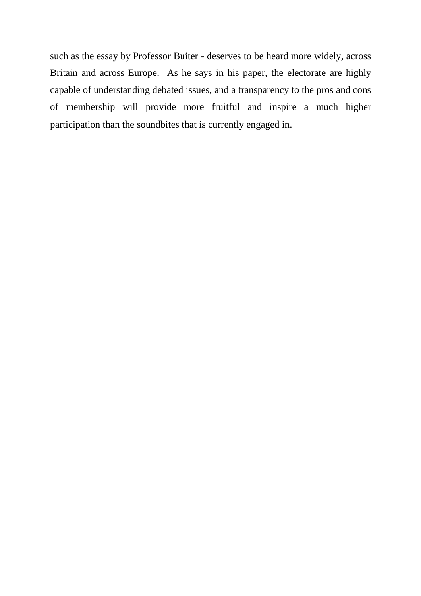such as the essay by Professor Buiter - deserves to be heard more widely, across Britain and across Europe. As he says in his paper, the electorate are highly capable of understanding debated issues, and a transparency to the pros and cons of membership will provide more fruitful and inspire a much higher participation than the soundbites that is currently engaged in.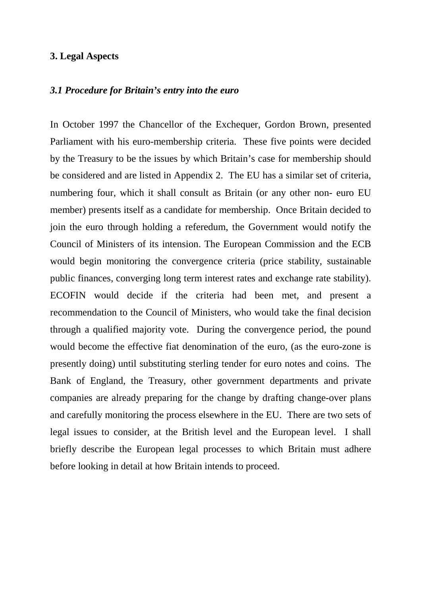### **3. Legal Aspects**

#### *3.1 Procedure for Britain's entry into the euro*

In October 1997 the Chancellor of the Exchequer, Gordon Brown, presented Parliament with his euro-membership criteria. These five points were decided by the Treasury to be the issues by which Britain's case for membership should be considered and are listed in Appendix 2. The EU has a similar set of criteria, numbering four, which it shall consult as Britain (or any other non- euro EU member) presents itself as a candidate for membership. Once Britain decided to join the euro through holding a referedum, the Government would notify the Council of Ministers of its intension. The European Commission and the ECB would begin monitoring the convergence criteria (price stability, sustainable public finances, converging long term interest rates and exchange rate stability). ECOFIN would decide if the criteria had been met, and present a recommendation to the Council of Ministers, who would take the final decision through a qualified majority vote. During the convergence period, the pound would become the effective fiat denomination of the euro, (as the euro-zone is presently doing) until substituting sterling tender for euro notes and coins. The Bank of England, the Treasury, other government departments and private companies are already preparing for the change by drafting change-over plans and carefully monitoring the process elsewhere in the EU. There are two sets of legal issues to consider, at the British level and the European level. I shall briefly describe the European legal processes to which Britain must adhere before looking in detail at how Britain intends to proceed.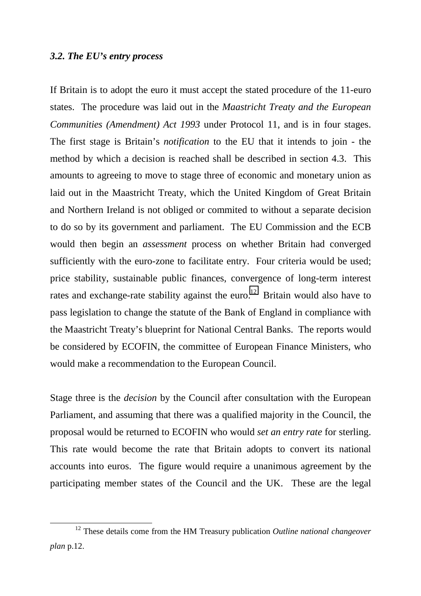#### *3.2. The EU's entry process*

If Britain is to adopt the euro it must accept the stated procedure of the 11-euro states. The procedure was laid out in the *Maastricht Treaty and the European Communities (Amendment) Act 1993* under Protocol 11, and is in four stages. The first stage is Britain's *notification* to the EU that it intends to join - the method by which a decision is reached shall be described in section 4.3. This amounts to agreeing to move to stage three of economic and monetary union as laid out in the Maastricht Treaty, which the United Kingdom of Great Britain and Northern Ireland is not obliged or commited to without a separate decision to do so by its government and parliament. The EU Commission and the ECB would then begin an *assessment* process on whether Britain had converged sufficiently with the euro-zone to facilitate entry. Four criteria would be used; price stability, sustainable public finances, convergence of long-term interest rates and exchange-rate stability against the euro.<sup>12</sup> Britain would also have to pass legislation to change the statute of the Bank of England in compliance with the Maastricht Treaty's blueprint for National Central Banks. The reports would be considered by ECOFIN, the committee of European Finance Ministers, who would make a recommendation to the European Council.

Stage three is the *decision* by the Council after consultation with the European Parliament, and assuming that there was a qualified majority in the Council, the proposal would be returned to ECOFIN who would *set an entry rate* for sterling. This rate would become the rate that Britain adopts to convert its national accounts into euros. The figure would require a unanimous agreement by the participating member states of the Council and the UK. These are the legal

 <sup>12</sup> These details come from the HM Treasury publication *Outline national changeover plan* p.12.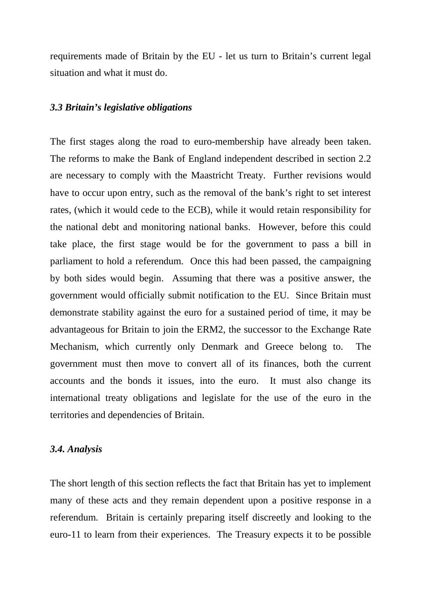requirements made of Britain by the EU - let us turn to Britain's current legal situation and what it must do.

#### *3.3 Britain's legislative obligations*

The first stages along the road to euro-membership have already been taken. The reforms to make the Bank of England independent described in section 2.2 are necessary to comply with the Maastricht Treaty. Further revisions would have to occur upon entry, such as the removal of the bank's right to set interest rates, (which it would cede to the ECB), while it would retain responsibility for the national debt and monitoring national banks. However, before this could take place, the first stage would be for the government to pass a bill in parliament to hold a referendum. Once this had been passed, the campaigning by both sides would begin. Assuming that there was a positive answer, the government would officially submit notification to the EU. Since Britain must demonstrate stability against the euro for a sustained period of time, it may be advantageous for Britain to join the ERM2, the successor to the Exchange Rate Mechanism, which currently only Denmark and Greece belong to. The government must then move to convert all of its finances, both the current accounts and the bonds it issues, into the euro. It must also change its international treaty obligations and legislate for the use of the euro in the territories and dependencies of Britain.

#### *3.4. Analysis*

The short length of this section reflects the fact that Britain has yet to implement many of these acts and they remain dependent upon a positive response in a referendum. Britain is certainly preparing itself discreetly and looking to the euro-11 to learn from their experiences. The Treasury expects it to be possible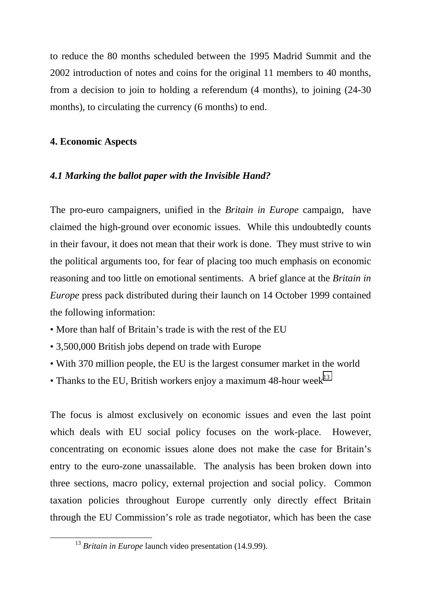to reduce the 80 months scheduled between the 1995 Madrid Summit and the 2002 introduction of notes and coins for the original 11 members to 40 months, from a decision to join to holding a referendum (4 months), to joining (24-30 months), to circulating the currency (6 months) to end.

# **4. Economic Aspects**

### *4.1 Marking the ballot paper with the Invisible Hand?*

The pro-euro campaigners, unified in the *Britain in Europe* campaign, have claimed the high-ground over economic issues. While this undoubtedly counts in their favour, it does not mean that their work is done. They must strive to win the political arguments too, for fear of placing too much emphasis on economic reasoning and too little on emotional sentiments. A brief glance at the *Britain in Europe* press pack distributed during their launch on 14 October 1999 contained the following information:

- More than half of Britain's trade is with the rest of the EU
- 3,500,000 British jobs depend on trade with Europe
- With 370 million people, the EU is the largest consumer market in the world
- Thanks to the EU, British workers enjoy a maximum 48-hour week<sup>13</sup>

The focus is almost exclusively on economic issues and even the last point which deals with EU social policy focuses on the work-place. However, concentrating on economic issues alone does not make the case for Britain's entry to the euro-zone unassailable. The analysis has been broken down into three sections, macro policy, external projection and social policy. Common taxation policies throughout Europe currently only directly effect Britain through the EU Commission's role as trade negotiator, which has been the case

<sup>&</sup>lt;sup>13</sup> *Britain in Europe* launch video presentation (14.9.99).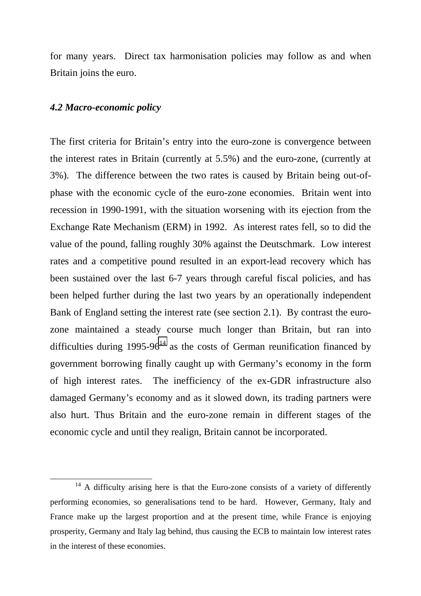for many years. Direct tax harmonisation policies may follow as and when Britain joins the euro.

#### *4.2 Macro-economic policy*

The first criteria for Britain's entry into the euro-zone is convergence between the interest rates in Britain (currently at 5.5%) and the euro-zone, (currently at 3%). The difference between the two rates is caused by Britain being out-ofphase with the economic cycle of the euro-zone economies. Britain went into recession in 1990-1991, with the situation worsening with its ejection from the Exchange Rate Mechanism (ERM) in 1992. As interest rates fell, so to did the value of the pound, falling roughly 30% against the Deutschmark. Low interest rates and a competitive pound resulted in an export-lead recovery which has been sustained over the last 6-7 years through careful fiscal policies, and has been helped further during the last two years by an operationally independent Bank of England setting the interest rate (see section 2.1). By contrast the eurozone maintained a steady course much longer than Britain, but ran into difficulties during  $1995-96^{14}$  as the costs of German reunification financed by government borrowing finally caught up with Germany's economy in the form of high interest rates. The inefficiency of the ex-GDR infrastructure also damaged Germany's economy and as it slowed down, its trading partners were also hurt. Thus Britain and the euro-zone remain in different stages of the economic cycle and until they realign, Britain cannot be incorporated.

<sup>&</sup>lt;sup>14</sup> A difficulty arising here is that the Euro-zone consists of a variety of differently performing economies, so generalisations tend to be hard. However, Germany, Italy and France make up the largest proportion and at the present time, while France is enjoying prosperity, Germany and Italy lag behind, thus causing the ECB to maintain low interest rates in the interest of these economies.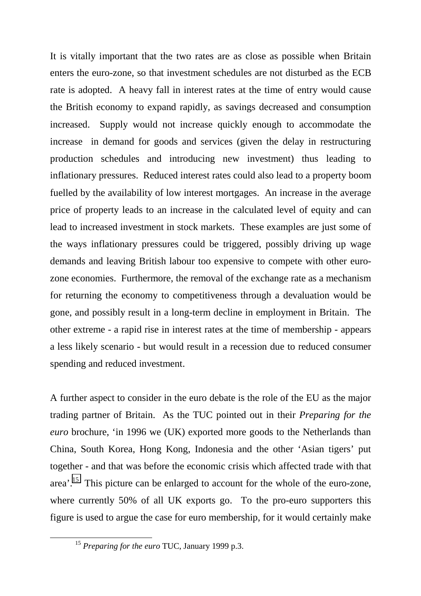It is vitally important that the two rates are as close as possible when Britain enters the euro-zone, so that investment schedules are not disturbed as the ECB rate is adopted. A heavy fall in interest rates at the time of entry would cause the British economy to expand rapidly, as savings decreased and consumption increased. Supply would not increase quickly enough to accommodate the increase in demand for goods and services (given the delay in restructuring production schedules and introducing new investment) thus leading to inflationary pressures. Reduced interest rates could also lead to a property boom fuelled by the availability of low interest mortgages. An increase in the average price of property leads to an increase in the calculated level of equity and can lead to increased investment in stock markets. These examples are just some of the ways inflationary pressures could be triggered, possibly driving up wage demands and leaving British labour too expensive to compete with other eurozone economies. Furthermore, the removal of the exchange rate as a mechanism for returning the economy to competitiveness through a devaluation would be gone, and possibly result in a long-term decline in employment in Britain. The other extreme - a rapid rise in interest rates at the time of membership - appears a less likely scenario - but would result in a recession due to reduced consumer spending and reduced investment.

A further aspect to consider in the euro debate is the role of the EU as the major trading partner of Britain. As the TUC pointed out in their *Preparing for the euro* brochure, 'in 1996 we (UK) exported more goods to the Netherlands than China, South Korea, Hong Kong, Indonesia and the other 'Asian tigers' put together - and that was before the economic crisis which affected trade with that area'.15 This picture can be enlarged to account for the whole of the euro-zone, where currently 50% of all UK exports go. To the pro-euro supporters this figure is used to argue the case for euro membership, for it would certainly make

 <sup>15</sup> *Preparing for the euro* TUC, January 1999 p.3.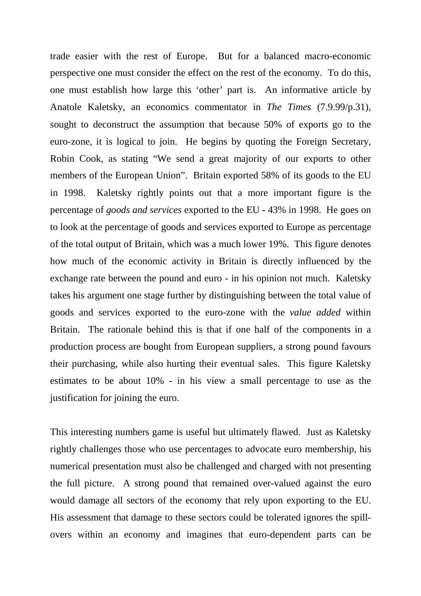trade easier with the rest of Europe. But for a balanced macro-economic perspective one must consider the effect on the rest of the economy. To do this, one must establish how large this 'other' part is. An informative article by Anatole Kaletsky, an economics commentator in *The Times* (7.9.99/p.31), sought to deconstruct the assumption that because 50% of exports go to the euro-zone, it is logical to join. He begins by quoting the Foreign Secretary, Robin Cook, as stating "We send a great majority of our exports to other members of the European Union". Britain exported 58% of its goods to the EU in 1998. Kaletsky rightly points out that a more important figure is the percentage of *goods and services* exported to the EU - 43% in 1998. He goes on to look at the percentage of goods and services exported to Europe as percentage of the total output of Britain, which was a much lower 19%. This figure denotes how much of the economic activity in Britain is directly influenced by the exchange rate between the pound and euro - in his opinion not much. Kaletsky takes his argument one stage further by distinguishing between the total value of goods and services exported to the euro-zone with the *value added* within Britain. The rationale behind this is that if one half of the components in a production process are bought from European suppliers, a strong pound favours their purchasing, while also hurting their eventual sales. This figure Kaletsky estimates to be about 10% - in his view a small percentage to use as the justification for joining the euro.

This interesting numbers game is useful but ultimately flawed. Just as Kaletsky rightly challenges those who use percentages to advocate euro membership, his numerical presentation must also be challenged and charged with not presenting the full picture. A strong pound that remained over-valued against the euro would damage all sectors of the economy that rely upon exporting to the EU. His assessment that damage to these sectors could be tolerated ignores the spillovers within an economy and imagines that euro-dependent parts can be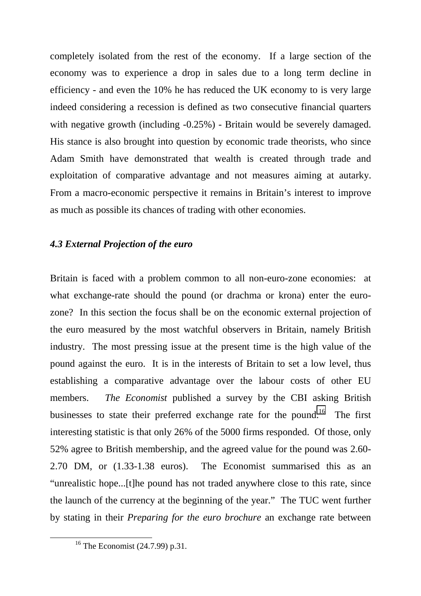completely isolated from the rest of the economy. If a large section of the economy was to experience a drop in sales due to a long term decline in efficiency - and even the 10% he has reduced the UK economy to is very large indeed considering a recession is defined as two consecutive financial quarters with negative growth (including -0.25%) - Britain would be severely damaged. His stance is also brought into question by economic trade theorists, who since Adam Smith have demonstrated that wealth is created through trade and exploitation of comparative advantage and not measures aiming at autarky. From a macro-economic perspective it remains in Britain's interest to improve as much as possible its chances of trading with other economies.

### *4.3 External Projection of the euro*

Britain is faced with a problem common to all non-euro-zone economies: at what exchange-rate should the pound (or drachma or krona) enter the eurozone? In this section the focus shall be on the economic external projection of the euro measured by the most watchful observers in Britain, namely British industry. The most pressing issue at the present time is the high value of the pound against the euro. It is in the interests of Britain to set a low level, thus establishing a comparative advantage over the labour costs of other EU members. *The Economist* published a survey by the CBI asking British businesses to state their preferred exchange rate for the pound.<sup>16</sup> The first interesting statistic is that only 26% of the 5000 firms responded. Of those, only 52% agree to British membership, and the agreed value for the pound was 2.60- 2.70 DM, or (1.33-1.38 euros). The Economist summarised this as an "unrealistic hope...[t]he pound has not traded anywhere close to this rate, since the launch of the currency at the beginning of the year." The TUC went further by stating in their *Preparing for the euro brochure* an exchange rate between

 <sup>16</sup> The Economist (24.7.99) p.31.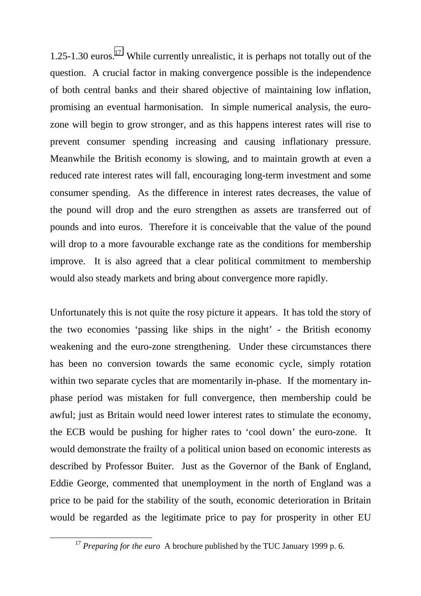1.25-1.30 euros.<sup>17</sup> While currently unrealistic, it is perhaps not totally out of the question. A crucial factor in making convergence possible is the independence of both central banks and their shared objective of maintaining low inflation, promising an eventual harmonisation. In simple numerical analysis, the eurozone will begin to grow stronger, and as this happens interest rates will rise to prevent consumer spending increasing and causing inflationary pressure. Meanwhile the British economy is slowing, and to maintain growth at even a reduced rate interest rates will fall, encouraging long-term investment and some consumer spending. As the difference in interest rates decreases, the value of the pound will drop and the euro strengthen as assets are transferred out of pounds and into euros. Therefore it is conceivable that the value of the pound will drop to a more favourable exchange rate as the conditions for membership improve. It is also agreed that a clear political commitment to membership would also steady markets and bring about convergence more rapidly.

Unfortunately this is not quite the rosy picture it appears. It has told the story of the two economies 'passing like ships in the night' - the British economy weakening and the euro-zone strengthening. Under these circumstances there has been no conversion towards the same economic cycle, simply rotation within two separate cycles that are momentarily in-phase. If the momentary inphase period was mistaken for full convergence, then membership could be awful; just as Britain would need lower interest rates to stimulate the economy, the ECB would be pushing for higher rates to 'cool down' the euro-zone. It would demonstrate the frailty of a political union based on economic interests as described by Professor Buiter. Just as the Governor of the Bank of England, Eddie George, commented that unemployment in the north of England was a price to be paid for the stability of the south, economic deterioration in Britain would be regarded as the legitimate price to pay for prosperity in other EU

<sup>&</sup>lt;sup>17</sup> *Preparing for the euro* A brochure published by the TUC January 1999 p. 6.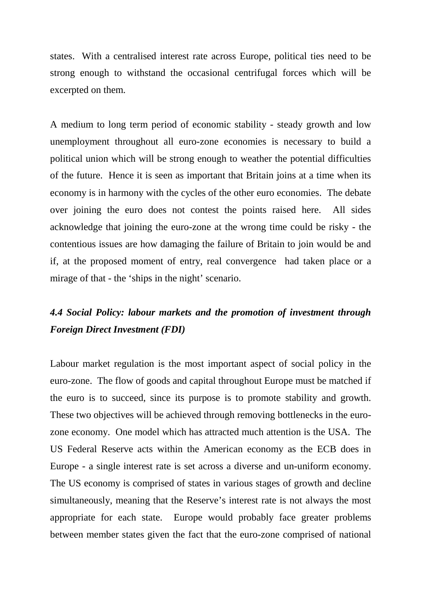states. With a centralised interest rate across Europe, political ties need to be strong enough to withstand the occasional centrifugal forces which will be excerpted on them.

A medium to long term period of economic stability - steady growth and low unemployment throughout all euro-zone economies is necessary to build a political union which will be strong enough to weather the potential difficulties of the future. Hence it is seen as important that Britain joins at a time when its economy is in harmony with the cycles of the other euro economies. The debate over joining the euro does not contest the points raised here. All sides acknowledge that joining the euro-zone at the wrong time could be risky - the contentious issues are how damaging the failure of Britain to join would be and if, at the proposed moment of entry, real convergence had taken place or a mirage of that - the 'ships in the night' scenario.

# *4.4 Social Policy: labour markets and the promotion of investment through Foreign Direct Investment (FDI)*

Labour market regulation is the most important aspect of social policy in the euro-zone. The flow of goods and capital throughout Europe must be matched if the euro is to succeed, since its purpose is to promote stability and growth. These two objectives will be achieved through removing bottlenecks in the eurozone economy. One model which has attracted much attention is the USA. The US Federal Reserve acts within the American economy as the ECB does in Europe - a single interest rate is set across a diverse and un-uniform economy. The US economy is comprised of states in various stages of growth and decline simultaneously, meaning that the Reserve's interest rate is not always the most appropriate for each state. Europe would probably face greater problems between member states given the fact that the euro-zone comprised of national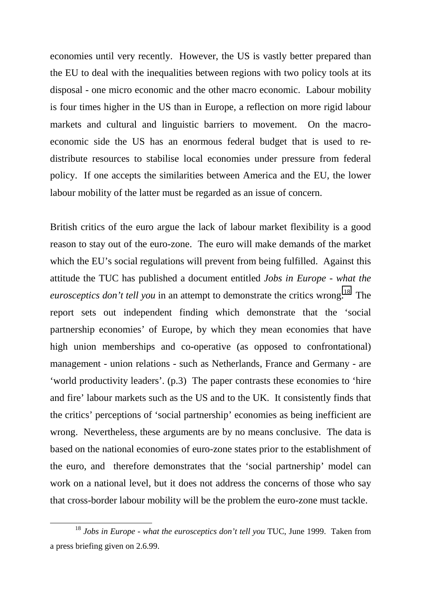economies until very recently. However, the US is vastly better prepared than the EU to deal with the inequalities between regions with two policy tools at its disposal - one micro economic and the other macro economic. Labour mobility is four times higher in the US than in Europe, a reflection on more rigid labour markets and cultural and linguistic barriers to movement. On the macroeconomic side the US has an enormous federal budget that is used to redistribute resources to stabilise local economies under pressure from federal policy. If one accepts the similarities between America and the EU, the lower labour mobility of the latter must be regarded as an issue of concern.

British critics of the euro argue the lack of labour market flexibility is a good reason to stay out of the euro-zone. The euro will make demands of the market which the EU's social regulations will prevent from being fulfilled. Against this attitude the TUC has published a document entitled *Jobs in Europe - what the eurosceptics don't tell you* in an attempt to demonstrate the critics wrong.<sup>18</sup> The report sets out independent finding which demonstrate that the 'social partnership economies' of Europe, by which they mean economies that have high union memberships and co-operative (as opposed to confrontational) management - union relations - such as Netherlands, France and Germany - are 'world productivity leaders'. (p.3) The paper contrasts these economies to 'hire and fire' labour markets such as the US and to the UK. It consistently finds that the critics' perceptions of 'social partnership' economies as being inefficient are wrong. Nevertheless, these arguments are by no means conclusive. The data is based on the national economies of euro-zone states prior to the establishment of the euro, and therefore demonstrates that the 'social partnership' model can work on a national level, but it does not address the concerns of those who say that cross-border labour mobility will be the problem the euro-zone must tackle.

 <sup>18</sup> *Jobs in Europe - what the eurosceptics don't tell you* TUC, June 1999. Taken from a press briefing given on 2.6.99.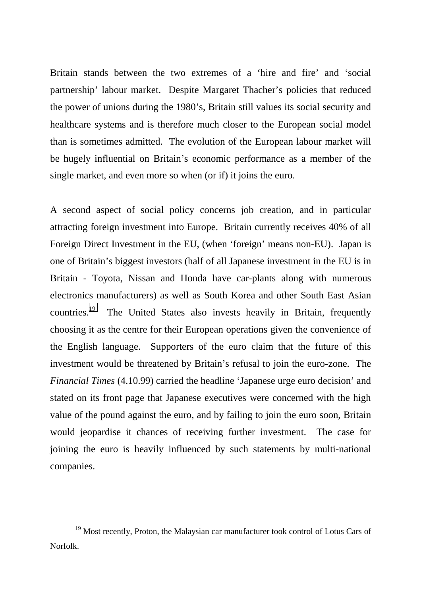Britain stands between the two extremes of a 'hire and fire' and 'social partnership' labour market. Despite Margaret Thacher's policies that reduced the power of unions during the 1980's, Britain still values its social security and healthcare systems and is therefore much closer to the European social model than is sometimes admitted. The evolution of the European labour market will be hugely influential on Britain's economic performance as a member of the single market, and even more so when (or if) it joins the euro.

A second aspect of social policy concerns job creation, and in particular attracting foreign investment into Europe. Britain currently receives 40% of all Foreign Direct Investment in the EU, (when 'foreign' means non-EU). Japan is one of Britain's biggest investors (half of all Japanese investment in the EU is in Britain - Toyota, Nissan and Honda have car-plants along with numerous electronics manufacturers) as well as South Korea and other South East Asian countries.<sup>19</sup> The United States also invests heavily in Britain, frequently choosing it as the centre for their European operations given the convenience of the English language. Supporters of the euro claim that the future of this investment would be threatened by Britain's refusal to join the euro-zone. The *Financial Times* (4.10.99) carried the headline 'Japanese urge euro decision' and stated on its front page that Japanese executives were concerned with the high value of the pound against the euro, and by failing to join the euro soon, Britain would jeopardise it chances of receiving further investment. The case for joining the euro is heavily influenced by such statements by multi-national companies.

<sup>&</sup>lt;sup>19</sup> Most recently, Proton, the Malaysian car manufacturer took control of Lotus Cars of Norfolk.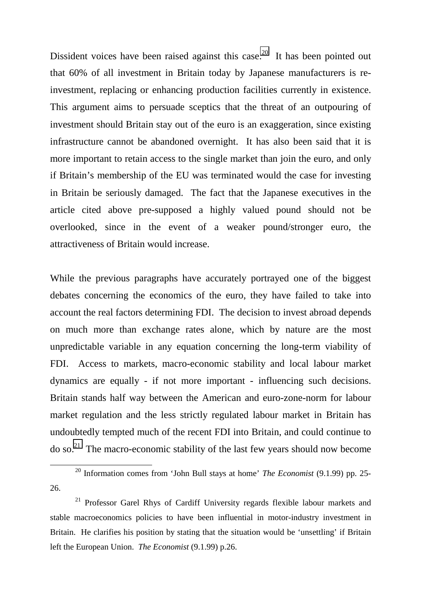Dissident voices have been raised against this case.<sup>20</sup> It has been pointed out that 60% of all investment in Britain today by Japanese manufacturers is reinvestment, replacing or enhancing production facilities currently in existence. This argument aims to persuade sceptics that the threat of an outpouring of investment should Britain stay out of the euro is an exaggeration, since existing infrastructure cannot be abandoned overnight. It has also been said that it is more important to retain access to the single market than join the euro, and only if Britain's membership of the EU was terminated would the case for investing in Britain be seriously damaged. The fact that the Japanese executives in the article cited above pre-supposed a highly valued pound should not be overlooked, since in the event of a weaker pound/stronger euro, the attractiveness of Britain would increase.

While the previous paragraphs have accurately portrayed one of the biggest debates concerning the economics of the euro, they have failed to take into account the real factors determining FDI. The decision to invest abroad depends on much more than exchange rates alone, which by nature are the most unpredictable variable in any equation concerning the long-term viability of FDI. Access to markets, macro-economic stability and local labour market dynamics are equally - if not more important - influencing such decisions. Britain stands half way between the American and euro-zone-norm for labour market regulation and the less strictly regulated labour market in Britain has undoubtedly tempted much of the recent FDI into Britain, and could continue to  $\mu$  do so.<sup>21</sup> The macro-economic stability of the last few years should now become

 <sup>20</sup> Information comes from 'John Bull stays at home' *The Economist* (9.1.99) pp. 25- 26.

 $21$  Professor Garel Rhys of Cardiff University regards flexible labour markets and stable macroeconomics policies to have been influential in motor-industry investment in Britain. He clarifies his position by stating that the situation would be 'unsettling' if Britain left the European Union. *The Economist* (9.1.99) p.26.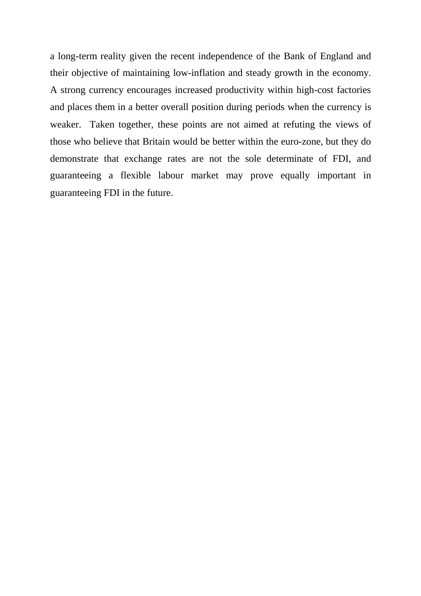a long-term reality given the recent independence of the Bank of England and their objective of maintaining low-inflation and steady growth in the economy. A strong currency encourages increased productivity within high-cost factories and places them in a better overall position during periods when the currency is weaker. Taken together, these points are not aimed at refuting the views of those who believe that Britain would be better within the euro-zone, but they do demonstrate that exchange rates are not the sole determinate of FDI, and guaranteeing a flexible labour market may prove equally important in guaranteeing FDI in the future.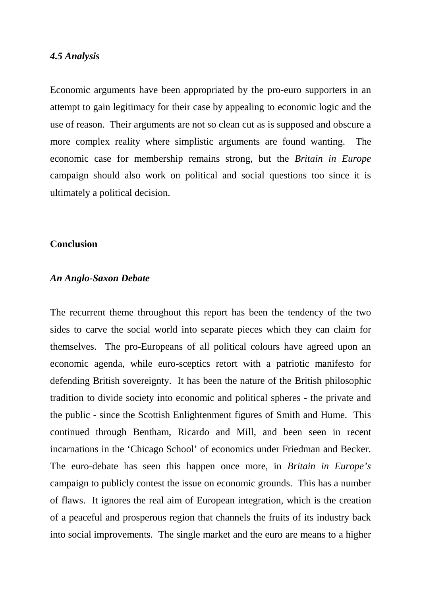#### *4.5 Analysis*

Economic arguments have been appropriated by the pro-euro supporters in an attempt to gain legitimacy for their case by appealing to economic logic and the use of reason. Their arguments are not so clean cut as is supposed and obscure a more complex reality where simplistic arguments are found wanting. The economic case for membership remains strong, but the *Britain in Europe* campaign should also work on political and social questions too since it is ultimately a political decision.

#### **Conclusion**

#### *An Anglo-Saxon Debate*

The recurrent theme throughout this report has been the tendency of the two sides to carve the social world into separate pieces which they can claim for themselves. The pro-Europeans of all political colours have agreed upon an economic agenda, while euro-sceptics retort with a patriotic manifesto for defending British sovereignty. It has been the nature of the British philosophic tradition to divide society into economic and political spheres - the private and the public - since the Scottish Enlightenment figures of Smith and Hume. This continued through Bentham, Ricardo and Mill, and been seen in recent incarnations in the 'Chicago School' of economics under Friedman and Becker. The euro-debate has seen this happen once more, in *Britain in Europe's* campaign to publicly contest the issue on economic grounds. This has a number of flaws. It ignores the real aim of European integration, which is the creation of a peaceful and prosperous region that channels the fruits of its industry back into social improvements. The single market and the euro are means to a higher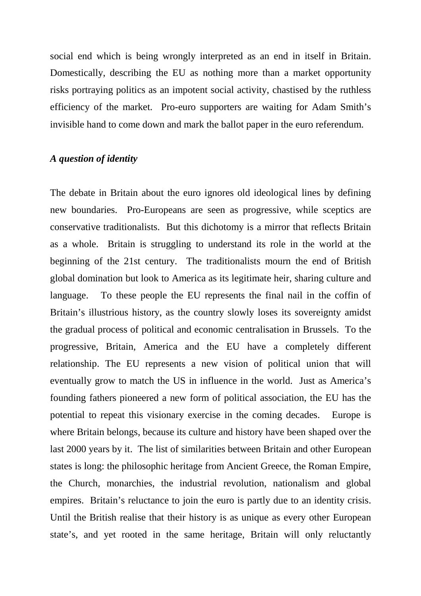social end which is being wrongly interpreted as an end in itself in Britain. Domestically, describing the EU as nothing more than a market opportunity risks portraying politics as an impotent social activity, chastised by the ruthless efficiency of the market. Pro-euro supporters are waiting for Adam Smith's invisible hand to come down and mark the ballot paper in the euro referendum.

### *A question of identity*

The debate in Britain about the euro ignores old ideological lines by defining new boundaries. Pro-Europeans are seen as progressive, while sceptics are conservative traditionalists. But this dichotomy is a mirror that reflects Britain as a whole. Britain is struggling to understand its role in the world at the beginning of the 21st century. The traditionalists mourn the end of British global domination but look to America as its legitimate heir, sharing culture and language. To these people the EU represents the final nail in the coffin of Britain's illustrious history, as the country slowly loses its sovereignty amidst the gradual process of political and economic centralisation in Brussels. To the progressive, Britain, America and the EU have a completely different relationship. The EU represents a new vision of political union that will eventually grow to match the US in influence in the world. Just as America's founding fathers pioneered a new form of political association, the EU has the potential to repeat this visionary exercise in the coming decades. Europe is where Britain belongs, because its culture and history have been shaped over the last 2000 years by it. The list of similarities between Britain and other European states is long: the philosophic heritage from Ancient Greece, the Roman Empire, the Church, monarchies, the industrial revolution, nationalism and global empires. Britain's reluctance to join the euro is partly due to an identity crisis. Until the British realise that their history is as unique as every other European state's, and yet rooted in the same heritage, Britain will only reluctantly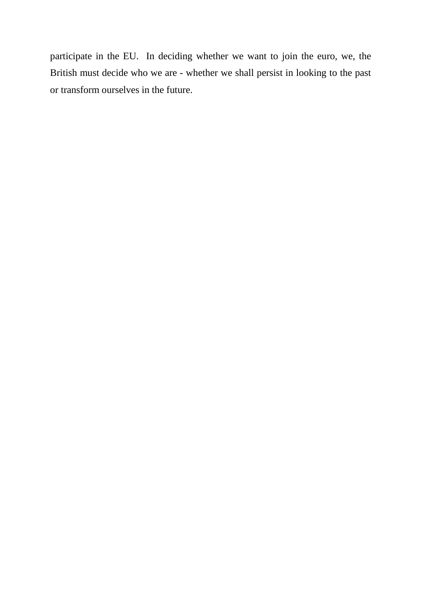participate in the EU. In deciding whether we want to join the euro, we, the British must decide who we are - whether we shall persist in looking to the past or transform ourselves in the future.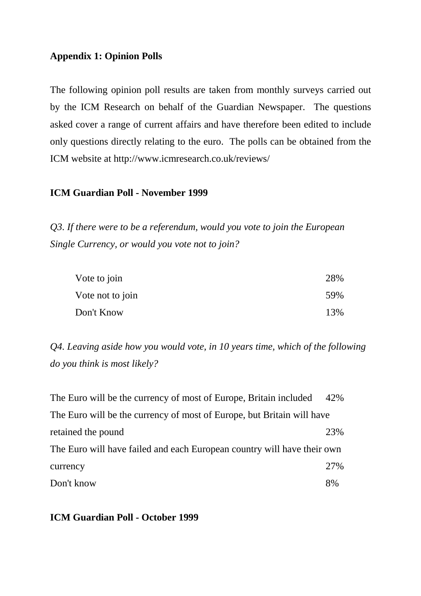# **Appendix 1: Opinion Polls**

The following opinion poll results are taken from monthly surveys carried out by the ICM Research on behalf of the Guardian Newspaper. The questions asked cover a range of current affairs and have therefore been edited to include only questions directly relating to the euro. The polls can be obtained from the ICM website at http://www.icmresearch.co.uk/reviews/

### **ICM Guardian Poll - November 1999**

*Q3. If there were to be a referendum, would you vote to join the European Single Currency, or would you vote not to join?*

| Vote to join     | 28% |
|------------------|-----|
| Vote not to join | 59% |
| Don't Know       | 13% |

*Q4. Leaving aside how you would vote, in 10 years time, which of the following do you think is most likely?*

| The Euro will be the currency of most of Europe, Britain included       | 42% |
|-------------------------------------------------------------------------|-----|
| The Euro will be the currency of most of Europe, but Britain will have  |     |
| retained the pound                                                      | 23% |
| The Euro will have failed and each European country will have their own |     |
| currency                                                                | 27% |
| Don't know                                                              | 8%  |

### **ICM Guardian Poll - October 1999**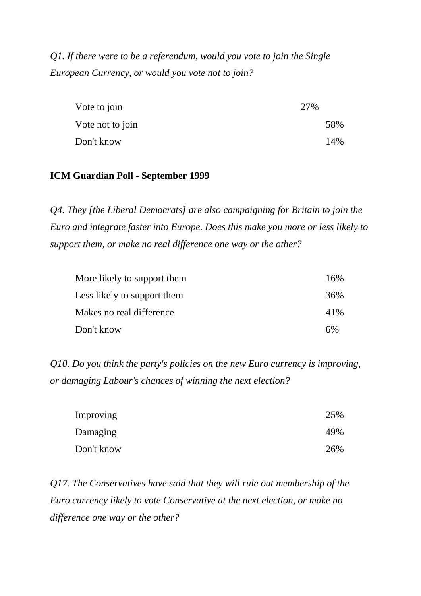*Q1. If there were to be a referendum, would you vote to join the Single European Currency, or would you vote not to join?*

| Vote to join     | 27% |     |
|------------------|-----|-----|
| Vote not to join |     | 58% |
| Don't know       |     | 14% |

# **ICM Guardian Poll - September 1999**

*Q4. They [the Liberal Democrats] are also campaigning for Britain to join the Euro and integrate faster into Europe. Does this make you more or less likely to support them, or make no real difference one way or the other?*

| More likely to support them | 16% |
|-----------------------------|-----|
| Less likely to support them | 36% |
| Makes no real difference    | 41% |
| Don't know                  | 6%  |

*Q10. Do you think the party's policies on the new Euro currency is improving, or damaging Labour's chances of winning the next election?*

| Improving  | 25% |
|------------|-----|
| Damaging   | 49% |
| Don't know | 26% |

*Q17. The Conservatives have said that they will rule out membership of the Euro currency likely to vote Conservative at the next election, or make no difference one way or the other?*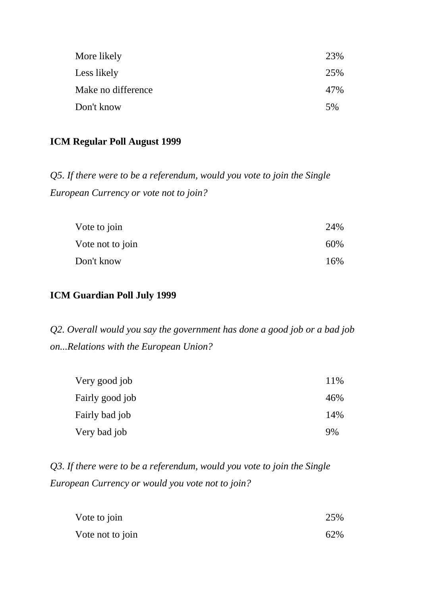| More likely        | 23% |
|--------------------|-----|
| Less likely        | 25% |
| Make no difference | 47% |
| Don't know         | 5%  |

# **ICM Regular Poll August 1999**

*Q5. If there were to be a referendum, would you vote to join the Single European Currency or vote not to join?*

| Vote to join     | 24% |
|------------------|-----|
| Vote not to join | 60% |
| Don't know       | 16% |

# **ICM Guardian Poll July 1999**

*Q2. Overall would you say the government has done a good job or a bad job on...Relations with the European Union?*

| Very good job   | 11% |
|-----------------|-----|
| Fairly good job | 46% |
| Fairly bad job  | 14% |
| Very bad job    | 9%  |

*Q3. If there were to be a referendum, would you vote to join the Single European Currency or would you vote not to join?*

| Vote to join     | 25% |
|------------------|-----|
| Vote not to join | 62% |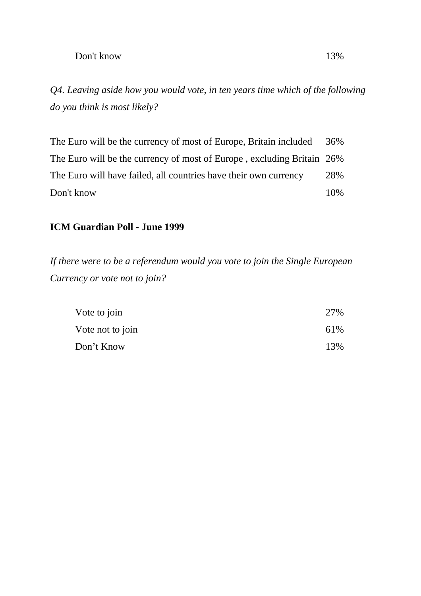## Don't know 13%

*Q4. Leaving aside how you would vote, in ten years time which of the following do you think is most likely?*

The Euro will be the currency of most of Europe, Britain included 36% The Euro will be the currency of most of Europe , excluding Britain 26% The Euro will have failed, all countries have their own currency 28% Don't know 10%

# **ICM Guardian Poll - June 1999**

*If there were to be a referendum would you vote to join the Single European Currency or vote not to join?*

| Vote to join     | 27%  |
|------------------|------|
| Vote not to join | 61\% |
| Don't Know       | 13%  |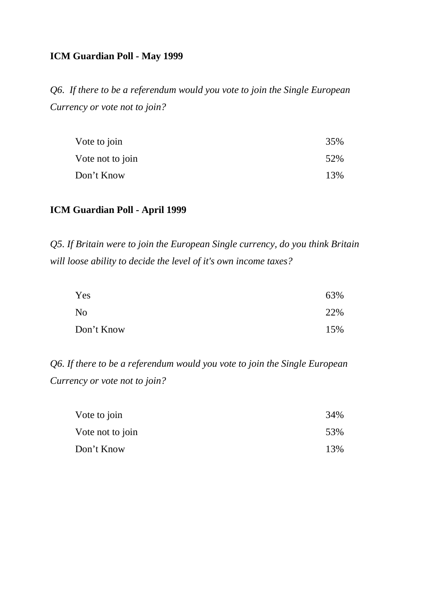# **ICM Guardian Poll - May 1999**

*Q6. If there to be a referendum would you vote to join the Single European Currency or vote not to join?*

| Vote to join     | 35% |
|------------------|-----|
| Vote not to join | 52% |
| Don't Know       | 13% |

# **ICM Guardian Poll - April 1999**

*Q5. If Britain were to join the European Single currency, do you think Britain will loose ability to decide the level of it's own income taxes?*

| Yes            | 63% |
|----------------|-----|
| N <sub>o</sub> | 22% |
| Don't Know     | 15% |

*Q6. If there to be a referendum would you vote to join the Single European Currency or vote not to join?*

| Vote to join     | 34% |
|------------------|-----|
| Vote not to join | 53% |
| Don't Know       | 13% |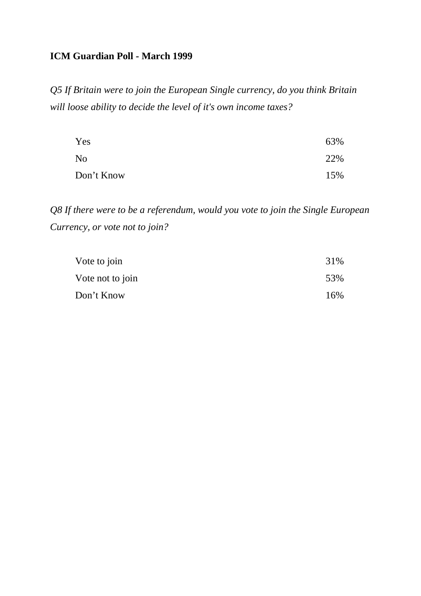# **ICM Guardian Poll - March 1999**

*Q5 If Britain were to join the European Single currency, do you think Britain will loose ability to decide the level of it's own income taxes?*

| Yes        | 63% |
|------------|-----|
| No         | 22% |
| Don't Know | 15% |

*Q8 If there were to be a referendum, would you vote to join the Single European Currency, or vote not to join?*

| Vote to join     | 31% |
|------------------|-----|
| Vote not to join | 53% |
| Don't Know       | 16% |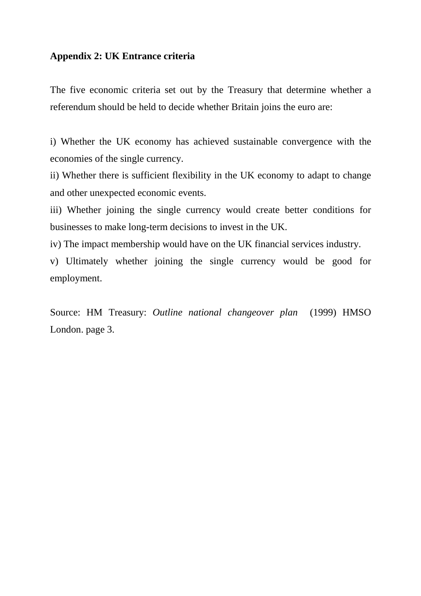# **Appendix 2: UK Entrance criteria**

The five economic criteria set out by the Treasury that determine whether a referendum should be held to decide whether Britain joins the euro are:

i) Whether the UK economy has achieved sustainable convergence with the economies of the single currency.

ii) Whether there is sufficient flexibility in the UK economy to adapt to change and other unexpected economic events.

iii) Whether joining the single currency would create better conditions for businesses to make long-term decisions to invest in the UK.

iv) The impact membership would have on the UK financial services industry.

v) Ultimately whether joining the single currency would be good for employment.

Source: HM Treasury: *Outline national changeover plan* (1999) HMSO London. page 3.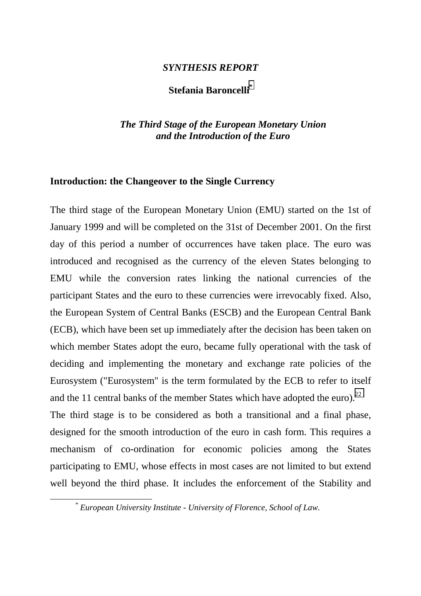### *SYNTHESIS REPORT*

# **Stefania Baroncelli\***

# *The Third Stage of the European Monetary Union and the Introduction of the Euro*

#### **Introduction: the Changeover to the Single Currency**

The third stage of the European Monetary Union (EMU) started on the 1st of January 1999 and will be completed on the 31st of December 2001. On the first day of this period a number of occurrences have taken place. The euro was introduced and recognised as the currency of the eleven States belonging to EMU while the conversion rates linking the national currencies of the participant States and the euro to these currencies were irrevocably fixed. Also, the European System of Central Banks (ESCB) and the European Central Bank (ECB), which have been set up immediately after the decision has been taken on which member States adopt the euro, became fully operational with the task of deciding and implementing the monetary and exchange rate policies of the Eurosystem ("Eurosystem" is the term formulated by the ECB to refer to itself and the 11 central banks of the member States which have adopted the euro).<sup>22</sup> The third stage is to be considered as both a transitional and a final phase, designed for the smooth introduction of the euro in cash form. This requires a mechanism of co-ordination for economic policies among the States participating to EMU, whose effects in most cases are not limited to but extend well beyond the third phase. It includes the enforcement of the Stability and

*\* European University Institute - University of Florence, School of Law.*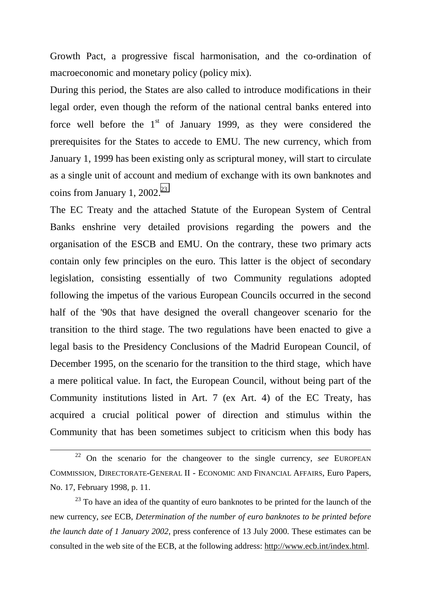Growth Pact, a progressive fiscal harmonisation, and the co-ordination of macroeconomic and monetary policy (policy mix).

During this period, the States are also called to introduce modifications in their legal order, even though the reform of the national central banks entered into force well before the  $1<sup>st</sup>$  of January 1999, as they were considered the prerequisites for the States to accede to EMU. The new currency, which from January 1, 1999 has been existing only as scriptural money, will start to circulate as a single unit of account and medium of exchange with its own banknotes and coins from January 1,  $2002.<sup>23</sup>$ 

The EC Treaty and the attached Statute of the European System of Central Banks enshrine very detailed provisions regarding the powers and the organisation of the ESCB and EMU. On the contrary, these two primary acts contain only few principles on the euro. This latter is the object of secondary legislation, consisting essentially of two Community regulations adopted following the impetus of the various European Councils occurred in the second half of the '90s that have designed the overall changeover scenario for the transition to the third stage. The two regulations have been enacted to give a legal basis to the Presidency Conclusions of the Madrid European Council, of December 1995, on the scenario for the transition to the third stage, which have a mere political value. In fact, the European Council, without being part of the Community institutions listed in Art. 7 (ex Art. 4) of the EC Treaty, has acquired a crucial political power of direction and stimulus within the Community that has been sometimes subject to criticism when this body has

 $23$  To have an idea of the quantity of euro banknotes to be printed for the launch of the new currency, *see* ECB, *Determination of the number of euro banknotes to be printed before the launch date of 1 January 2002*, press conference of 13 July 2000. These estimates can be consulted in the web site of the ECB, at the following address: http://www.ecb.int/index.html.

 <sup>22</sup> On the scenario for the changeover to the single currency, *see* EUROPEAN COMMISSION, DIRECTORATE-GENERAL II - ECONOMIC AND FINANCIAL AFFAIRS, Euro Papers, No. 17, February 1998, p. 11.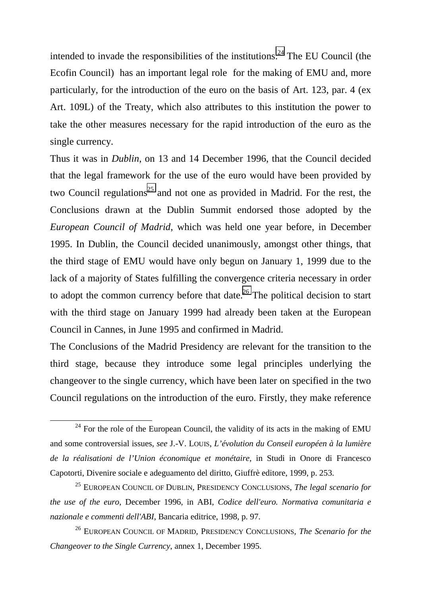intended to invade the responsibilities of the institutions.<sup>24</sup> The EU Council (the Ecofin Council) has an important legal role for the making of EMU and, more particularly, for the introduction of the euro on the basis of Art. 123, par. 4 (ex Art. 109L) of the Treaty, which also attributes to this institution the power to take the other measures necessary for the rapid introduction of the euro as the single currency.

Thus it was in *Dublin*, on 13 and 14 December 1996, that the Council decided that the legal framework for the use of the euro would have been provided by two Council regulations<sup>25</sup> and not one as provided in Madrid. For the rest, the Conclusions drawn at the Dublin Summit endorsed those adopted by the *European Council of Madrid*, which was held one year before, in December 1995. In Dublin, the Council decided unanimously, amongst other things, that the third stage of EMU would have only begun on January 1, 1999 due to the lack of a majority of States fulfilling the convergence criteria necessary in order to adopt the common currency before that date.<sup>26</sup> The political decision to start with the third stage on January 1999 had already been taken at the European Council in Cannes, in June 1995 and confirmed in Madrid.

The Conclusions of the Madrid Presidency are relevant for the transition to the third stage, because they introduce some legal principles underlying the changeover to the single currency, which have been later on specified in the two Council regulations on the introduction of the euro. Firstly, they make reference

 $24$  For the role of the European Council, the validity of its acts in the making of EMU and some controversial issues, *see* J.-V. LOUIS, *L'évolution du Conseil européen à la lumière de la réalisationi de l'Union économique et monétaire*, in Studi in Onore di Francesco Capotorti, Divenire sociale e adeguamento del diritto, Giuffrè editore, 1999, p. 253.

<sup>25</sup> EUROPEAN COUNCIL OF DUBLIN, PRESIDENCY CONCLUSIONS, *The legal scenario for the use of the euro*, December 1996, in ABI, *Codice dell'euro. Normativa comunitaria e nazionale e commenti dell'ABI*, Bancaria editrice, 1998, p. 97.

<sup>26</sup> EUROPEAN COUNCIL OF MADRID, PRESIDENCY CONCLUSIONS*, The Scenario for the Changeover to the Single Currency*, annex 1, December 1995.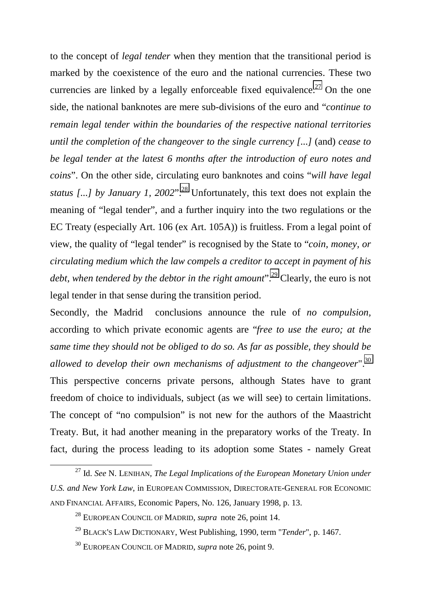to the concept of *legal tender* when they mention that the transitional period is marked by the coexistence of the euro and the national currencies. These two currencies are linked by a legally enforceable fixed equivalence.<sup>27</sup> On the one side, the national banknotes are mere sub-divisions of the euro and "*continue to remain legal tender within the boundaries of the respective national territories until the completion of the changeover to the single currency [...]* (and) *cease to be legal tender at the latest 6 months after the introduction of euro notes and coins*". On the other side, circulating euro banknotes and coins "*will have legal* status [...] by January 1, 2002".<sup>28</sup> Unfortunately, this text does not explain the meaning of "legal tender", and a further inquiry into the two regulations or the EC Treaty (especially Art. 106 (ex Art. 105A)) is fruitless. From a legal point of view, the quality of "legal tender" is recognised by the State to "*coin, money, or circulating medium which the law compels a creditor to accept in payment of his debt, when tendered by the debtor in the right amount*".<sup>29</sup> Clearly, the euro is not legal tender in that sense during the transition period.

Secondly, the Madrid conclusions announce the rule of *no compulsion,* according to which private economic agents are "*free to use the euro; at the same time they should not be obliged to do so. As far as possible, they should be allowed to develop their own mechanisms of adjustment to the changeover*".30 This perspective concerns private persons, although States have to grant freedom of choice to individuals, subject (as we will see) to certain limitations. The concept of "no compulsion" is not new for the authors of the Maastricht Treaty. But, it had another meaning in the preparatory works of the Treaty. In fact, during the process leading to its adoption some States - namely Great

 <sup>27</sup> Id. *See* N. LENIHAN*, The Legal Implications of the European Monetary Union under U.S. and New York Law*, in EUROPEAN COMMISSION, DIRECTORATE-GENERAL FOR ECONOMIC AND FINANCIAL AFFAIRS, Economic Papers, No. 126, January 1998, p. 13.

<sup>28</sup> EUROPEAN COUNCIL OF MADRID, *supra* note 26, point 14.

<sup>29</sup> BLACK'S LAW DICTIONARY, West Publishing, 1990, term "*Tender*", p. 1467.

<sup>30</sup> EUROPEAN COUNCIL OF MADRID, *supra* note 26, point 9.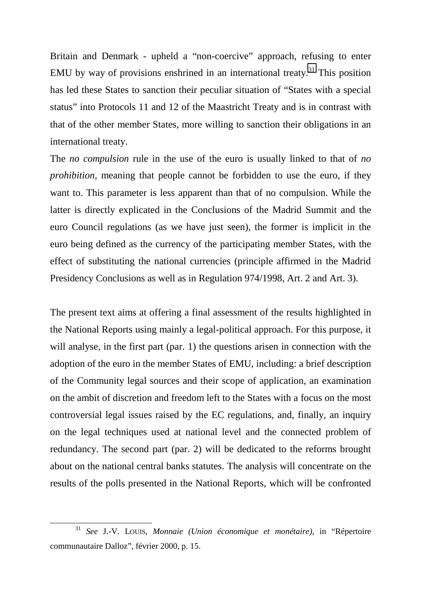Britain and Denmark - upheld a "non-coercive" approach, refusing to enter EMU by way of provisions enshrined in an international treaty.<sup>31</sup> This position has led these States to sanction their peculiar situation of "States with a special status" into Protocols 11 and 12 of the Maastricht Treaty and is in contrast with that of the other member States, more willing to sanction their obligations in an international treaty.

The *no compulsion* rule in the use of the euro is usually linked to that of *no prohibition*, meaning that people cannot be forbidden to use the euro, if they want to. This parameter is less apparent than that of no compulsion. While the latter is directly explicated in the Conclusions of the Madrid Summit and the euro Council regulations (as we have just seen), the former is implicit in the euro being defined as the currency of the participating member States, with the effect of substituting the national currencies (principle affirmed in the Madrid Presidency Conclusions as well as in Regulation 974/1998, Art. 2 and Art. 3).

The present text aims at offering a final assessment of the results highlighted in the National Reports using mainly a legal-political approach. For this purpose, it will analyse, in the first part (par. 1) the questions arisen in connection with the adoption of the euro in the member States of EMU, including: a brief description of the Community legal sources and their scope of application, an examination on the ambit of discretion and freedom left to the States with a focus on the most controversial legal issues raised by the EC regulations, and, finally, an inquiry on the legal techniques used at national level and the connected problem of redundancy. The second part (par. 2) will be dedicated to the reforms brought about on the national central banks statutes. The analysis will concentrate on the results of the polls presented in the National Reports, which will be confronted

 <sup>31</sup> *See* J.-V. LOUIS, *Monnaie (Union économique et monétaire)*, in "Répertoire communautaire Dalloz", février 2000, p. 15.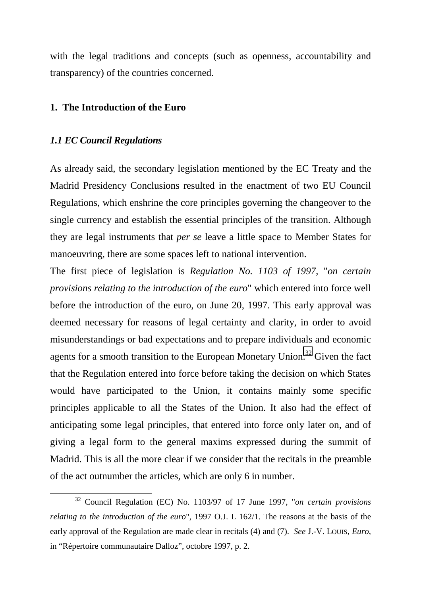with the legal traditions and concepts (such as openness, accountability and transparency) of the countries concerned.

#### **1. The Introduction of the Euro**

#### *1.1 EC Council Regulations*

As already said, the secondary legislation mentioned by the EC Treaty and the Madrid Presidency Conclusions resulted in the enactment of two EU Council Regulations, which enshrine the core principles governing the changeover to the single currency and establish the essential principles of the transition. Although they are legal instruments that *per se* leave a little space to Member States for manoeuvring, there are some spaces left to national intervention.

The first piece of legislation is *Regulation No. 1103 of 1997*, "*on certain provisions relating to the introduction of the euro*" which entered into force well before the introduction of the euro, on June 20, 1997. This early approval was deemed necessary for reasons of legal certainty and clarity, in order to avoid misunderstandings or bad expectations and to prepare individuals and economic agents for a smooth transition to the European Monetary Union.<sup>32</sup> Given the fact that the Regulation entered into force before taking the decision on which States would have participated to the Union, it contains mainly some specific principles applicable to all the States of the Union. It also had the effect of anticipating some legal principles, that entered into force only later on, and of giving a legal form to the general maxims expressed during the summit of Madrid. This is all the more clear if we consider that the recitals in the preamble of the act outnumber the articles, which are only 6 in number.

 <sup>32</sup> Council Regulation (EC) No. 1103/97 of 17 June 1997, "*on certain provisions relating to the introduction of the euro*", 1997 O.J. L 162/1. The reasons at the basis of the early approval of the Regulation are made clear in recitals (4) and (7). *See* J.-V. LOUIS, *Euro*, in "Répertoire communautaire Dalloz", octobre 1997, p. 2.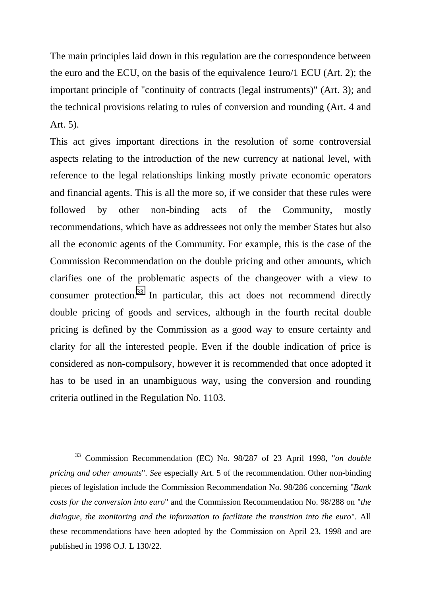The main principles laid down in this regulation are the correspondence between the euro and the ECU, on the basis of the equivalence 1euro/1 ECU (Art. 2); the important principle of "continuity of contracts (legal instruments)" (Art. 3); and the technical provisions relating to rules of conversion and rounding (Art. 4 and Art. 5).

This act gives important directions in the resolution of some controversial aspects relating to the introduction of the new currency at national level, with reference to the legal relationships linking mostly private economic operators and financial agents. This is all the more so, if we consider that these rules were followed by other non-binding acts of the Community, mostly recommendations, which have as addressees not only the member States but also all the economic agents of the Community. For example, this is the case of the Commission Recommendation on the double pricing and other amounts, which clarifies one of the problematic aspects of the changeover with a view to consumer protection. $33$  In particular, this act does not recommend directly double pricing of goods and services, although in the fourth recital double pricing is defined by the Commission as a good way to ensure certainty and clarity for all the interested people. Even if the double indication of price is considered as non-compulsory, however it is recommended that once adopted it has to be used in an unambiguous way, using the conversion and rounding criteria outlined in the Regulation No. 1103.

 <sup>33</sup> Commission Recommendation (EC) No. 98/287 of 23 April 1998, "*on double pricing and other amounts*". *See* especially Art. 5 of the recommendation. Other non-binding pieces of legislation include the Commission Recommendation No. 98/286 concerning "*Bank costs for the conversion into euro*" and the Commission Recommendation No. 98/288 on "*the dialogue, the monitoring and the information to facilitate the transition into the euro*". All these recommendations have been adopted by the Commission on April 23, 1998 and are published in 1998 O.J. L 130/22.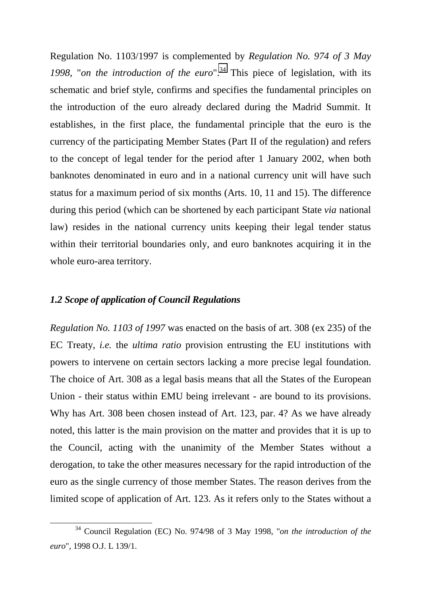Regulation No. 1103/1997 is complemented by *Regulation No. 974 of 3 May* 1998, "*on the introduction of the euro*".<sup>34</sup> This piece of legislation, with its schematic and brief style, confirms and specifies the fundamental principles on the introduction of the euro already declared during the Madrid Summit. It establishes, in the first place, the fundamental principle that the euro is the currency of the participating Member States (Part II of the regulation) and refers to the concept of legal tender for the period after 1 January 2002, when both banknotes denominated in euro and in a national currency unit will have such status for a maximum period of six months (Arts. 10, 11 and 15). The difference during this period (which can be shortened by each participant State *via* national law) resides in the national currency units keeping their legal tender status within their territorial boundaries only, and euro banknotes acquiring it in the whole euro-area territory.

#### *1.2 Scope of application of Council Regulations*

*Regulation No. 1103 of 1997* was enacted on the basis of art. 308 (ex 235) of the EC Treaty, *i.e.* the *ultima ratio* provision entrusting the EU institutions with powers to intervene on certain sectors lacking a more precise legal foundation. The choice of Art. 308 as a legal basis means that all the States of the European Union - their status within EMU being irrelevant - are bound to its provisions. Why has Art. 308 been chosen instead of Art. 123, par. 4? As we have already noted, this latter is the main provision on the matter and provides that it is up to the Council, acting with the unanimity of the Member States without a derogation, to take the other measures necessary for the rapid introduction of the euro as the single currency of those member States. The reason derives from the limited scope of application of Art. 123. As it refers only to the States without a

 <sup>34</sup> Council Regulation (EC) No. 974/98 of 3 May 1998, "*on the introduction of the euro*", 1998 O.J. L 139/1.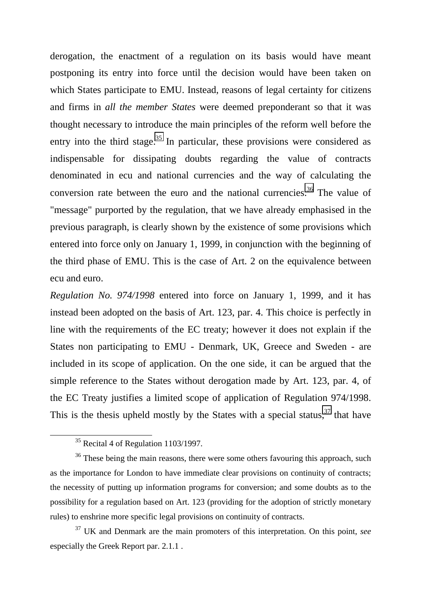derogation, the enactment of a regulation on its basis would have meant postponing its entry into force until the decision would have been taken on which States participate to EMU. Instead, reasons of legal certainty for citizens and firms in *all the member States* were deemed preponderant so that it was thought necessary to introduce the main principles of the reform well before the entry into the third stage.<sup>35</sup> In particular, these provisions were considered as indispensable for dissipating doubts regarding the value of contracts denominated in ecu and national currencies and the way of calculating the conversion rate between the euro and the national currencies.<sup>36</sup> The value of "message" purported by the regulation, that we have already emphasised in the previous paragraph, is clearly shown by the existence of some provisions which entered into force only on January 1, 1999, in conjunction with the beginning of the third phase of EMU. This is the case of Art. 2 on the equivalence between ecu and euro.

*Regulation No. 974/1998* entered into force on January 1, 1999, and it has instead been adopted on the basis of Art. 123, par. 4. This choice is perfectly in line with the requirements of the EC treaty; however it does not explain if the States non participating to EMU - Denmark, UK, Greece and Sweden - are included in its scope of application. On the one side, it can be argued that the simple reference to the States without derogation made by Art. 123, par. 4, of the EC Treaty justifies a limited scope of application of Regulation 974/1998. This is the thesis upheld mostly by the States with a special status,  $37$  that have

 $35$  Recital 4 of Regulation 1103/1997.

<sup>&</sup>lt;sup>36</sup> These being the main reasons, there were some others favouring this approach, such as the importance for London to have immediate clear provisions on continuity of contracts; the necessity of putting up information programs for conversion; and some doubts as to the possibility for a regulation based on Art. 123 (providing for the adoption of strictly monetary rules) to enshrine more specific legal provisions on continuity of contracts.

<sup>37</sup> UK and Denmark are the main promoters of this interpretation. On this point, *see* especially the Greek Report par. 2.1.1 .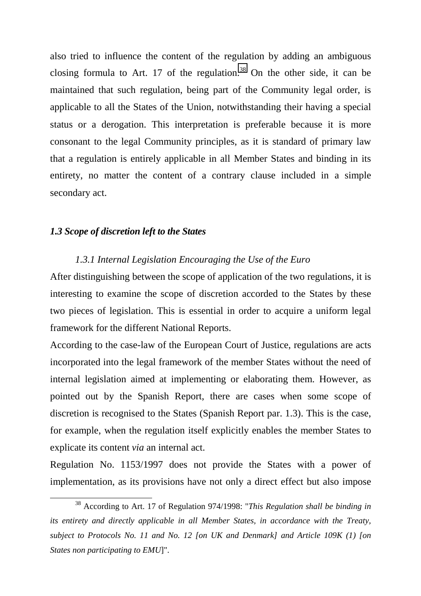also tried to influence the content of the regulation by adding an ambiguous closing formula to Art. 17 of the regulation.<sup>38</sup> On the other side, it can be maintained that such regulation, being part of the Community legal order, is applicable to all the States of the Union, notwithstanding their having a special status or a derogation. This interpretation is preferable because it is more consonant to the legal Community principles, as it is standard of primary law that a regulation is entirely applicable in all Member States and binding in its entirety, no matter the content of a contrary clause included in a simple secondary act.

#### *1.3 Scope of discretion left to the States*

#### *1.3.1 Internal Legislation Encouraging the Use of the Euro*

After distinguishing between the scope of application of the two regulations, it is interesting to examine the scope of discretion accorded to the States by these two pieces of legislation. This is essential in order to acquire a uniform legal framework for the different National Reports.

According to the case-law of the European Court of Justice, regulations are acts incorporated into the legal framework of the member States without the need of internal legislation aimed at implementing or elaborating them. However, as pointed out by the Spanish Report, there are cases when some scope of discretion is recognised to the States (Spanish Report par. 1.3). This is the case, for example, when the regulation itself explicitly enables the member States to explicate its content *via* an internal act.

Regulation No. 1153/1997 does not provide the States with a power of implementation, as its provisions have not only a direct effect but also impose

 <sup>38</sup> According to Art. 17 of Regulation 974/1998: "*This Regulation shall be binding in its entirety and directly applicable in all Member States, in accordance with the Treaty, subject to Protocols No. 11 and No. 12 [on UK and Denmark] and Article 109K (1) [on States non participating to EMU*]".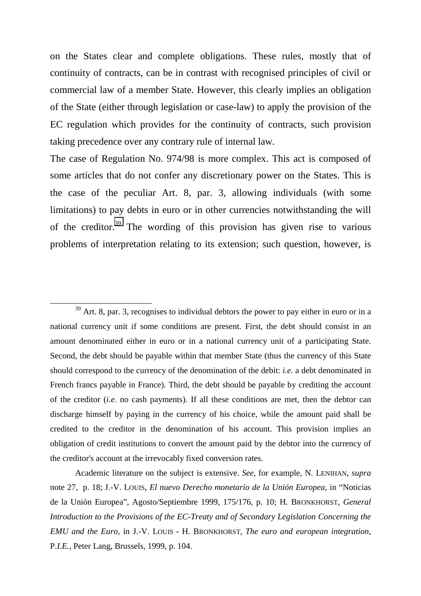on the States clear and complete obligations. These rules, mostly that of continuity of contracts, can be in contrast with recognised principles of civil or commercial law of a member State. However, this clearly implies an obligation of the State (either through legislation or case-law) to apply the provision of the EC regulation which provides for the continuity of contracts, such provision taking precedence over any contrary rule of internal law.

The case of Regulation No. 974/98 is more complex. This act is composed of some articles that do not confer any discretionary power on the States. This is the case of the peculiar Art. 8, par. 3, allowing individuals (with some limitations) to pay debts in euro or in other currencies notwithstanding the will of the creditor.<sup>39</sup> The wording of this provision has given rise to various problems of interpretation relating to its extension; such question, however, is

Academic literature on the subject is extensive. *See*, for example, N. LENIHAN, *supra* note 27, p. 18; J.-V. LOUIS, *El nuevo Derecho monetario de la Unión Europea*, in "Noticias de la Unión Europea", Agosto/Septiembre 1999, 175/176, p. 10; H. BRONKHORST, *General Introduction to the Provisions of the EC-Treaty and of Secondary Legislation Concerning the EMU and the Euro*, in J.-V. LOUIS - H. BRONKHORST, *The euro and european integration*, P.*I.E.*, Peter Lang, Brussels, 1999, p. 104.

 $39$  Art. 8, par. 3, recognises to individual debtors the power to pay either in euro or in a national currency unit if some conditions are present. First, the debt should consist in an amount denominated either in euro or in a national currency unit of a participating State. Second, the debt should be payable within that member State (thus the currency of this State should correspond to the currency of the denomination of the debit: *i.e.* a debt denominated in French francs payable in France). Third, the debt should be payable by crediting the account of the creditor (*i.e*. no cash payments). If all these conditions are met, then the debtor can discharge himself by paying in the currency of his choice, while the amount paid shall be credited to the creditor in the denomination of his account. This provision implies an obligation of credit institutions to convert the amount paid by the debtor into the currency of the creditor's account at the irrevocably fixed conversion rates.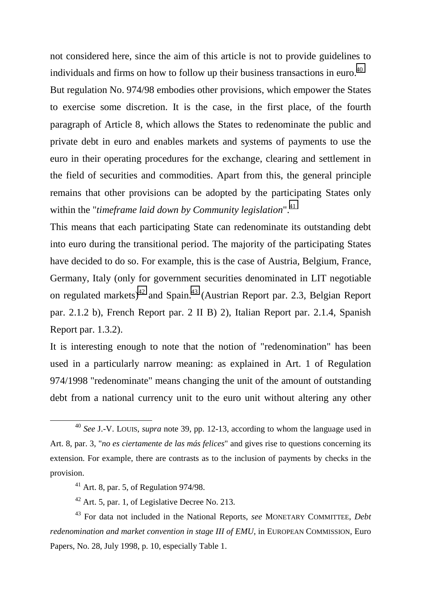not considered here, since the aim of this article is not to provide guidelines to individuals and firms on how to follow up their business transactions in euro.<sup>40</sup> But regulation No. 974/98 embodies other provisions, which empower the States to exercise some discretion. It is the case, in the first place, of the fourth paragraph of Article 8, which allows the States to redenominate the public and private debt in euro and enables markets and systems of payments to use the euro in their operating procedures for the exchange, clearing and settlement in the field of securities and commodities. Apart from this, the general principle remains that other provisions can be adopted by the participating States only within the "*timeframe laid down by Community legislation*".<sup>41</sup>

This means that each participating State can redenominate its outstanding debt into euro during the transitional period. The majority of the participating States have decided to do so. For example, this is the case of Austria, Belgium, France, Germany, Italy (only for government securities denominated in LIT negotiable on regulated markets)<sup>42</sup> and Spain.<sup>43</sup> (Austrian Report par. 2.3, Belgian Report par. 2.1.2 b), French Report par. 2 II B) 2), Italian Report par. 2.1.4, Spanish Report par. 1.3.2).

It is interesting enough to note that the notion of "redenomination" has been used in a particularly narrow meaning: as explained in Art. 1 of Regulation 974/1998 "redenominate" means changing the unit of the amount of outstanding debt from a national currency unit to the euro unit without altering any other

 $42$  Art. 5, par. 1, of Legislative Decree No. 213.

 <sup>40</sup> *See* J.-V. LOUIS, *supra* note 39, pp. 12-13, according to whom the language used in Art. 8, par. 3, "*no es ciertamente de las más felices*" and gives rise to questions concerning its extension. For example, there are contrasts as to the inclusion of payments by checks in the provision.

 $41$  Art. 8, par. 5, of Regulation 974/98.

<sup>43</sup> For data not included in the National Reports, *see* MONETARY COMMITTEE, *Debt redenomination and market convention in stage III of EMU*, in EUROPEAN COMMISSION, Euro Papers, No. 28, July 1998, p. 10, especially Table 1.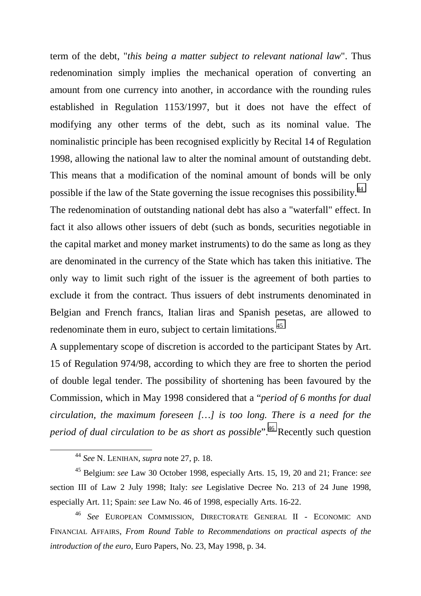term of the debt, "*this being a matter subject to relevant national law*". Thus redenomination simply implies the mechanical operation of converting an amount from one currency into another, in accordance with the rounding rules established in Regulation 1153/1997, but it does not have the effect of modifying any other terms of the debt, such as its nominal value. The nominalistic principle has been recognised explicitly by Recital 14 of Regulation 1998, allowing the national law to alter the nominal amount of outstanding debt. This means that a modification of the nominal amount of bonds will be only possible if the law of the State governing the issue recognises this possibility.44

The redenomination of outstanding national debt has also a "waterfall" effect. In fact it also allows other issuers of debt (such as bonds, securities negotiable in the capital market and money market instruments) to do the same as long as they are denominated in the currency of the State which has taken this initiative. The only way to limit such right of the issuer is the agreement of both parties to exclude it from the contract. Thus issuers of debt instruments denominated in Belgian and French francs, Italian liras and Spanish pesetas, are allowed to redenominate them in euro, subject to certain limitations.<sup>45</sup>

A supplementary scope of discretion is accorded to the participant States by Art. 15 of Regulation 974/98, according to which they are free to shorten the period of double legal tender. The possibility of shortening has been favoured by the Commission, which in May 1998 considered that a "*period of 6 months for dual circulation, the maximum foreseen […] is too long. There is a need for the period of dual circulation to be as short as possible*".<sup>46</sup> Recently such question

 <sup>44</sup> *See* N. LENIHAN, *supra* note 27, p. 18.

<sup>45</sup> Belgium: *see* Law 30 October 1998, especially Arts. 15, 19, 20 and 21; France: *see* section III of Law 2 July 1998; Italy: *see* Legislative Decree No. 213 of 24 June 1998, especially Art. 11; Spain: *see* Law No. 46 of 1998, especially Arts. 16-22.

<sup>46</sup> *See* EUROPEAN COMMISSION, DIRECTORATE GENERAL II - ECONOMIC AND FINANCIAL AFFAIRS, *From Round Table to Recommendations on practical aspects of the introduction of the euro*, Euro Papers, No. 23, May 1998, p. 34.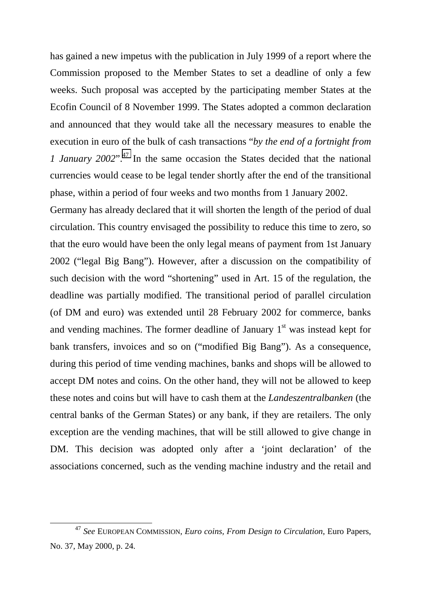has gained a new impetus with the publication in July 1999 of a report where the Commission proposed to the Member States to set a deadline of only a few weeks. Such proposal was accepted by the participating member States at the Ecofin Council of 8 November 1999. The States adopted a common declaration and announced that they would take all the necessary measures to enable the execution in euro of the bulk of cash transactions "*by the end of a fortnight from 1 January 2002*"<sup>47</sup>. In the same occasion the States decided that the national currencies would cease to be legal tender shortly after the end of the transitional phase, within a period of four weeks and two months from 1 January 2002.

Germany has already declared that it will shorten the length of the period of dual circulation. This country envisaged the possibility to reduce this time to zero, so that the euro would have been the only legal means of payment from 1st January 2002 ("legal Big Bang"). However, after a discussion on the compatibility of such decision with the word "shortening" used in Art. 15 of the regulation, the deadline was partially modified. The transitional period of parallel circulation (of DM and euro) was extended until 28 February 2002 for commerce, banks and vending machines. The former deadline of January  $1<sup>st</sup>$  was instead kept for bank transfers, invoices and so on ("modified Big Bang"). As a consequence, during this period of time vending machines, banks and shops will be allowed to accept DM notes and coins. On the other hand, they will not be allowed to keep these notes and coins but will have to cash them at the *Landeszentralbanken* (the central banks of the German States) or any bank, if they are retailers. The only exception are the vending machines, that will be still allowed to give change in DM. This decision was adopted only after a 'joint declaration' of the associations concerned, such as the vending machine industry and the retail and

 <sup>47</sup> *See* EUROPEAN COMMISSION, *Euro coins, From Design to Circulation*, Euro Papers, No. 37, May 2000, p. 24.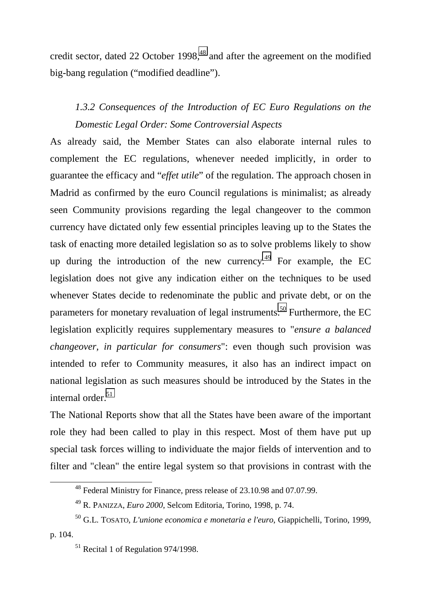credit sector, dated 22 October 1998, $48$  and after the agreement on the modified big-bang regulation ("modified deadline").

## *1.3.2 Consequences of the Introduction of EC Euro Regulations on the Domestic Legal Order: Some Controversial Aspects*

As already said, the Member States can also elaborate internal rules to complement the EC regulations, whenever needed implicitly, in order to guarantee the efficacy and "*effet utile*" of the regulation. The approach chosen in Madrid as confirmed by the euro Council regulations is minimalist; as already seen Community provisions regarding the legal changeover to the common currency have dictated only few essential principles leaving up to the States the task of enacting more detailed legislation so as to solve problems likely to show up during the introduction of the new currency.<sup>49</sup> For example, the EC legislation does not give any indication either on the techniques to be used whenever States decide to redenominate the public and private debt, or on the parameters for monetary revaluation of legal instruments.<sup>50</sup> Furthermore, the EC legislation explicitly requires supplementary measures to "*ensure a balanced changeover, in particular for consumers*": even though such provision was intended to refer to Community measures, it also has an indirect impact on national legislation as such measures should be introduced by the States in the internal order.<sup>51</sup>

The National Reports show that all the States have been aware of the important role they had been called to play in this respect. Most of them have put up special task forces willing to individuate the major fields of intervention and to filter and "clean" the entire legal system so that provisions in contrast with the

 <sup>48</sup> Federal Ministry for Finance, press release of 23.10.98 and 07.07.99.

<sup>49</sup> R. PANIZZA, *Euro 2000*, Selcom Editoria, Torino, 1998, p. 74.

<sup>50</sup> G.L. TOSATO, *L'unione economica e monetaria e l'euro*, Giappichelli, Torino, 1999, p. 104.

<sup>&</sup>lt;sup>51</sup> Recital 1 of Regulation 974/1998.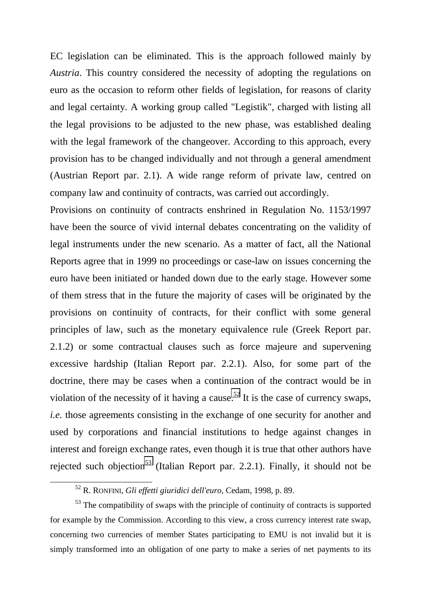EC legislation can be eliminated. This is the approach followed mainly by *Austria*. This country considered the necessity of adopting the regulations on euro as the occasion to reform other fields of legislation, for reasons of clarity and legal certainty. A working group called "Legistik", charged with listing all the legal provisions to be adjusted to the new phase, was established dealing with the legal framework of the changeover. According to this approach, every provision has to be changed individually and not through a general amendment (Austrian Report par. 2.1). A wide range reform of private law, centred on company law and continuity of contracts, was carried out accordingly.

Provisions on continuity of contracts enshrined in Regulation No. 1153/1997 have been the source of vivid internal debates concentrating on the validity of legal instruments under the new scenario. As a matter of fact, all the National Reports agree that in 1999 no proceedings or case-law on issues concerning the euro have been initiated or handed down due to the early stage. However some of them stress that in the future the majority of cases will be originated by the provisions on continuity of contracts, for their conflict with some general principles of law, such as the monetary equivalence rule (Greek Report par. 2.1.2) or some contractual clauses such as force majeure and supervening excessive hardship (Italian Report par. 2.2.1). Also, for some part of the doctrine, there may be cases when a continuation of the contract would be in violation of the necessity of it having a cause.<sup>52</sup> It is the case of currency swaps, *i.e.* those agreements consisting in the exchange of one security for another and used by corporations and financial institutions to hedge against changes in interest and foreign exchange rates, even though it is true that other authors have rejected such objection<sup>53</sup> (Italian Report par. 2.2.1). Finally, it should not be

 <sup>52</sup> R. RONFINI, *Gli effetti giuridici dell'euro*, Cedam, 1998, p. 89.

<sup>&</sup>lt;sup>53</sup> The compatibility of swaps with the principle of continuity of contracts is supported for example by the Commission. According to this view, a cross currency interest rate swap, concerning two currencies of member States participating to EMU is not invalid but it is simply transformed into an obligation of one party to make a series of net payments to its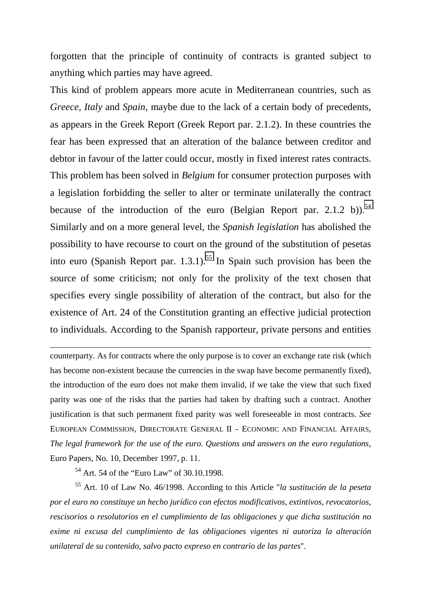forgotten that the principle of continuity of contracts is granted subject to anything which parties may have agreed.

This kind of problem appears more acute in Mediterranean countries, such as *Greece*, *Italy* and *Spain*, maybe due to the lack of a certain body of precedents, as appears in the Greek Report (Greek Report par. 2.1.2). In these countries the fear has been expressed that an alteration of the balance between creditor and debtor in favour of the latter could occur, mostly in fixed interest rates contracts. This problem has been solved in *Belgium* for consumer protection purposes with a legislation forbidding the seller to alter or terminate unilaterally the contract because of the introduction of the euro (Belgian Report par. 2.1.2 b)).<sup>54</sup> Similarly and on a more general level, the *Spanish legislation* has abolished the possibility to have recourse to court on the ground of the substitution of pesetas into euro (Spanish Report par. 1.3.1).<sup>55</sup> In Spain such provision has been the source of some criticism; not only for the prolixity of the text chosen that specifies every single possibility of alteration of the contract, but also for the existence of Art. 24 of the Constitution granting an effective judicial protection to individuals. According to the Spanish rapporteur, private persons and entities

counterparty. As for contracts where the only purpose is to cover an exchange rate risk (which has become non-existent because the currencies in the swap have become permanently fixed), the introduction of the euro does not make them invalid, if we take the view that such fixed parity was one of the risks that the parties had taken by drafting such a contract. Another justification is that such permanent fixed parity was well foreseeable in most contracts. *See* EUROPEAN COMMISSION, DIRECTORATE GENERAL II - ECONOMIC AND FINANCIAL AFFAIRS, *The legal framework for the use of the euro. Questions and answers on the euro regulations*, Euro Papers, No. 10, December 1997, p. 11.

<sup>54</sup> Art. 54 of the "Euro Law" of 30.10.1998.

-

55 Art. 10 of Law No. 46/1998. According to this Article "*la sustitución de la peseta por el euro no constituye un hecho jurídico con efectos modificativos, extintivos, revocatorios, rescisorios o resolutorios en el cumplimiento de las obligaciones y que dicha sustitución no exime ni excusa del cumplimiento de las obligaciones vigentes ni autoriza la alteración unilateral de su contenido, salvo pacto expreso en contrario de las partes*".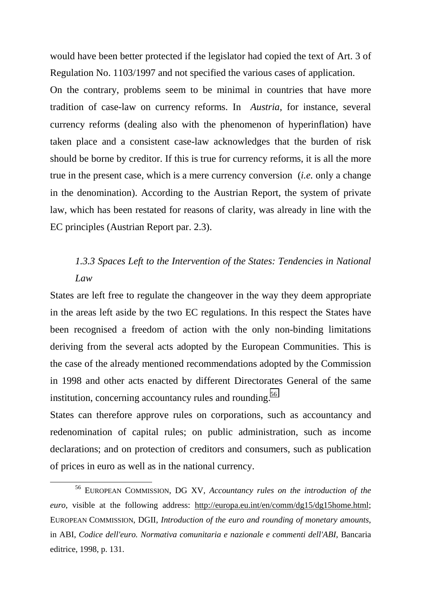would have been better protected if the legislator had copied the text of Art. 3 of Regulation No. 1103/1997 and not specified the various cases of application.

On the contrary, problems seem to be minimal in countries that have more tradition of case-law on currency reforms. In *Austria*, for instance, several currency reforms (dealing also with the phenomenon of hyperinflation) have taken place and a consistent case-law acknowledges that the burden of risk should be borne by creditor. If this is true for currency reforms, it is all the more true in the present case, which is a mere currency conversion (*i.e.* only a change in the denomination). According to the Austrian Report, the system of private law, which has been restated for reasons of clarity, was already in line with the EC principles (Austrian Report par. 2.3).

### *1.3.3 Spaces Left to the Intervention of the States: Tendencies in National Law*

States are left free to regulate the changeover in the way they deem appropriate in the areas left aside by the two EC regulations. In this respect the States have been recognised a freedom of action with the only non-binding limitations deriving from the several acts adopted by the European Communities. This is the case of the already mentioned recommendations adopted by the Commission in 1998 and other acts enacted by different Directorates General of the same institution, concerning accountancy rules and rounding.<sup>56</sup>

States can therefore approve rules on corporations, such as accountancy and redenomination of capital rules; on public administration, such as income declarations; and on protection of creditors and consumers, such as publication of prices in euro as well as in the national currency.

 <sup>56</sup> EUROPEAN COMMISSION, DG XV*, Accountancy rules on the introduction of the euro*, visible at the following address: http://europa.eu.int/en/comm/dg15/dg15home.html; EUROPEAN COMMISSION, DGII, *Introduction of the euro and rounding of monetary amounts*, in ABI, *Codice dell'euro. Normativa comunitaria e nazionale e commenti dell'ABI*, Bancaria editrice, 1998, p. 131.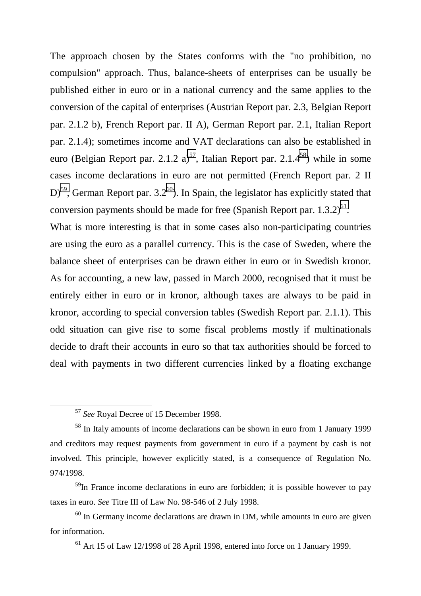The approach chosen by the States conforms with the "no prohibition, no compulsion" approach. Thus, balance-sheets of enterprises can be usually be published either in euro or in a national currency and the same applies to the conversion of the capital of enterprises (Austrian Report par. 2.3, Belgian Report par. 2.1.2 b), French Report par. II A), German Report par. 2.1, Italian Report par. 2.1.4); sometimes income and VAT declarations can also be established in euro (Belgian Report par. 2.1.2 a)<sup>57</sup>, Italian Report par. 2.1.4<sup>58</sup>) while in some cases income declarations in euro are not permitted (French Report par. 2 II  $D^{59}$ , German Report par. 3.2<sup>60</sup>). In Spain, the legislator has explicitly stated that conversion payments should be made for free (Spanish Report par.  $1.3.2$ )<sup>61</sup>.

What is more interesting is that in some cases also non-participating countries are using the euro as a parallel currency. This is the case of Sweden, where the balance sheet of enterprises can be drawn either in euro or in Swedish kronor. As for accounting, a new law, passed in March 2000, recognised that it must be entirely either in euro or in kronor, although taxes are always to be paid in kronor, according to special conversion tables (Swedish Report par. 2.1.1). This odd situation can give rise to some fiscal problems mostly if multinationals decide to draft their accounts in euro so that tax authorities should be forced to deal with payments in two different currencies linked by a floating exchange

 <sup>57</sup> *See* Royal Decree of 15 December 1998.

<sup>58</sup> In Italy amounts of income declarations can be shown in euro from 1 January 1999 and creditors may request payments from government in euro if a payment by cash is not involved. This principle, however explicitly stated, is a consequence of Regulation No. 974/1998.

<sup>&</sup>lt;sup>59</sup>In France income declarations in euro are forbidden; it is possible however to pay taxes in euro. *See* Titre III of Law No. 98-546 of 2 July 1998.

 $60$  In Germany income declarations are drawn in DM, while amounts in euro are given for information.

 $61$  Art 15 of Law 12/1998 of 28 April 1998, entered into force on 1 January 1999.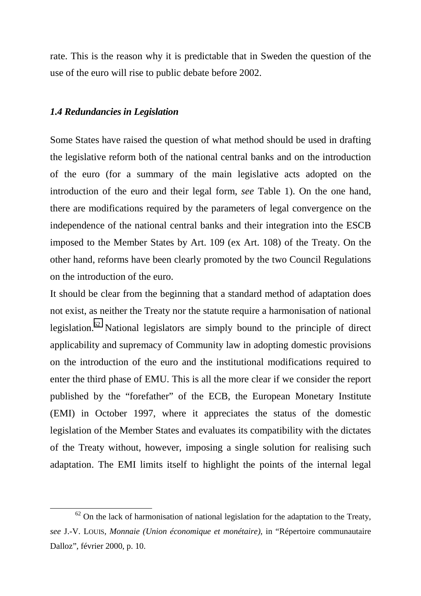rate. This is the reason why it is predictable that in Sweden the question of the use of the euro will rise to public debate before 2002.

#### *1.4 Redundancies in Legislation*

Some States have raised the question of what method should be used in drafting the legislative reform both of the national central banks and on the introduction of the euro (for a summary of the main legislative acts adopted on the introduction of the euro and their legal form, *see* Table 1). On the one hand, there are modifications required by the parameters of legal convergence on the independence of the national central banks and their integration into the ESCB imposed to the Member States by Art. 109 (ex Art. 108) of the Treaty. On the other hand, reforms have been clearly promoted by the two Council Regulations on the introduction of the euro.

It should be clear from the beginning that a standard method of adaptation does not exist, as neither the Treaty nor the statute require a harmonisation of national legislation.<sup>62</sup> National legislators are simply bound to the principle of direct applicability and supremacy of Community law in adopting domestic provisions on the introduction of the euro and the institutional modifications required to enter the third phase of EMU. This is all the more clear if we consider the report published by the "forefather" of the ECB, the European Monetary Institute (EMI) in October 1997, where it appreciates the status of the domestic legislation of the Member States and evaluates its compatibility with the dictates of the Treaty without, however, imposing a single solution for realising such adaptation. The EMI limits itself to highlight the points of the internal legal

 $62$  On the lack of harmonisation of national legislation for the adaptation to the Treaty, *see* J.-V. LOUIS, *Monnaie (Union économique et monétaire)*, in "Répertoire communautaire Dalloz", février 2000, p. 10.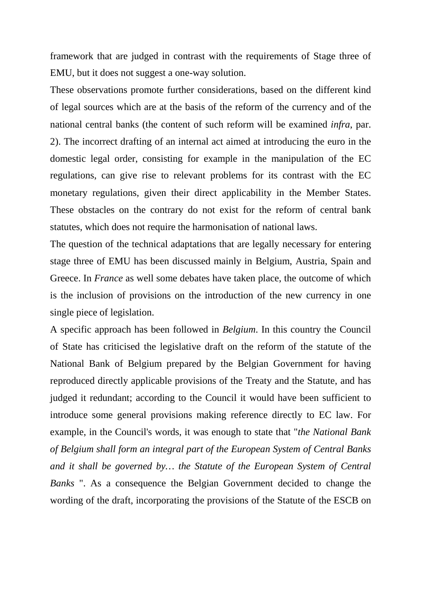framework that are judged in contrast with the requirements of Stage three of EMU, but it does not suggest a one-way solution.

These observations promote further considerations, based on the different kind of legal sources which are at the basis of the reform of the currency and of the national central banks (the content of such reform will be examined *infra*, par. 2). The incorrect drafting of an internal act aimed at introducing the euro in the domestic legal order, consisting for example in the manipulation of the EC regulations, can give rise to relevant problems for its contrast with the EC monetary regulations, given their direct applicability in the Member States. These obstacles on the contrary do not exist for the reform of central bank statutes, which does not require the harmonisation of national laws.

The question of the technical adaptations that are legally necessary for entering stage three of EMU has been discussed mainly in Belgium, Austria, Spain and Greece. In *France* as well some debates have taken place, the outcome of which is the inclusion of provisions on the introduction of the new currency in one single piece of legislation.

A specific approach has been followed in *Belgium*. In this country the Council of State has criticised the legislative draft on the reform of the statute of the National Bank of Belgium prepared by the Belgian Government for having reproduced directly applicable provisions of the Treaty and the Statute, and has judged it redundant; according to the Council it would have been sufficient to introduce some general provisions making reference directly to EC law. For example, in the Council's words, it was enough to state that "*the National Bank of Belgium shall form an integral part of the European System of Central Banks and it shall be governed by… the Statute of the European System of Central Banks* ". As a consequence the Belgian Government decided to change the wording of the draft, incorporating the provisions of the Statute of the ESCB on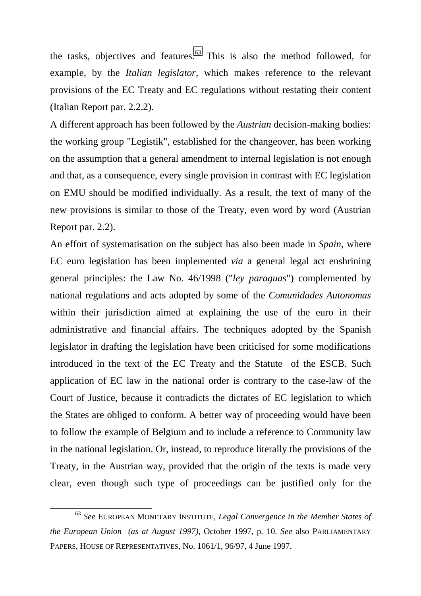the tasks, objectives and features. $63$  This is also the method followed, for example, by the *Italian legislator*, which makes reference to the relevant provisions of the EC Treaty and EC regulations without restating their content (Italian Report par. 2.2.2).

A different approach has been followed by the *Austrian* decision-making bodies: the working group "Legistik", established for the changeover, has been working on the assumption that a general amendment to internal legislation is not enough and that, as a consequence, every single provision in contrast with EC legislation on EMU should be modified individually. As a result, the text of many of the new provisions is similar to those of the Treaty, even word by word (Austrian Report par. 2.2).

An effort of systematisation on the subject has also been made in *Spain*, where EC euro legislation has been implemented *via* a general legal act enshrining general principles: the Law No. 46/1998 ("*ley paraguas*") complemented by national regulations and acts adopted by some of the *Comunidades Autonomas* within their jurisdiction aimed at explaining the use of the euro in their administrative and financial affairs. The techniques adopted by the Spanish legislator in drafting the legislation have been criticised for some modifications introduced in the text of the EC Treaty and the Statute of the ESCB. Such application of EC law in the national order is contrary to the case-law of the Court of Justice, because it contradicts the dictates of EC legislation to which the States are obliged to conform. A better way of proceeding would have been to follow the example of Belgium and to include a reference to Community law in the national legislation. Or, instead, to reproduce literally the provisions of the Treaty, in the Austrian way, provided that the origin of the texts is made very clear, even though such type of proceedings can be justified only for the

 <sup>63</sup> *See* EUROPEAN MONETARY INSTITUTE, *Legal Convergence in the Member States of the European Union (as at August 1997),* October 1997, p. 10. *See* also PARLIAMENTARY PAPERS, HOUSE OF REPRESENTATIVES, No. 1061/1, 96/97, 4 June 1997.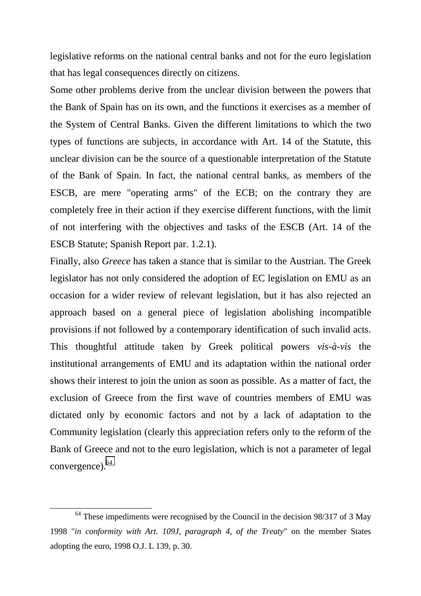legislative reforms on the national central banks and not for the euro legislation that has legal consequences directly on citizens.

Some other problems derive from the unclear division between the powers that the Bank of Spain has on its own, and the functions it exercises as a member of the System of Central Banks. Given the different limitations to which the two types of functions are subjects, in accordance with Art. 14 of the Statute, this unclear division can be the source of a questionable interpretation of the Statute of the Bank of Spain. In fact, the national central banks, as members of the ESCB, are mere "operating arms" of the ECB; on the contrary they are completely free in their action if they exercise different functions, with the limit of not interfering with the objectives and tasks of the ESCB (Art. 14 of the ESCB Statute; Spanish Report par. 1.2.1).

Finally, also *Greece* has taken a stance that is similar to the Austrian. The Greek legislator has not only considered the adoption of EC legislation on EMU as an occasion for a wider review of relevant legislation, but it has also rejected an approach based on a general piece of legislation abolishing incompatible provisions if not followed by a contemporary identification of such invalid acts. This thoughtful attitude taken by Greek political powers *vis-à-vis* the institutional arrangements of EMU and its adaptation within the national order shows their interest to join the union as soon as possible. As a matter of fact, the exclusion of Greece from the first wave of countries members of EMU was dictated only by economic factors and not by a lack of adaptation to the Community legislation (clearly this appreciation refers only to the reform of the Bank of Greece and not to the euro legislation, which is not a parameter of legal convergence).64

 $64$  These impediments were recognised by the Council in the decision 98/317 of 3 May 1998 "*in conformity with Art. 109J, paragraph 4, of the Treaty*" on the member States adopting the euro, 1998 O.J. L 139, p. 30.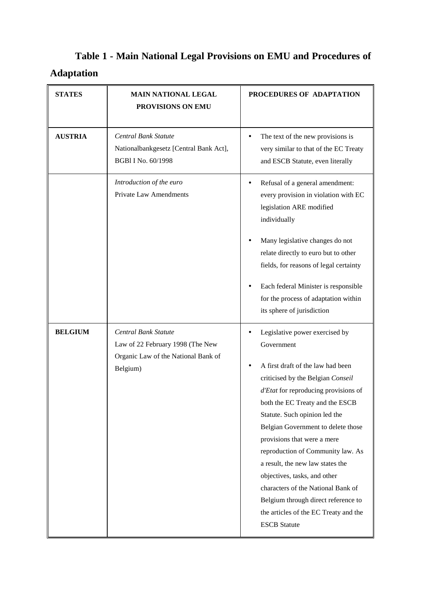# **Table 1 - Main National Legal Provisions on EMU and Procedures of Adaptation**

| <b>STATES</b>  | <b>MAIN NATIONAL LEGAL</b><br>PROVISIONS ON EMU                                                             | PROCEDURES OF ADAPTATION                                                                                                                                                                                                                                                                                                                                                                                                                                                                                                                                      |
|----------------|-------------------------------------------------------------------------------------------------------------|---------------------------------------------------------------------------------------------------------------------------------------------------------------------------------------------------------------------------------------------------------------------------------------------------------------------------------------------------------------------------------------------------------------------------------------------------------------------------------------------------------------------------------------------------------------|
| <b>AUSTRIA</b> | Central Bank Statute<br>Nationalbankgesetz [Central Bank Act],<br>BGB1 I No. 60/1998                        | The text of the new provisions is<br>$\bullet$<br>very similar to that of the EC Treaty<br>and ESCB Statute, even literally                                                                                                                                                                                                                                                                                                                                                                                                                                   |
|                | Introduction of the euro<br><b>Private Law Amendments</b>                                                   | Refusal of a general amendment:<br>every provision in violation with EC<br>legislation ARE modified<br>individually<br>Many legislative changes do not                                                                                                                                                                                                                                                                                                                                                                                                        |
|                |                                                                                                             | relate directly to euro but to other<br>fields, for reasons of legal certainty<br>Each federal Minister is responsible<br>for the process of adaptation within<br>its sphere of jurisdiction                                                                                                                                                                                                                                                                                                                                                                  |
| <b>BELGIUM</b> | Central Bank Statute<br>Law of 22 February 1998 (The New<br>Organic Law of the National Bank of<br>Belgium) | Legislative power exercised by<br>Government<br>A first draft of the law had been<br>criticised by the Belgian Conseil<br>d'Etat for reproducing provisions of<br>both the EC Treaty and the ESCB<br>Statute. Such opinion led the<br>Belgian Government to delete those<br>provisions that were a mere<br>reproduction of Community law. As<br>a result, the new law states the<br>objectives, tasks, and other<br>characters of the National Bank of<br>Belgium through direct reference to<br>the articles of the EC Treaty and the<br><b>ESCB</b> Statute |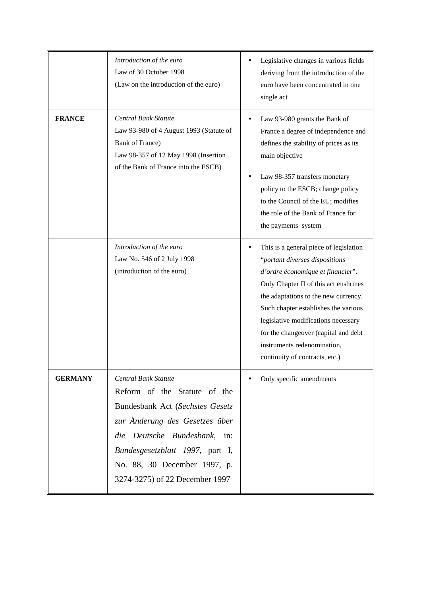|                | Introduction of the euro<br>Law of 30 October 1998<br>(Law on the introduction of the euro)                                                                                                                                                                           | Legislative changes in various fields<br>deriving from the introduction of the<br>euro have been concentrated in one<br>single act                                                                                                                                                                                                                                                     |
|----------------|-----------------------------------------------------------------------------------------------------------------------------------------------------------------------------------------------------------------------------------------------------------------------|----------------------------------------------------------------------------------------------------------------------------------------------------------------------------------------------------------------------------------------------------------------------------------------------------------------------------------------------------------------------------------------|
| <b>FRANCE</b>  | Central Bank Statute<br>Law 93-980 of 4 August 1993 (Statute of<br>Bank of France)<br>Law 98-357 of 12 May 1998 (Insertion<br>of the Bank of France into the ESCB)                                                                                                    | Law 93-980 grants the Bank of<br>٠<br>France a degree of independence and<br>defines the stability of prices as its<br>main objective<br>Law 98-357 transfers monetary<br>policy to the ESCB; change policy<br>to the Council of the EU; modifies<br>the role of the Bank of France for<br>the payments system                                                                         |
|                | Introduction of the euro<br>Law No. 546 of 2 July 1998<br>(introduction of the euro)                                                                                                                                                                                  | This is a general piece of legislation<br>"portant diverses dispositions<br>d'ordre économique et financier".<br>Only Chapter II of this act enshrines<br>the adaptations to the new currency.<br>Such chapter establishes the various<br>legislative modifications necessary<br>for the changeover (capital and debt<br>instruments redenomination,<br>continuity of contracts, etc.) |
| <b>GERMANY</b> | <b>Central Bank Statute</b><br>Reform of the Statute of the<br>Bundesbank Act (Sechstes Gesetz<br>zur Anderung des Gesetzes über<br>die Deutsche Bundesbank, in:<br>Bundesgesetzblatt 1997, part I,<br>No. 88, 30 December 1997, p.<br>3274-3275) of 22 December 1997 | Only specific amendments                                                                                                                                                                                                                                                                                                                                                               |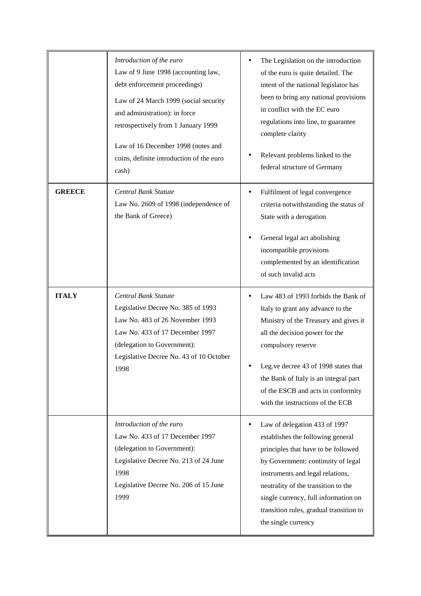|               | Introduction of the euro<br>Law of 9 June 1998 (accounting law,<br>debt enforcement proceedings)<br>Law of 24 March 1999 (social security<br>and administration): in force<br>retrospectively from 1 January 1999<br>Law of 16 December 1998 (notes and<br>coins, definite introduction of the euro<br>cash) | The Legislation on the introduction<br>of the euro is quite detailed. The<br>intent of the national legislator has<br>been to bring any national provisions<br>in conflict with the EC euro<br>regulations into line, to guarantee<br>complete clarity<br>Relevant problems linked to the<br>federal structure of Germany            |
|---------------|--------------------------------------------------------------------------------------------------------------------------------------------------------------------------------------------------------------------------------------------------------------------------------------------------------------|--------------------------------------------------------------------------------------------------------------------------------------------------------------------------------------------------------------------------------------------------------------------------------------------------------------------------------------|
| <b>GREECE</b> | Central Bank Statute<br>Law No. 2609 of 1998 (independence of<br>the Bank of Greece)                                                                                                                                                                                                                         | Fulfilment of legal convergence<br>criteria notwithstanding the status of<br>State with a derogation<br>General legal act abolishing<br>incompatible provisions<br>complemented by an identification<br>of such invalid acts                                                                                                         |
| <b>ITALY</b>  | Central Bank Statute<br>Legislative Decree No. 385 of 1993<br>Law No. 483 of 26 November 1993<br>Law No. 433 of 17 December 1997<br>(delegation to Government):<br>Legislative Decree No. 43 of 10 October<br>1998                                                                                           | Law 483 of 1993 forbids the Bank of<br>Italy to grant any advance to the<br>Ministry of the Treasury and gives it<br>all the decision power for the<br>compulsory reserve<br>Leg.ve decree 43 of 1998 states that<br>the Bank of Italy is an integral part<br>of the ESCB and acts in conformity<br>with the instructions of the ECB |
|               | Introduction of the euro<br>Law No. 433 of 17 December 1997<br>(delegation to Government):<br>Legislative Decree No. 213 of 24 June<br>1998<br>Legislative Decree No. 206 of 15 June<br>1999                                                                                                                 | Law of delegation 433 of 1997<br>establishes the following general<br>principles that have to be followed<br>by Government: continuity of legal<br>instruments and legal relations,<br>neutrality of the transition to the<br>single currency, full information on<br>transition rules, gradual transition to<br>the single currency |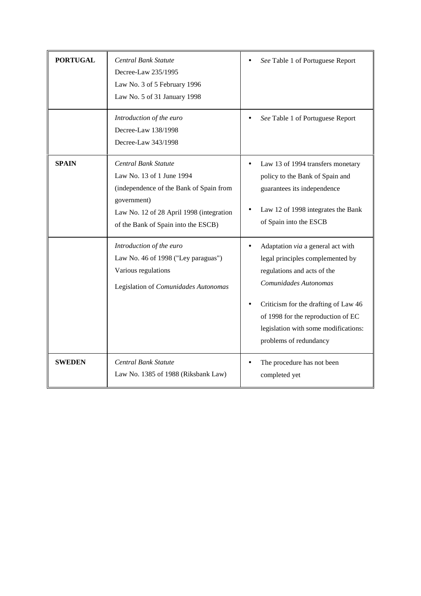| <b>PORTUGAL</b> | Central Bank Statute<br>Decree-Law 235/1995<br>Law No. 3 of 5 February 1996<br>Law No. 5 of 31 January 1998<br>Introduction of the euro<br>Decree-Law 138/1998<br>Decree-Law 343/1998          | See Table 1 of Portuguese Report<br>See Table 1 of Portuguese Report                                                                                                                                                                                                          |
|-----------------|------------------------------------------------------------------------------------------------------------------------------------------------------------------------------------------------|-------------------------------------------------------------------------------------------------------------------------------------------------------------------------------------------------------------------------------------------------------------------------------|
| <b>SPAIN</b>    | Central Bank Statute<br>Law No. 13 of 1 June 1994<br>(independence of the Bank of Spain from<br>government)<br>Law No. 12 of 28 April 1998 (integration<br>of the Bank of Spain into the ESCB) | Law 13 of 1994 transfers monetary<br>policy to the Bank of Spain and<br>guarantees its independence<br>Law 12 of 1998 integrates the Bank<br>of Spain into the ESCB                                                                                                           |
|                 | Introduction of the euro<br>Law No. 46 of 1998 ("Ley paraguas")<br>Various regulations<br>Legislation of Comunidades Autonomas                                                                 | Adaptation via a general act with<br>legal principles complemented by<br>regulations and acts of the<br>Comunidades Autonomas<br>Criticism for the drafting of Law 46<br>of 1998 for the reproduction of EC<br>legislation with some modifications:<br>problems of redundancy |
| <b>SWEDEN</b>   | Central Bank Statute<br>Law No. 1385 of 1988 (Riksbank Law)                                                                                                                                    | The procedure has not been<br>completed yet                                                                                                                                                                                                                                   |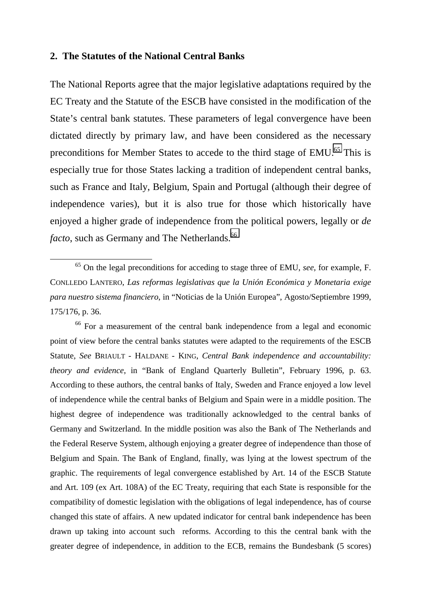#### **2. The Statutes of the National Central Banks**

The National Reports agree that the major legislative adaptations required by the EC Treaty and the Statute of the ESCB have consisted in the modification of the State's central bank statutes. These parameters of legal convergence have been dictated directly by primary law, and have been considered as the necessary preconditions for Member States to accede to the third stage of EMU.<sup>65</sup> This is especially true for those States lacking a tradition of independent central banks, such as France and Italy, Belgium, Spain and Portugal (although their degree of independence varies), but it is also true for those which historically have enjoyed a higher grade of independence from the political powers, legally or *de facto*, such as Germany and The Netherlands.<sup>66</sup>

<sup>66</sup> For a measurement of the central bank independence from a legal and economic point of view before the central banks statutes were adapted to the requirements of the ESCB Statute, *See* BRIAULT - HALDANE - KING, *Central Bank independence and accountability: theory and evidence*, in "Bank of England Quarterly Bulletin", February 1996, p. 63. According to these authors, the central banks of Italy, Sweden and France enjoyed a low level of independence while the central banks of Belgium and Spain were in a middle position. The highest degree of independence was traditionally acknowledged to the central banks of Germany and Switzerland. In the middle position was also the Bank of The Netherlands and the Federal Reserve System, although enjoying a greater degree of independence than those of Belgium and Spain. The Bank of England, finally, was lying at the lowest spectrum of the graphic. The requirements of legal convergence established by Art. 14 of the ESCB Statute and Art. 109 (ex Art. 108A) of the EC Treaty, requiring that each State is responsible for the compatibility of domestic legislation with the obligations of legal independence, has of course changed this state of affairs. A new updated indicator for central bank independence has been drawn up taking into account such reforms. According to this the central bank with the greater degree of independence, in addition to the ECB, remains the Bundesbank (5 scores)

 <sup>65</sup> On the legal preconditions for acceding to stage three of EMU, *see*, for example, F. CONLLEDO LANTERO, *Las reformas legislativas que la Unión Económica y Monetaria exige para nuestro sistema financiero*, in "Noticias de la Unión Europea", Agosto/Septiembre 1999, 175/176, p. 36.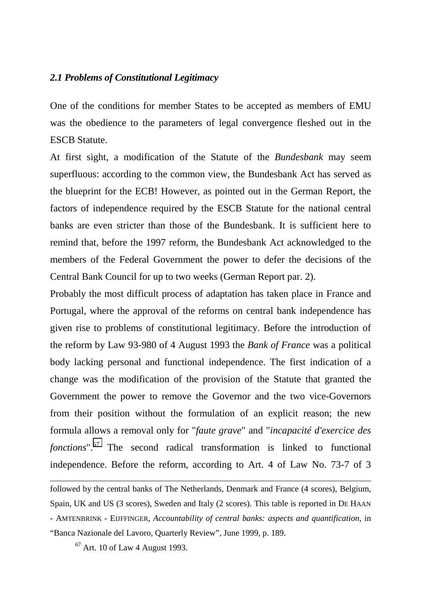#### *2.1 Problems of Constitutional Legitimacy*

One of the conditions for member States to be accepted as members of EMU was the obedience to the parameters of legal convergence fleshed out in the ESCB Statute.

At first sight, a modification of the Statute of the *Bundesbank* may seem superfluous: according to the common view, the Bundesbank Act has served as the blueprint for the ECB! However, as pointed out in the German Report, the factors of independence required by the ESCB Statute for the national central banks are even stricter than those of the Bundesbank. It is sufficient here to remind that, before the 1997 reform, the Bundesbank Act acknowledged to the members of the Federal Government the power to defer the decisions of the Central Bank Council for up to two weeks (German Report par. 2).

Probably the most difficult process of adaptation has taken place in France and Portugal, where the approval of the reforms on central bank independence has given rise to problems of constitutional legitimacy. Before the introduction of the reform by Law 93-980 of 4 August 1993 the *Bank of France* was a political body lacking personal and functional independence. The first indication of a change was the modification of the provision of the Statute that granted the Government the power to remove the Governor and the two vice-Governors from their position without the formulation of an explicit reason; the new formula allows a removal only for "*faute grave*" and "*incapacité d'exercice des fonctions*".67 The second radical transformation is linked to functional independence. Before the reform, according to Art. 4 of Law No. 73-7 of 3

followed by the central banks of The Netherlands, Denmark and France (4 scores), Belgium, Spain, UK and US (3 scores), Sweden and Italy (2 scores). This table is reported in DE HAAN - AMTENBRINK - EIJFFINGER, *Accountability of central banks: aspects and quantification*, in "Banca Nazionale del Lavoro, Quarterly Review", June 1999, p. 189.

 $67$  Art. 10 of Law 4 August 1993.

-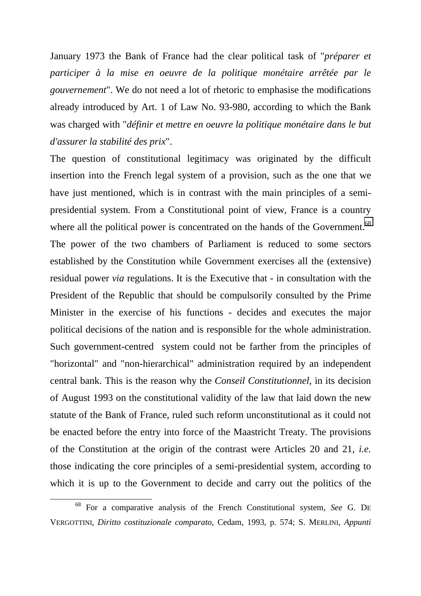January 1973 the Bank of France had the clear political task of "*préparer et participer à la mise en oeuvre de la politique monétaire arrêtée par le gouvernement*". We do not need a lot of rhetoric to emphasise the modifications already introduced by Art. 1 of Law No. 93-980, according to which the Bank was charged with "*définir et mettre en oeuvre la politique monétaire dans le but d'assurer la stabilité des prix*".

The question of constitutional legitimacy was originated by the difficult insertion into the French legal system of a provision, such as the one that we have just mentioned, which is in contrast with the main principles of a semipresidential system. From a Constitutional point of view, France is a country where all the political power is concentrated on the hands of the Government.<sup>68</sup> The power of the two chambers of Parliament is reduced to some sectors established by the Constitution while Government exercises all the (extensive) residual power *via* regulations. It is the Executive that - in consultation with the President of the Republic that should be compulsorily consulted by the Prime Minister in the exercise of his functions - decides and executes the major political decisions of the nation and is responsible for the whole administration. Such government-centred system could not be farther from the principles of "horizontal" and "non-hierarchical" administration required by an independent central bank. This is the reason why the *Conseil Constitutionnel*, in its decision of August 1993 on the constitutional validity of the law that laid down the new statute of the Bank of France, ruled such reform unconstitutional as it could not be enacted before the entry into force of the Maastricht Treaty. The provisions of the Constitution at the origin of the contrast were Articles 20 and 21, *i.e.* those indicating the core principles of a semi-presidential system, according to which it is up to the Government to decide and carry out the politics of the

 <sup>68</sup> For a comparative analysis of the French Constitutional system, *See* G. DE VERGOTTINI, *Diritto costituzionale comparato*, Cedam, 1993, p. 574; S. MERLINI, *Appunti*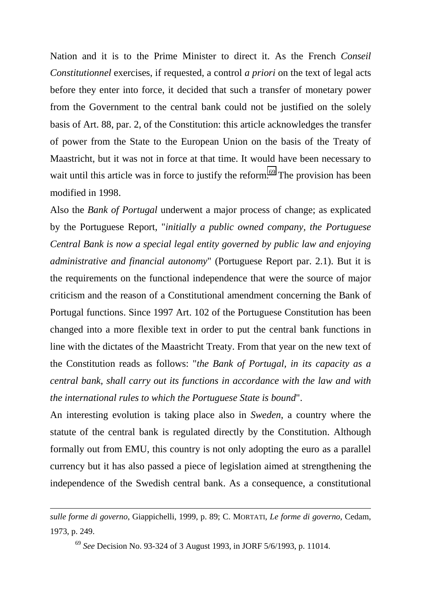Nation and it is to the Prime Minister to direct it. As the French *Conseil Constitutionnel* exercises, if requested, a control *a priori* on the text of legal acts before they enter into force, it decided that such a transfer of monetary power from the Government to the central bank could not be justified on the solely basis of Art. 88, par. 2, of the Constitution: this article acknowledges the transfer of power from the State to the European Union on the basis of the Treaty of Maastricht, but it was not in force at that time. It would have been necessary to wait until this article was in force to justify the reform.<sup>69</sup> The provision has been modified in 1998.

Also the *Bank of Portugal* underwent a major process of change; as explicated by the Portuguese Report, "*initially a public owned company, the Portuguese Central Bank is now a special legal entity governed by public law and enjoying administrative and financial autonomy*" (Portuguese Report par. 2.1). But it is the requirements on the functional independence that were the source of major criticism and the reason of a Constitutional amendment concerning the Bank of Portugal functions. Since 1997 Art. 102 of the Portuguese Constitution has been changed into a more flexible text in order to put the central bank functions in line with the dictates of the Maastricht Treaty. From that year on the new text of the Constitution reads as follows: "*the Bank of Portugal, in its capacity as a central bank, shall carry out its functions in accordance with the law and with the international rules to which the Portuguese State is bound*".

An interesting evolution is taking place also in *Sweden*, a country where the statute of the central bank is regulated directly by the Constitution. Although formally out from EMU, this country is not only adopting the euro as a parallel currency but it has also passed a piece of legislation aimed at strengthening the independence of the Swedish central bank. As a consequence, a constitutional

*sulle forme di governo*, Giappichelli, 1999, p. 89; C. MORTATI, *Le forme di governo*, Cedam, 1973, p. 249.

<sup>69</sup> *See* Decision No. 93-324 of 3 August 1993, in JORF 5/6/1993, p. 11014.

-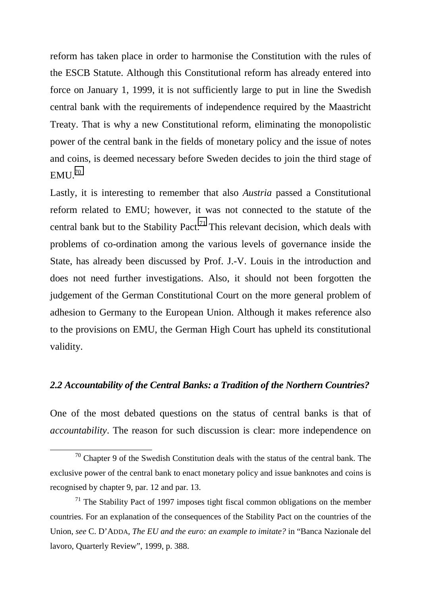reform has taken place in order to harmonise the Constitution with the rules of the ESCB Statute. Although this Constitutional reform has already entered into force on January 1, 1999, it is not sufficiently large to put in line the Swedish central bank with the requirements of independence required by the Maastricht Treaty. That is why a new Constitutional reform, eliminating the monopolistic power of the central bank in the fields of monetary policy and the issue of notes and coins, is deemed necessary before Sweden decides to join the third stage of  $EMU.<sup>70</sup>$ 

Lastly, it is interesting to remember that also *Austria* passed a Constitutional reform related to EMU; however, it was not connected to the statute of the central bank but to the Stability Pact.<sup>71</sup> This relevant decision, which deals with problems of co-ordination among the various levels of governance inside the State, has already been discussed by Prof. J.-V. Louis in the introduction and does not need further investigations. Also, it should not been forgotten the judgement of the German Constitutional Court on the more general problem of adhesion to Germany to the European Union. Although it makes reference also to the provisions on EMU, the German High Court has upheld its constitutional validity.

#### *2.2 Accountability of the Central Banks: a Tradition of the Northern Countries?*

One of the most debated questions on the status of central banks is that of *accountability*. The reason for such discussion is clear: more independence on

 $70$  Chapter 9 of the Swedish Constitution deals with the status of the central bank. The exclusive power of the central bank to enact monetary policy and issue banknotes and coins is recognised by chapter 9, par. 12 and par. 13.

 $71$  The Stability Pact of 1997 imposes tight fiscal common obligations on the member countries. For an explanation of the consequences of the Stability Pact on the countries of the Union, *see* C. D'ADDA*, The EU and the euro: an example to imitate?* in "Banca Nazionale del lavoro, Quarterly Review", 1999, p. 388.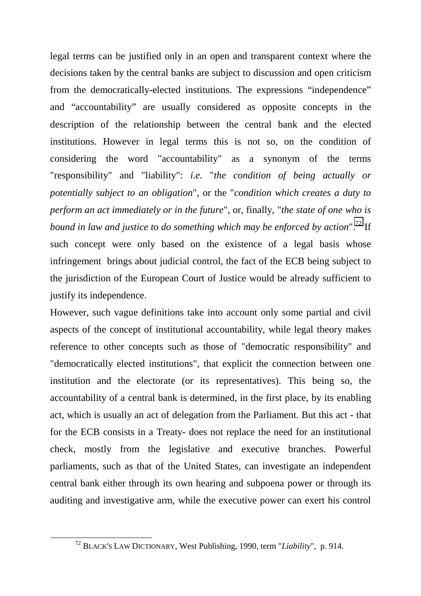legal terms can be justified only in an open and transparent context where the decisions taken by the central banks are subject to discussion and open criticism from the democratically-elected institutions. The expressions "independence" and "accountability" are usually considered as opposite concepts in the description of the relationship between the central bank and the elected institutions. However in legal terms this is not so, on the condition of considering the word "accountability" as a synonym of the terms "responsibility" and "liability": *i.e.* "*the condition of being actually or potentially subject to an obligation*", or the "*condition which creates a duty to perform an act immediately or in the future*", or, finally, "*the state of one who is bound in law and justice to do something which may be enforced by action*".<sup>72</sup> If such concept were only based on the existence of a legal basis whose infringement brings about judicial control, the fact of the ECB being subject to the jurisdiction of the European Court of Justice would be already sufficient to justify its independence.

However, such vague definitions take into account only some partial and civil aspects of the concept of institutional accountability, while legal theory makes reference to other concepts such as those of "democratic responsibility" and "democratically elected institutions", that explicit the connection between one institution and the electorate (or its representatives). This being so, the accountability of a central bank is determined, in the first place, by its enabling act, which is usually an act of delegation from the Parliament. But this act - that for the ECB consists in a Treaty- does not replace the need for an institutional check, mostly from the legislative and executive branches. Powerful parliaments, such as that of the United States, can investigate an independent central bank either through its own hearing and subpoena power or through its auditing and investigative arm, while the executive power can exert his control

 <sup>72</sup> BLACK'S LAW DICTIONARY, West Publishing, 1990, term "*Liability*", p. 914.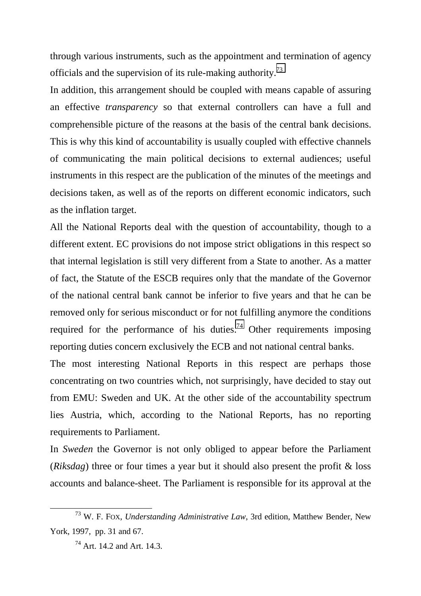through various instruments, such as the appointment and termination of agency officials and the supervision of its rule-making authority.73

In addition, this arrangement should be coupled with means capable of assuring an effective *transparency* so that external controllers can have a full and comprehensible picture of the reasons at the basis of the central bank decisions. This is why this kind of accountability is usually coupled with effective channels of communicating the main political decisions to external audiences; useful instruments in this respect are the publication of the minutes of the meetings and decisions taken, as well as of the reports on different economic indicators, such as the inflation target.

All the National Reports deal with the question of accountability, though to a different extent. EC provisions do not impose strict obligations in this respect so that internal legislation is still very different from a State to another. As a matter of fact, the Statute of the ESCB requires only that the mandate of the Governor of the national central bank cannot be inferior to five years and that he can be removed only for serious misconduct or for not fulfilling anymore the conditions required for the performance of his duties.<sup>74</sup> Other requirements imposing reporting duties concern exclusively the ECB and not national central banks.

The most interesting National Reports in this respect are perhaps those concentrating on two countries which, not surprisingly, have decided to stay out from EMU: Sweden and UK. At the other side of the accountability spectrum lies Austria, which, according to the National Reports, has no reporting requirements to Parliament.

In *Sweden* the Governor is not only obliged to appear before the Parliament (*Riksdag*) three or four times a year but it should also present the profit & loss accounts and balance-sheet. The Parliament is responsible for its approval at the

 <sup>73</sup> W. F. FOX, *Understanding Administrative Law*, 3rd edition, Matthew Bender, New York, 1997, pp. 31 and 67.

<sup>74</sup> Art. 14.2 and Art. 14.3.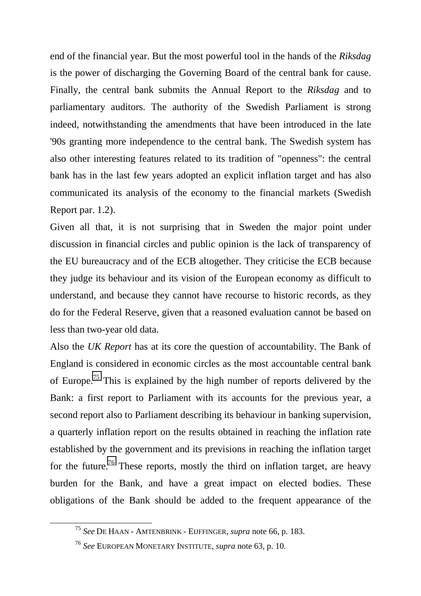end of the financial year. But the most powerful tool in the hands of the *Riksdag* is the power of discharging the Governing Board of the central bank for cause. Finally, the central bank submits the Annual Report to the *Riksdag* and to parliamentary auditors. The authority of the Swedish Parliament is strong indeed, notwithstanding the amendments that have been introduced in the late '90s granting more independence to the central bank. The Swedish system has also other interesting features related to its tradition of "openness": the central bank has in the last few years adopted an explicit inflation target and has also communicated its analysis of the economy to the financial markets (Swedish Report par. 1.2).

Given all that, it is not surprising that in Sweden the major point under discussion in financial circles and public opinion is the lack of transparency of the EU bureaucracy and of the ECB altogether. They criticise the ECB because they judge its behaviour and its vision of the European economy as difficult to understand, and because they cannot have recourse to historic records, as they do for the Federal Reserve, given that a reasoned evaluation cannot be based on less than two-year old data.

Also the *UK Report* has at its core the question of accountability. The Bank of England is considered in economic circles as the most accountable central bank of Europe.75 This is explained by the high number of reports delivered by the Bank: a first report to Parliament with its accounts for the previous year, a second report also to Parliament describing its behaviour in banking supervision, a quarterly inflation report on the results obtained in reaching the inflation rate established by the government and its previsions in reaching the inflation target for the future.<sup>76</sup> These reports, mostly the third on inflation target, are heavy burden for the Bank, and have a great impact on elected bodies. These obligations of the Bank should be added to the frequent appearance of the

 <sup>75</sup> *See* DE HAAN - AMTENBRINK - EIJFFINGER, *supra* note 66, p. 183.

<sup>76</sup> *See* EUROPEAN MONETARY INSTITUTE, *supra* note 63, p. 10.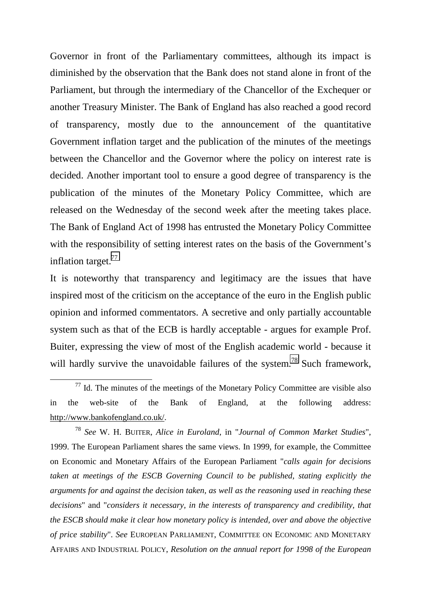Governor in front of the Parliamentary committees, although its impact is diminished by the observation that the Bank does not stand alone in front of the Parliament, but through the intermediary of the Chancellor of the Exchequer or another Treasury Minister. The Bank of England has also reached a good record of transparency, mostly due to the announcement of the quantitative Government inflation target and the publication of the minutes of the meetings between the Chancellor and the Governor where the policy on interest rate is decided. Another important tool to ensure a good degree of transparency is the publication of the minutes of the Monetary Policy Committee, which are released on the Wednesday of the second week after the meeting takes place. The Bank of England Act of 1998 has entrusted the Monetary Policy Committee with the responsibility of setting interest rates on the basis of the Government's inflation target.<sup>77</sup>

It is noteworthy that transparency and legitimacy are the issues that have inspired most of the criticism on the acceptance of the euro in the English public opinion and informed commentators. A secretive and only partially accountable system such as that of the ECB is hardly acceptable - argues for example Prof. Buiter, expressing the view of most of the English academic world - because it will hardly survive the unavoidable failures of the system.<sup>78</sup> Such framework,

<sup>78</sup> *See* W. H. BUITER, *Alice in Euroland*, in "*Journal of Common Market Studies*", 1999. The European Parliament shares the same views. In 1999, for example, the Committee on Economic and Monetary Affairs of the European Parliament "*calls again for decisions taken at meetings of the ESCB Governing Council to be published, stating explicitly the arguments for and against the decision taken, as well as the reasoning used in reaching these decisions*" and "*considers it necessary, in the interests of transparency and credibility, that the ESCB should make it clear how monetary policy is intended, over and above the objective of price stability*". *See* EUROPEAN PARLIAMENT, COMMITTEE ON ECONOMIC AND MONETARY AFFAIRS AND INDUSTRIAL POLICY, *Resolution on the annual report for 1998 of the European*

 $\frac{77}{10}$  Id. The minutes of the meetings of the Monetary Policy Committee are visible also in the web-site of the Bank of England, at the following address: http://www.bankofengland.co.uk/.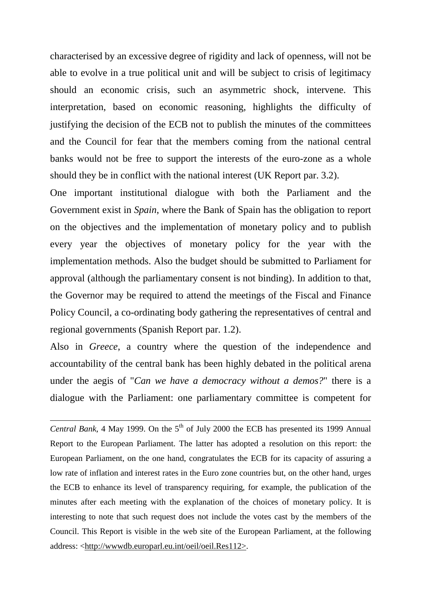characterised by an excessive degree of rigidity and lack of openness, will not be able to evolve in a true political unit and will be subject to crisis of legitimacy should an economic crisis, such an asymmetric shock, intervene. This interpretation, based on economic reasoning, highlights the difficulty of justifying the decision of the ECB not to publish the minutes of the committees and the Council for fear that the members coming from the national central banks would not be free to support the interests of the euro-zone as a whole should they be in conflict with the national interest (UK Report par. 3.2).

One important institutional dialogue with both the Parliament and the Government exist in *Spain*, where the Bank of Spain has the obligation to report on the objectives and the implementation of monetary policy and to publish every year the objectives of monetary policy for the year with the implementation methods. Also the budget should be submitted to Parliament for approval (although the parliamentary consent is not binding). In addition to that, the Governor may be required to attend the meetings of the Fiscal and Finance Policy Council, a co-ordinating body gathering the representatives of central and regional governments (Spanish Report par. 1.2).

Also in *Greece*, a country where the question of the independence and accountability of the central bank has been highly debated in the political arena under the aegis of "*Can we have a democracy without a demos?*" there is a dialogue with the Parliament: one parliamentary committee is competent for

-

*Central Bank*, 4 May 1999. On the  $5<sup>th</sup>$  of July 2000 the ECB has presented its 1999 Annual Report to the European Parliament. The latter has adopted a resolution on this report: the European Parliament, on the one hand, congratulates the ECB for its capacity of assuring a low rate of inflation and interest rates in the Euro zone countries but, on the other hand, urges the ECB to enhance its level of transparency requiring, for example, the publication of the minutes after each meeting with the explanation of the choices of monetary policy. It is interesting to note that such request does not include the votes cast by the members of the Council. This Report is visible in the web site of the European Parliament, at the following address: <http://wwwdb.europarl.eu.int/oeil/oeil.Res112>.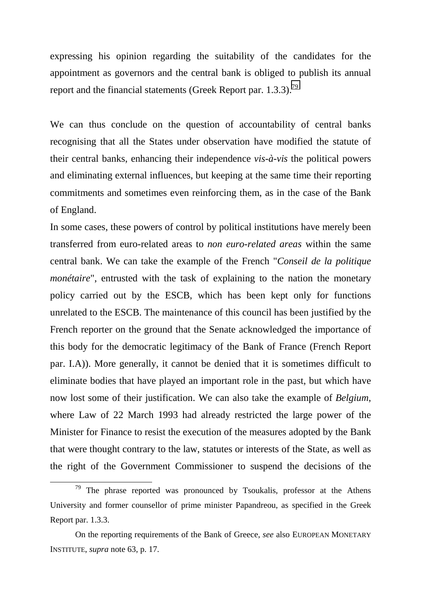expressing his opinion regarding the suitability of the candidates for the appointment as governors and the central bank is obliged to publish its annual report and the financial statements (Greek Report par. 1.3.3).<sup>79</sup>

We can thus conclude on the question of accountability of central banks recognising that all the States under observation have modified the statute of their central banks, enhancing their independence *vis-à-vis* the political powers and eliminating external influences, but keeping at the same time their reporting commitments and sometimes even reinforcing them, as in the case of the Bank of England.

In some cases, these powers of control by political institutions have merely been transferred from euro-related areas to *non euro-related areas* within the same central bank. We can take the example of the French "*Conseil de la politique monétaire*", entrusted with the task of explaining to the nation the monetary policy carried out by the ESCB, which has been kept only for functions unrelated to the ESCB. The maintenance of this council has been justified by the French reporter on the ground that the Senate acknowledged the importance of this body for the democratic legitimacy of the Bank of France (French Report par. I.A)). More generally, it cannot be denied that it is sometimes difficult to eliminate bodies that have played an important role in the past, but which have now lost some of their justification. We can also take the example of *Belgium*, where Law of 22 March 1993 had already restricted the large power of the Minister for Finance to resist the execution of the measures adopted by the Bank that were thought contrary to the law, statutes or interests of the State, as well as the right of the Government Commissioner to suspend the decisions of the

 $79$  The phrase reported was pronounced by Tsoukalis, professor at the Athens University and former counsellor of prime minister Papandreou, as specified in the Greek Report par. 1.3.3.

On the reporting requirements of the Bank of Greece, *see* also EUROPEAN MONETARY INSTITUTE, *supra* note 63, p. 17.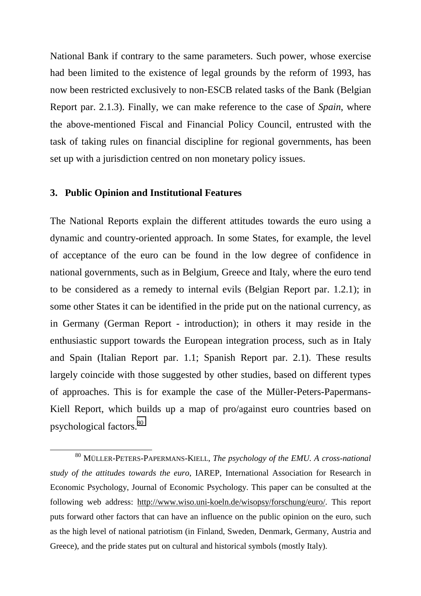National Bank if contrary to the same parameters. Such power, whose exercise had been limited to the existence of legal grounds by the reform of 1993, has now been restricted exclusively to non-ESCB related tasks of the Bank (Belgian Report par. 2.1.3). Finally, we can make reference to the case of *Spain*, where the above-mentioned Fiscal and Financial Policy Council, entrusted with the task of taking rules on financial discipline for regional governments, has been set up with a jurisdiction centred on non monetary policy issues.

#### **3. Public Opinion and Institutional Features**

The National Reports explain the different attitudes towards the euro using a dynamic and country-oriented approach. In some States, for example, the level of acceptance of the euro can be found in the low degree of confidence in national governments, such as in Belgium, Greece and Italy, where the euro tend to be considered as a remedy to internal evils (Belgian Report par. 1.2.1); in some other States it can be identified in the pride put on the national currency, as in Germany (German Report - introduction); in others it may reside in the enthusiastic support towards the European integration process, such as in Italy and Spain (Italian Report par. 1.1; Spanish Report par. 2.1). These results largely coincide with those suggested by other studies, based on different types of approaches. This is for example the case of the Müller-Peters-Papermans-Kiell Report, which builds up a map of pro/against euro countries based on psychological factors.80

 <sup>80</sup> MÜLLER-PETERS-PAPERMANS-KIELL, *The psychology of the EMU. A cross-national study of the attitudes towards the euro*, IAREP, International Association for Research in Economic Psychology, Journal of Economic Psychology. This paper can be consulted at the following web address: http://www.wiso.uni-koeln.de/wisopsy/forschung/euro/. This report puts forward other factors that can have an influence on the public opinion on the euro, such as the high level of national patriotism (in Finland, Sweden, Denmark, Germany, Austria and Greece), and the pride states put on cultural and historical symbols (mostly Italy).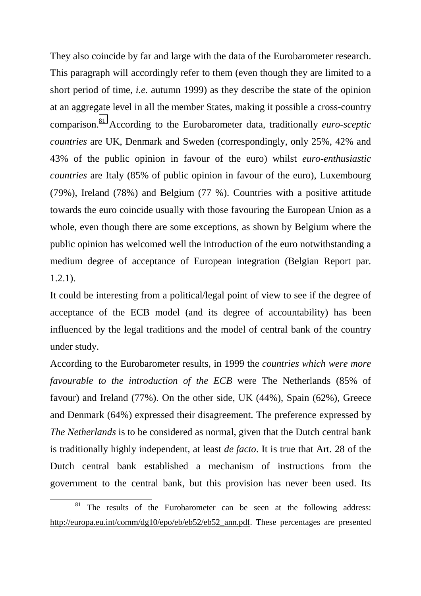They also coincide by far and large with the data of the Eurobarometer research. This paragraph will accordingly refer to them (even though they are limited to a short period of time, *i.e.* autumn 1999) as they describe the state of the opinion at an aggregate level in all the member States, making it possible a cross-country comparison.81 According to the Eurobarometer data, traditionally *euro-sceptic countries* are UK, Denmark and Sweden (correspondingly, only 25%, 42% and 43% of the public opinion in favour of the euro) whilst *euro-enthusiastic countries* are Italy (85% of public opinion in favour of the euro), Luxembourg (79%), Ireland (78%) and Belgium (77 %). Countries with a positive attitude towards the euro coincide usually with those favouring the European Union as a whole, even though there are some exceptions, as shown by Belgium where the public opinion has welcomed well the introduction of the euro notwithstanding a medium degree of acceptance of European integration (Belgian Report par. 1.2.1).

It could be interesting from a political/legal point of view to see if the degree of acceptance of the ECB model (and its degree of accountability) has been influenced by the legal traditions and the model of central bank of the country under study.

According to the Eurobarometer results, in 1999 the *countries which were more favourable to the introduction of the ECB* were The Netherlands (85% of favour) and Ireland (77%). On the other side, UK (44%), Spain (62%), Greece and Denmark (64%) expressed their disagreement. The preference expressed by *The Netherlands* is to be considered as normal, given that the Dutch central bank is traditionally highly independent, at least *de facto*. It is true that Art. 28 of the Dutch central bank established a mechanism of instructions from the government to the central bank, but this provision has never been used. Its

The results of the Eurobarometer can be seen at the following address: http://europa.eu.int/comm/dg10/epo/eb/eb52/eb52\_ann.pdf. These percentages are presented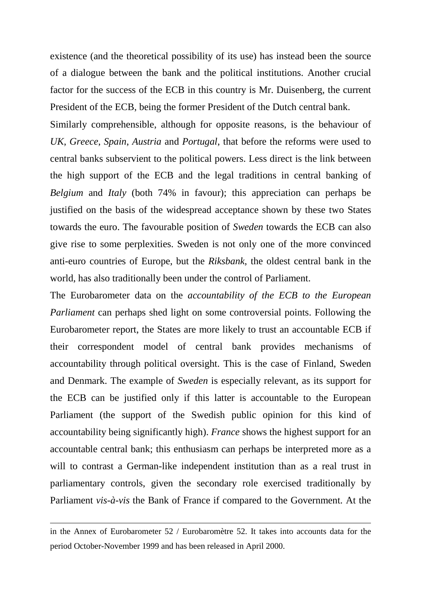existence (and the theoretical possibility of its use) has instead been the source of a dialogue between the bank and the political institutions. Another crucial factor for the success of the ECB in this country is Mr. Duisenberg, the current President of the ECB, being the former President of the Dutch central bank.

Similarly comprehensible, although for opposite reasons, is the behaviour of *UK*, *Greece*, *Spain*, *Austria* and *Portugal*, that before the reforms were used to central banks subservient to the political powers. Less direct is the link between the high support of the ECB and the legal traditions in central banking of *Belgium* and *Italy* (both 74% in favour); this appreciation can perhaps be justified on the basis of the widespread acceptance shown by these two States towards the euro. The favourable position of *Sweden* towards the ECB can also give rise to some perplexities. Sweden is not only one of the more convinced anti-euro countries of Europe, but the *Riksbank*, the oldest central bank in the world, has also traditionally been under the control of Parliament.

The Eurobarometer data on the *accountability of the ECB to the European Parliament* can perhaps shed light on some controversial points. Following the Eurobarometer report, the States are more likely to trust an accountable ECB if their correspondent model of central bank provides mechanisms of accountability through political oversight. This is the case of Finland, Sweden and Denmark. The example of *Sweden* is especially relevant, as its support for the ECB can be justified only if this latter is accountable to the European Parliament (the support of the Swedish public opinion for this kind of accountability being significantly high). *France* shows the highest support for an accountable central bank; this enthusiasm can perhaps be interpreted more as a will to contrast a German-like independent institution than as a real trust in parliamentary controls, given the secondary role exercised traditionally by Parliament *vis-à-vis* the Bank of France if compared to the Government. At the

1

in the Annex of Eurobarometer 52 / Eurobaromètre 52. It takes into accounts data for the period October-November 1999 and has been released in April 2000.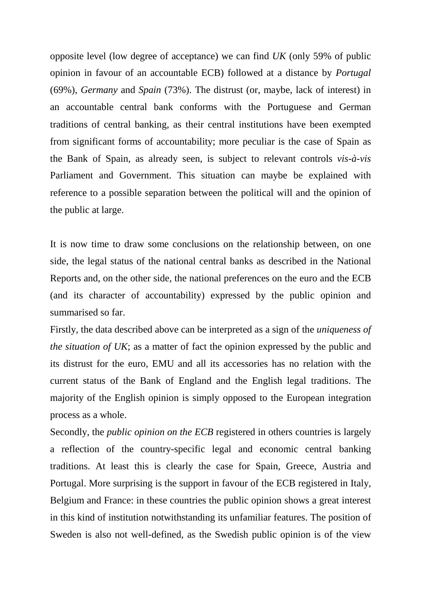opposite level (low degree of acceptance) we can find *UK* (only 59% of public opinion in favour of an accountable ECB) followed at a distance by *Portugal* (69%), *Germany* and *Spain* (73%). The distrust (or, maybe, lack of interest) in an accountable central bank conforms with the Portuguese and German traditions of central banking, as their central institutions have been exempted from significant forms of accountability; more peculiar is the case of Spain as the Bank of Spain, as already seen, is subject to relevant controls *vis-à-vis* Parliament and Government. This situation can maybe be explained with reference to a possible separation between the political will and the opinion of the public at large.

It is now time to draw some conclusions on the relationship between, on one side, the legal status of the national central banks as described in the National Reports and, on the other side, the national preferences on the euro and the ECB (and its character of accountability) expressed by the public opinion and summarised so far.

Firstly, the data described above can be interpreted as a sign of the *uniqueness of the situation of UK*; as a matter of fact the opinion expressed by the public and its distrust for the euro, EMU and all its accessories has no relation with the current status of the Bank of England and the English legal traditions. The majority of the English opinion is simply opposed to the European integration process as a whole.

Secondly, the *public opinion on the ECB* registered in others countries is largely a reflection of the country-specific legal and economic central banking traditions. At least this is clearly the case for Spain, Greece, Austria and Portugal. More surprising is the support in favour of the ECB registered in Italy, Belgium and France: in these countries the public opinion shows a great interest in this kind of institution notwithstanding its unfamiliar features. The position of Sweden is also not well-defined, as the Swedish public opinion is of the view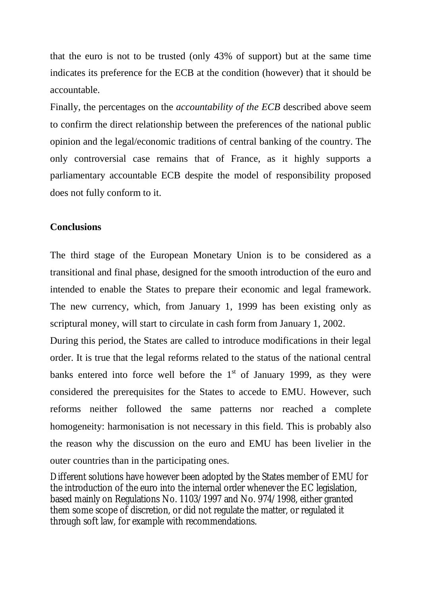that the euro is not to be trusted (only 43% of support) but at the same time indicates its preference for the ECB at the condition (however) that it should be accountable.

Finally, the percentages on the *accountability of the ECB* described above seem to confirm the direct relationship between the preferences of the national public opinion and the legal/economic traditions of central banking of the country. The only controversial case remains that of France, as it highly supports a parliamentary accountable ECB despite the model of responsibility proposed does not fully conform to it.

## **Conclusions**

The third stage of the European Monetary Union is to be considered as a transitional and final phase, designed for the smooth introduction of the euro and intended to enable the States to prepare their economic and legal framework. The new currency, which, from January 1, 1999 has been existing only as scriptural money, will start to circulate in cash form from January 1, 2002.

During this period, the States are called to introduce modifications in their legal order. It is true that the legal reforms related to the status of the national central banks entered into force well before the  $1<sup>st</sup>$  of January 1999, as they were considered the prerequisites for the States to accede to EMU. However, such reforms neither followed the same patterns nor reached a complete homogeneity: harmonisation is not necessary in this field. This is probably also the reason why the discussion on the euro and EMU has been livelier in the outer countries than in the participating ones.

Different solutions have however been adopted by the States member of EMU for the introduction of the euro into the internal order whenever the EC legislation, based mainly on Regulations No. 1103/1997 and No. 974/1998, either granted them some scope of discretion, or did not regulate the matter, or regulated it through soft law, for example with recommendations.